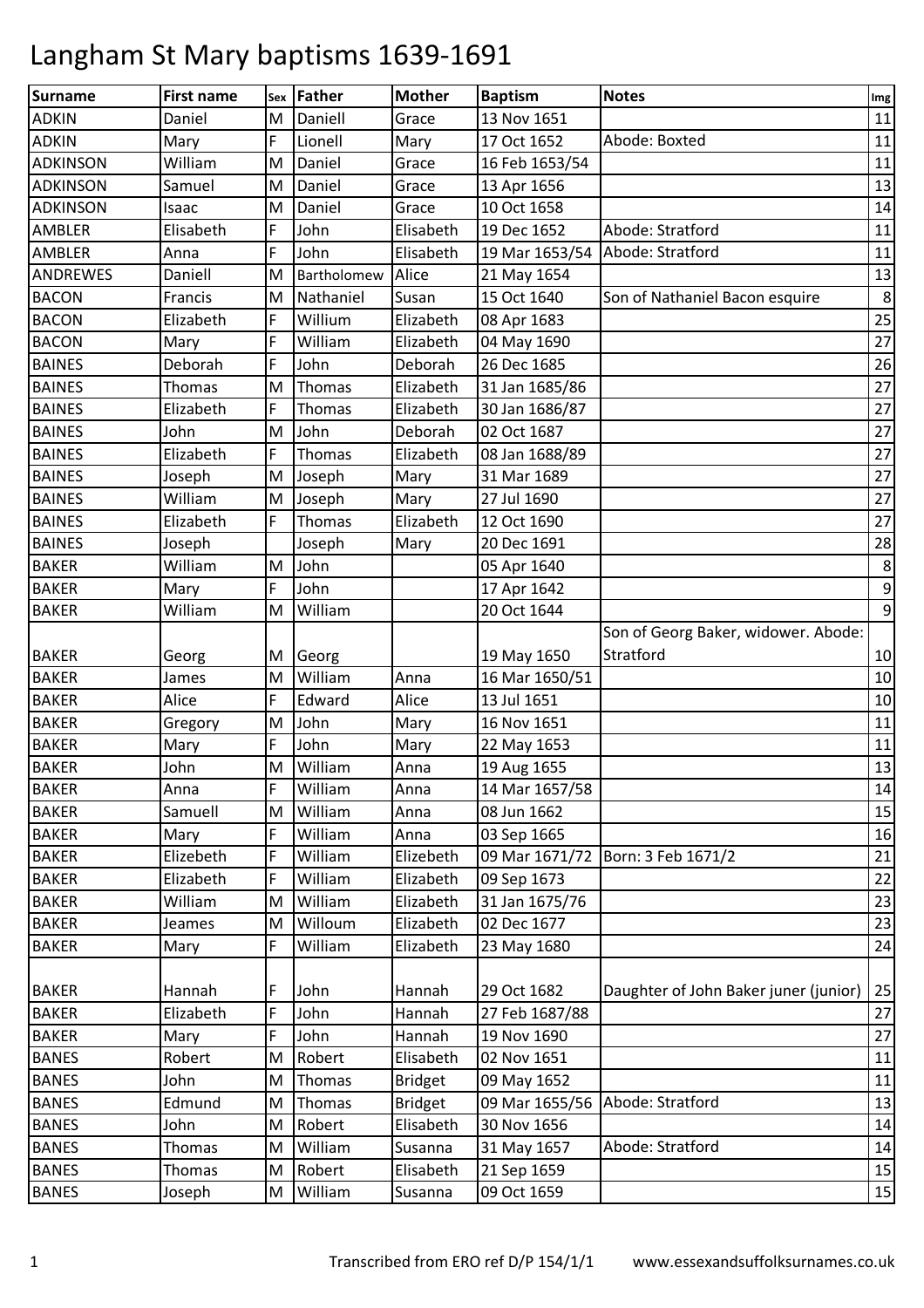| <b>Surname</b>  | <b>First name</b> | Sex | Father      | <b>Mother</b>  | <b>Baptism</b> | <b>Notes</b>                          | Img              |
|-----------------|-------------------|-----|-------------|----------------|----------------|---------------------------------------|------------------|
| <b>ADKIN</b>    | Daniel            | M   | Daniell     | Grace          | 13 Nov 1651    |                                       | 11               |
| <b>ADKIN</b>    | Mary              | F   | Lionell     | Mary           | 17 Oct 1652    | Abode: Boxted                         | 11               |
| <b>ADKINSON</b> | William           | M   | Daniel      | Grace          | 16 Feb 1653/54 |                                       | 11               |
| <b>ADKINSON</b> | Samuel            | M   | Daniel      | Grace          | 13 Apr 1656    |                                       | 13               |
| <b>ADKINSON</b> | Isaac             | M   | Daniel      | Grace          | 10 Oct 1658    |                                       | $14\,$           |
| AMBLER          | Elisabeth         | F   | John        | Elisabeth      | 19 Dec 1652    | Abode: Stratford                      | 11               |
| <b>AMBLER</b>   | Anna              | F   | John        | Elisabeth      | 19 Mar 1653/54 | Abode: Stratford                      | 11               |
| <b>ANDREWES</b> | Daniell           | M   | Bartholomew | Alice          | 21 May 1654    |                                       | 13               |
| <b>BACON</b>    | Francis           | M   | Nathaniel   | Susan          | 15 Oct 1640    | Son of Nathaniel Bacon esquire        | $\,8\,$          |
| <b>BACON</b>    | Elizabeth         | F   | Willium     | Elizabeth      | 08 Apr 1683    |                                       | 25               |
| <b>BACON</b>    | Mary              | F   | William     | Elizabeth      | 04 May 1690    |                                       | 27               |
| <b>BAINES</b>   | Deborah           | F   | John        | Deborah        | 26 Dec 1685    |                                       | 26               |
| <b>BAINES</b>   | <b>Thomas</b>     | M   | Thomas      | Elizabeth      | 31 Jan 1685/86 |                                       | 27               |
| <b>BAINES</b>   | Elizabeth         | F   | Thomas      | Elizabeth      | 30 Jan 1686/87 |                                       | 27               |
| <b>BAINES</b>   | John              | M   | John        | Deborah        | 02 Oct 1687    |                                       | 27               |
| <b>BAINES</b>   | Elizabeth         | F   | Thomas      | Elizabeth      | 08 Jan 1688/89 |                                       | 27               |
| <b>BAINES</b>   | Joseph            | M   | Joseph      | Mary           | 31 Mar 1689    |                                       | 27               |
| <b>BAINES</b>   | William           | M   | Joseph      | Mary           | 27 Jul 1690    |                                       | 27               |
| <b>BAINES</b>   | Elizabeth         | F   | Thomas      | Elizabeth      | 12 Oct 1690    |                                       | 27               |
| <b>BAINES</b>   | Joseph            |     | Joseph      | Mary           | 20 Dec 1691    |                                       | 28               |
| <b>BAKER</b>    | William           | M   | John        |                | 05 Apr 1640    |                                       | $\,8\,$          |
| <b>BAKER</b>    | Mary              | F   | John        |                | 17 Apr 1642    |                                       | $\boldsymbol{9}$ |
| <b>BAKER</b>    | William           | M   | William     |                | 20 Oct 1644    |                                       | $\boldsymbol{9}$ |
|                 |                   |     |             |                |                | Son of Georg Baker, widower. Abode:   |                  |
| <b>BAKER</b>    | Georg             | M   | Georg       |                | 19 May 1650    | Stratford                             | 10               |
| <b>BAKER</b>    | James             | M   | William     | Anna           | 16 Mar 1650/51 |                                       | 10               |
| <b>BAKER</b>    | Alice             | F   | Edward      | Alice          | 13 Jul 1651    |                                       | 10               |
| <b>BAKER</b>    | Gregory           | M   | John        | Mary           | 16 Nov 1651    |                                       | 11               |
| <b>BAKER</b>    | Mary              | F   | John        | Mary           | 22 May 1653    |                                       | $11\,$           |
| <b>BAKER</b>    | John              | M   | William     | Anna           | 19 Aug 1655    |                                       | 13               |
| <b>BAKER</b>    | Anna              | F   | William     | Anna           | 14 Mar 1657/58 |                                       | 14               |
| <b>BAKER</b>    | Samuell           | M   | William     | Anna           | 08 Jun 1662    |                                       | 15               |
| <b>BAKER</b>    | Mary              | F   | William     | Anna           | 03 Sep 1665    |                                       | 16               |
| <b>BAKER</b>    | Elizebeth         | F   | William     | Elizebeth      |                | 09 Mar 1671/72   Born: 3 Feb 1671/2   | 21               |
| <b>BAKER</b>    | Elizabeth         | F   | William     | Elizabeth      | 09 Sep 1673    |                                       | 22               |
| <b>BAKER</b>    | William           | M   | William     | Elizabeth      | 31 Jan 1675/76 |                                       | 23               |
| <b>BAKER</b>    | Jeames            | M   | Willoum     | Elizabeth      | 02 Dec 1677    |                                       | 23               |
| <b>BAKER</b>    | Mary              | F   | William     | Elizabeth      | 23 May 1680    |                                       | 24               |
|                 |                   |     |             |                |                |                                       |                  |
| <b>BAKER</b>    | Hannah            | F   | John        | Hannah         | 29 Oct 1682    | Daughter of John Baker juner (junior) | 25               |
| <b>BAKER</b>    | Elizabeth         | F   | John        | Hannah         | 27 Feb 1687/88 |                                       | 27               |
| <b>BAKER</b>    | Mary              | F   | John        | Hannah         | 19 Nov 1690    |                                       | 27               |
| <b>BANES</b>    | Robert            | M   | Robert      | Elisabeth      | 02 Nov 1651    |                                       | 11               |
| <b>BANES</b>    | John              | M   | Thomas      | <b>Bridget</b> | 09 May 1652    |                                       | 11               |
| <b>BANES</b>    | Edmund            | M   | Thomas      | <b>Bridget</b> | 09 Mar 1655/56 | Abode: Stratford                      | 13               |
| <b>BANES</b>    | John              | M   | Robert      | Elisabeth      | 30 Nov 1656    |                                       | 14               |
| <b>BANES</b>    | Thomas            | M   | William     | Susanna        | 31 May 1657    | Abode: Stratford                      | 14               |
| <b>BANES</b>    | <b>Thomas</b>     | M   | Robert      | Elisabeth      | 21 Sep 1659    |                                       | 15               |
| <b>BANES</b>    | Joseph            | M   | William     | Susanna        | 09 Oct 1659    |                                       | $15\,$           |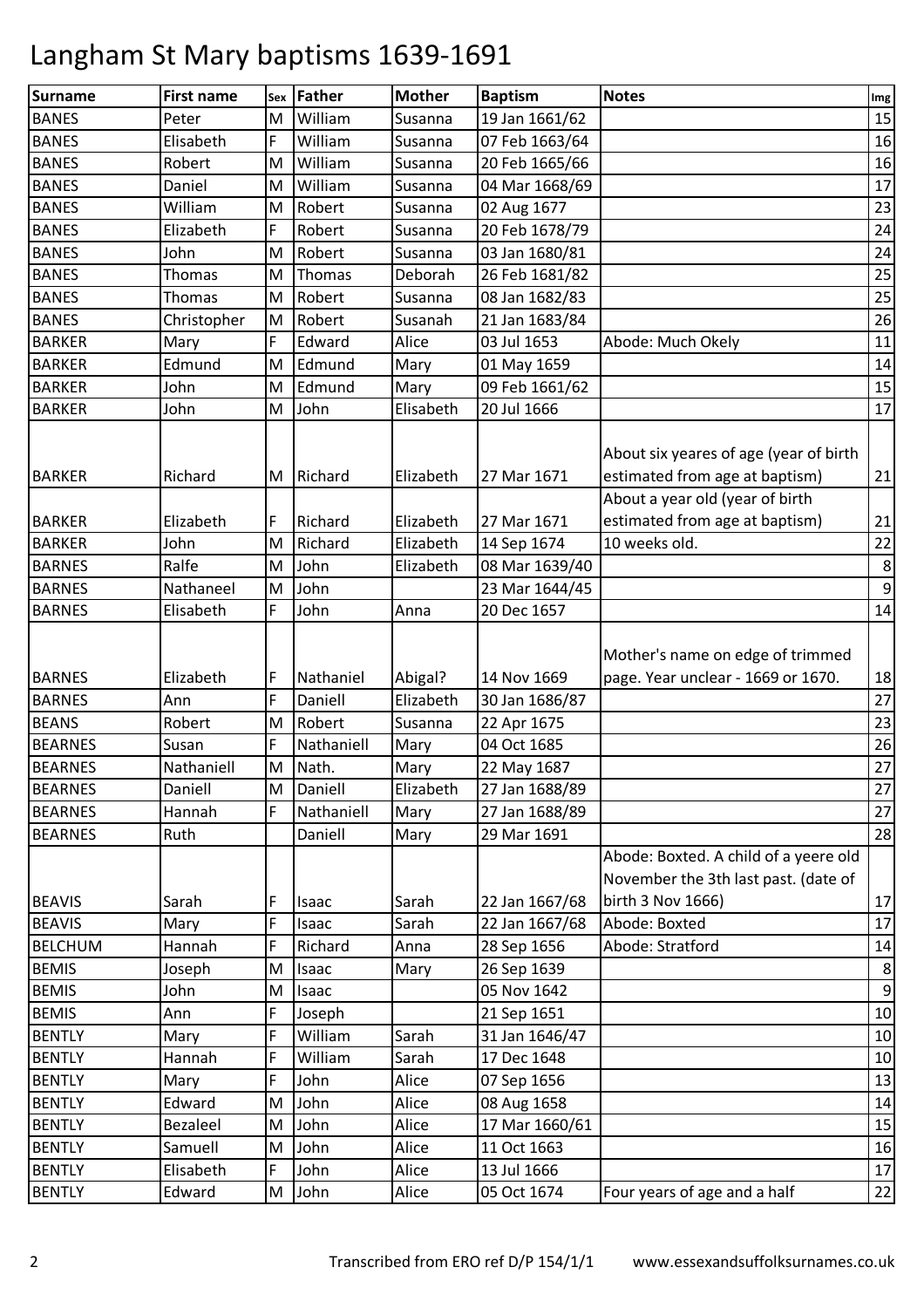| Surname        | <b>First name</b> | Sex | Father     | <b>Mother</b> | <b>Baptism</b> | <b>Notes</b>                                                                                                | Img              |
|----------------|-------------------|-----|------------|---------------|----------------|-------------------------------------------------------------------------------------------------------------|------------------|
| <b>BANES</b>   | Peter             | M   | William    | Susanna       | 19 Jan 1661/62 |                                                                                                             | 15               |
| <b>BANES</b>   | Elisabeth         | F   | William    | Susanna       | 07 Feb 1663/64 |                                                                                                             | 16               |
| <b>BANES</b>   | Robert            | M   | William    | Susanna       | 20 Feb 1665/66 |                                                                                                             | 16               |
| <b>BANES</b>   | Daniel            | M   | William    | Susanna       | 04 Mar 1668/69 |                                                                                                             | 17               |
| <b>BANES</b>   | William           | M   | Robert     | Susanna       | 02 Aug 1677    |                                                                                                             | 23               |
| <b>BANES</b>   | Elizabeth         | F   | Robert     | Susanna       | 20 Feb 1678/79 |                                                                                                             | 24               |
| <b>BANES</b>   | John              | M   | Robert     | Susanna       | 03 Jan 1680/81 |                                                                                                             | 24               |
| <b>BANES</b>   | Thomas            | M   | Thomas     | Deborah       | 26 Feb 1681/82 |                                                                                                             | 25               |
| <b>BANES</b>   | Thomas            | M   | Robert     | Susanna       | 08 Jan 1682/83 |                                                                                                             | 25               |
| <b>BANES</b>   | Christopher       | M   | Robert     | Susanah       | 21 Jan 1683/84 |                                                                                                             | 26               |
| <b>BARKER</b>  | Mary              | F   | Edward     | Alice         | 03 Jul 1653    | Abode: Much Okely                                                                                           | 11               |
| <b>BARKER</b>  | Edmund            | M   | Edmund     | Mary          | 01 May 1659    |                                                                                                             | 14               |
| <b>BARKER</b>  | John              | M   | Edmund     | Mary          | 09 Feb 1661/62 |                                                                                                             | 15               |
| <b>BARKER</b>  | John              | M   | John       | Elisabeth     | 20 Jul 1666    |                                                                                                             | 17               |
| <b>BARKER</b>  | Richard           | M   | Richard    | Elizabeth     | 27 Mar 1671    | About six yeares of age (year of birth<br>estimated from age at baptism)<br>About a year old (year of birth | 21               |
| <b>BARKER</b>  | Elizabeth         | F   | Richard    | Elizabeth     | 27 Mar 1671    | estimated from age at baptism)                                                                              | 21               |
| <b>BARKER</b>  | John              | M   | Richard    | Elizabeth     | 14 Sep 1674    | 10 weeks old.                                                                                               | 22               |
| <b>BARNES</b>  | Ralfe             | M   | John       | Elizabeth     | 08 Mar 1639/40 |                                                                                                             | 8                |
| <b>BARNES</b>  | Nathaneel         | M   | John       |               | 23 Mar 1644/45 |                                                                                                             | $\boldsymbol{9}$ |
| <b>BARNES</b>  | Elisabeth         | F.  | John       | Anna          | 20 Dec 1657    |                                                                                                             | 14               |
| <b>BARNES</b>  | Elizabeth         | F   | Nathaniel  | Abigal?       | 14 Nov 1669    | Mother's name on edge of trimmed<br>page. Year unclear - 1669 or 1670.                                      | 18               |
| <b>BARNES</b>  | Ann               | F   | Daniell    | Elizabeth     | 30 Jan 1686/87 |                                                                                                             | 27               |
| <b>BEANS</b>   | Robert            | M   | Robert     | Susanna       | 22 Apr 1675    |                                                                                                             | 23               |
| <b>BEARNES</b> | Susan             | F   | Nathaniell | Mary          | 04 Oct 1685    |                                                                                                             | 26               |
| <b>BEARNES</b> | Nathaniell        | M   | Nath.      | Mary          | 22 May 1687    |                                                                                                             | 27               |
| <b>BEARNES</b> | Daniell           | M   | Daniell    | Elizabeth     | 27 Jan 1688/89 |                                                                                                             | 27               |
| <b>BEARNES</b> | Hannah            | F.  | Nathaniell | Mary          | 27 Jan 1688/89 |                                                                                                             | 27               |
| <b>BEARNES</b> | Ruth              |     | Daniell    | Mary          | 29 Mar 1691    |                                                                                                             | 28               |
| <b>BEAVIS</b>  | Sarah             | F   | Isaac      | Sarah         | 22 Jan 1667/68 | Abode: Boxted. A child of a yeere old<br>November the 3th last past. (date of<br>birth 3 Nov 1666)          | 17               |
| <b>BEAVIS</b>  | Mary              | F   | Isaac      | Sarah         | 22 Jan 1667/68 | Abode: Boxted                                                                                               | 17               |
| <b>BELCHUM</b> | Hannah            | F   | Richard    | Anna          | 28 Sep 1656    | Abode: Stratford                                                                                            | 14               |
| <b>BEMIS</b>   | Joseph            | M   | Isaac      | Mary          | 26 Sep 1639    |                                                                                                             | 8                |
| <b>BEMIS</b>   | John              | M   | Isaac      |               | 05 Nov 1642    |                                                                                                             | $\boldsymbol{9}$ |
| <b>BEMIS</b>   | Ann               | F   | Joseph     |               | 21 Sep 1651    |                                                                                                             | 10               |
| <b>BENTLY</b>  | Mary              | F   | William    | Sarah         | 31 Jan 1646/47 |                                                                                                             | 10               |
| <b>BENTLY</b>  | Hannah            | F   | William    | Sarah         | 17 Dec 1648    |                                                                                                             | 10               |
| <b>BENTLY</b>  | Mary              | F   | John       | Alice         | 07 Sep 1656    |                                                                                                             | 13               |
| <b>BENTLY</b>  | Edward            | M   | John       | Alice         | 08 Aug 1658    |                                                                                                             | $14\,$           |
| <b>BENTLY</b>  | <b>Bezaleel</b>   | M   | John       | Alice         | 17 Mar 1660/61 |                                                                                                             | 15               |
| <b>BENTLY</b>  | Samuell           | M   | John       | Alice         | 11 Oct 1663    |                                                                                                             | 16               |
| <b>BENTLY</b>  | Elisabeth         | F   | John       | Alice         | 13 Jul 1666    |                                                                                                             | 17               |
| <b>BENTLY</b>  | Edward            | M   | John       | Alice         | 05 Oct 1674    | Four years of age and a half                                                                                | 22               |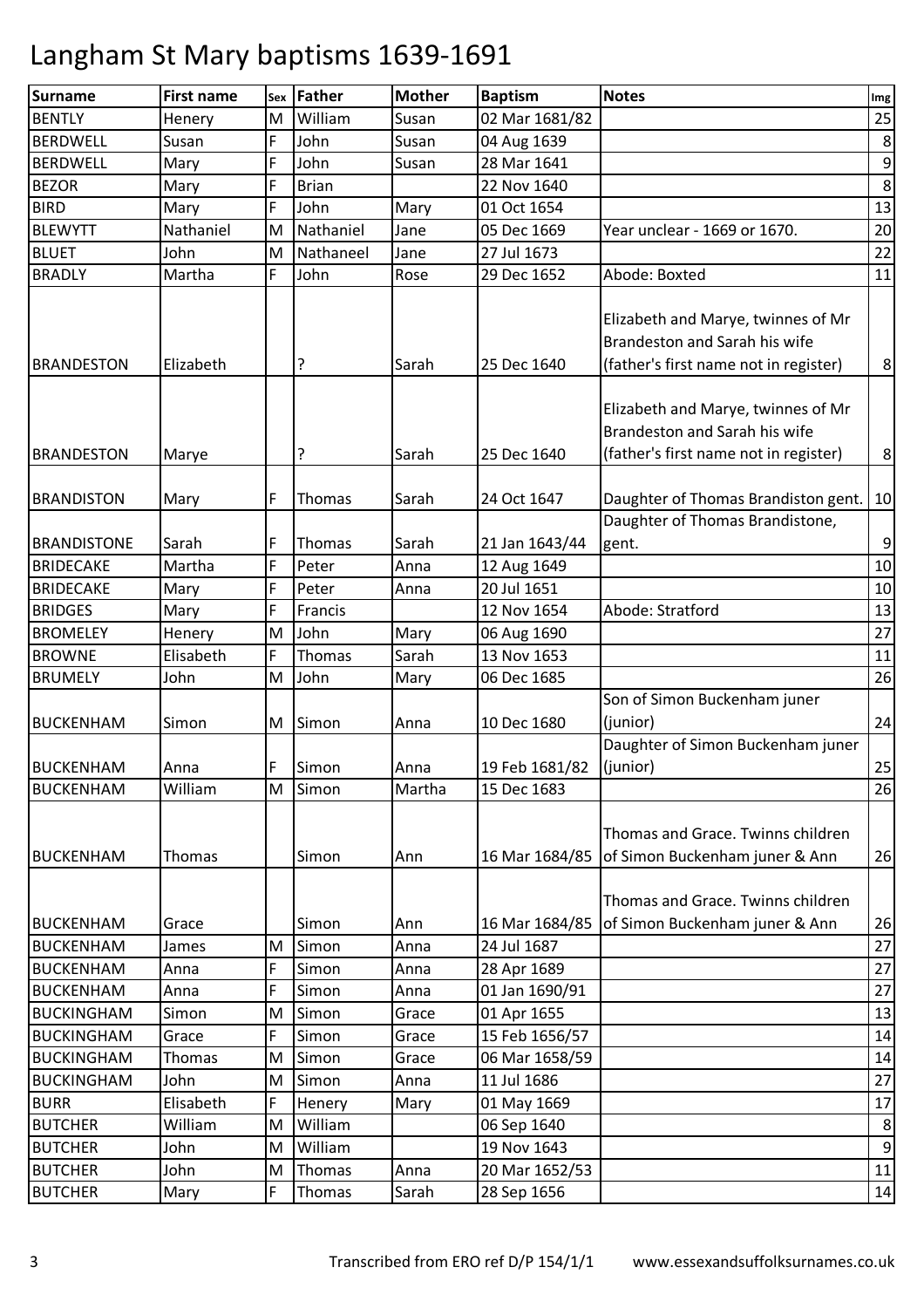| <b>Surname</b>     | <b>First name</b> | Sex | Father       | <b>Mother</b> | <b>Baptism</b> | <b>Notes</b>                                                                                                 | Img            |
|--------------------|-------------------|-----|--------------|---------------|----------------|--------------------------------------------------------------------------------------------------------------|----------------|
| <b>BENTLY</b>      | Henery            | M   | William      | Susan         | 02 Mar 1681/82 |                                                                                                              | 25             |
| <b>BERDWELL</b>    | Susan             | F   | John         | Susan         | 04 Aug 1639    |                                                                                                              | 8              |
| <b>BERDWELL</b>    | Mary              | F   | John         | Susan         | 28 Mar 1641    |                                                                                                              | 9              |
| <b>BEZOR</b>       | Mary              | F   | <b>Brian</b> |               | 22 Nov 1640    |                                                                                                              | 8              |
| <b>BIRD</b>        | Mary              | F   | John         | Mary          | 01 Oct 1654    |                                                                                                              | 13             |
| <b>BLEWYTT</b>     | Nathaniel         | M   | Nathaniel    | Jane          | 05 Dec 1669    | Year unclear - 1669 or 1670.                                                                                 | 20             |
| <b>BLUET</b>       | John              | M   | Nathaneel    | Jane          | 27 Jul 1673    |                                                                                                              | 22             |
| <b>BRADLY</b>      | Martha            | F   | John         | Rose          | 29 Dec 1652    | Abode: Boxted                                                                                                | 11             |
| <b>BRANDESTON</b>  | Elizabeth         |     | ?            | Sarah         | 25 Dec 1640    | Elizabeth and Marye, twinnes of Mr<br>Brandeston and Sarah his wife<br>(father's first name not in register) | 8              |
| <b>BRANDESTON</b>  | Marye             |     | ?            | Sarah         | 25 Dec 1640    | Elizabeth and Marye, twinnes of Mr<br>Brandeston and Sarah his wife<br>(father's first name not in register) | 8              |
| <b>BRANDISTON</b>  | Mary              | F   | Thomas       | Sarah         | 24 Oct 1647    | Daughter of Thomas Brandiston gent.                                                                          | 10             |
| <b>BRANDISTONE</b> | Sarah             | F   | Thomas       | Sarah         | 21 Jan 1643/44 | Daughter of Thomas Brandistone,<br>gent.                                                                     | $9\,$          |
| <b>BRIDECAKE</b>   | Martha            | F   | Peter        | Anna          | 12 Aug 1649    |                                                                                                              | 10             |
| <b>BRIDECAKE</b>   | Mary              | F   | Peter        | Anna          | 20 Jul 1651    |                                                                                                              | 10             |
| <b>BRIDGES</b>     | Mary              | F   | Francis      |               | 12 Nov 1654    | Abode: Stratford                                                                                             | 13             |
| <b>BROMELEY</b>    | Henery            | M   | John         | Mary          | 06 Aug 1690    |                                                                                                              | 27             |
| <b>BROWNE</b>      | Elisabeth         | F   | Thomas       | Sarah         | 13 Nov 1653    |                                                                                                              | 11             |
| <b>BRUMELY</b>     | John              | M   | John         | Mary          | 06 Dec 1685    |                                                                                                              | 26             |
|                    |                   |     |              |               |                | Son of Simon Buckenham juner                                                                                 |                |
| <b>BUCKENHAM</b>   | Simon             | M   | Simon        | Anna          | 10 Dec 1680    | (junior)                                                                                                     | 24             |
| <b>BUCKENHAM</b>   | Anna              | F   | Simon        | Anna          | 19 Feb 1681/82 | Daughter of Simon Buckenham juner<br>(junior)                                                                | 25             |
| <b>BUCKENHAM</b>   | William           | M   | Simon        | Martha        | 15 Dec 1683    |                                                                                                              | 26             |
| <b>BUCKENHAM</b>   | Thomas            |     | Simon        | Ann           | 16 Mar 1684/85 | Thomas and Grace. Twinns children<br>of Simon Buckenham juner & Ann                                          | 26             |
| <b>BUCKENHAM</b>   | Grace             |     | Simon        | Ann           | 16 Mar 1684/85 | Thomas and Grace. Twinns children<br>of Simon Buckenham juner & Ann                                          | 26             |
| <b>BUCKENHAM</b>   | James             | M   | Simon        | Anna          | 24 Jul 1687    |                                                                                                              | 27             |
| <b>BUCKENHAM</b>   | Anna              | F   | Simon        | Anna          | 28 Apr 1689    |                                                                                                              | 27             |
| <b>BUCKENHAM</b>   | Anna              | F   | Simon        | Anna          | 01 Jan 1690/91 |                                                                                                              | 27             |
| <b>BUCKINGHAM</b>  | Simon             | M   | Simon        | Grace         | 01 Apr 1655    |                                                                                                              | 13             |
| <b>BUCKINGHAM</b>  | Grace             | F   | Simon        | Grace         | 15 Feb 1656/57 |                                                                                                              | 14             |
| <b>BUCKINGHAM</b>  | Thomas            | M   | Simon        | Grace         | 06 Mar 1658/59 |                                                                                                              | 14             |
| <b>BUCKINGHAM</b>  | John              | M   | Simon        | Anna          | 11 Jul 1686    |                                                                                                              | 27             |
| <b>BURR</b>        | Elisabeth         | F   | Henery       | Mary          | 01 May 1669    |                                                                                                              | 17             |
| <b>BUTCHER</b>     | William           | M   | William      |               | 06 Sep 1640    |                                                                                                              | 8              |
| <b>BUTCHER</b>     | John              | M   | William      |               | 19 Nov 1643    |                                                                                                              | $\overline{9}$ |
| <b>BUTCHER</b>     | John              | M   | Thomas       | Anna          | 20 Mar 1652/53 |                                                                                                              | 11             |
| <b>BUTCHER</b>     | Mary              | F   | Thomas       | Sarah         | 28 Sep 1656    |                                                                                                              | 14             |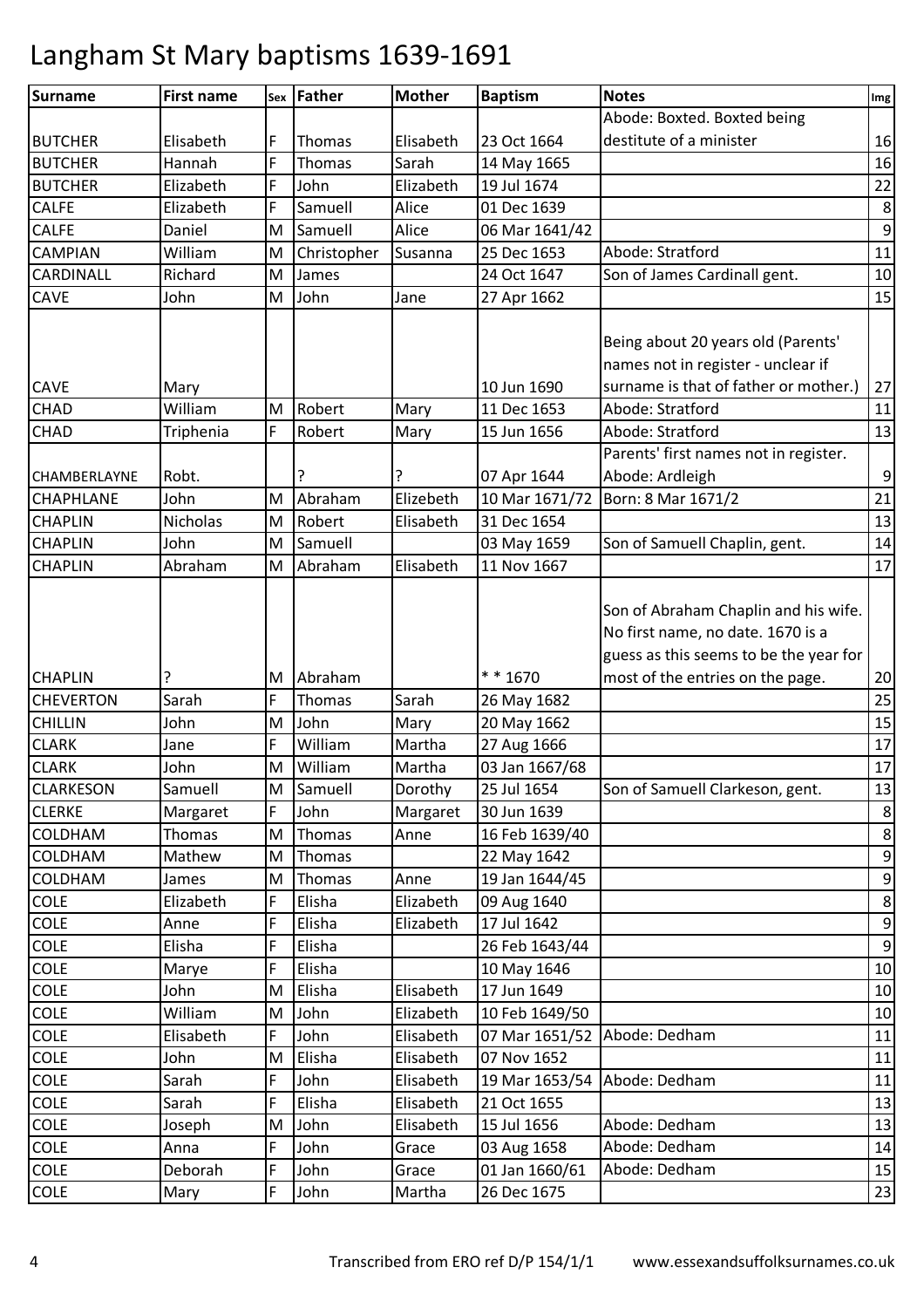| Surname                         | <b>First name</b> |        | sex Father         | <b>Mother</b>          | <b>Baptism</b>                | <b>Notes</b>                                                                                                        | Img                   |
|---------------------------------|-------------------|--------|--------------------|------------------------|-------------------------------|---------------------------------------------------------------------------------------------------------------------|-----------------------|
|                                 |                   |        |                    |                        |                               | Abode: Boxted. Boxted being                                                                                         |                       |
| <b>BUTCHER</b>                  | Elisabeth         | F      | Thomas             | Elisabeth              | 23 Oct 1664                   | destitute of a minister                                                                                             | 16                    |
| <b>BUTCHER</b>                  | Hannah            | F      | Thomas             | Sarah                  | 14 May 1665                   |                                                                                                                     | 16                    |
| <b>BUTCHER</b>                  | Elizabeth         | F      | John               | Elizabeth              | 19 Jul 1674                   |                                                                                                                     | 22                    |
| <b>CALFE</b>                    | Elizabeth         | F      | Samuell            | Alice                  | 01 Dec 1639                   |                                                                                                                     | $\,8\,$               |
| <b>CALFE</b>                    | Daniel            | M      | Samuell            | Alice                  | 06 Mar 1641/42                |                                                                                                                     | $\boldsymbol{9}$      |
| <b>CAMPIAN</b>                  | William           | M      | Christopher        | Susanna                | 25 Dec 1653                   | Abode: Stratford                                                                                                    | 11                    |
| CARDINALL                       | Richard           | M      | James              |                        | 24 Oct 1647                   | Son of James Cardinall gent.                                                                                        | 10                    |
| CAVE                            | John              | M      | John               | Jane                   | 27 Apr 1662                   |                                                                                                                     | 15                    |
| CAVE                            | Mary              |        |                    |                        | 10 Jun 1690                   | Being about 20 years old (Parents'<br>names not in register - unclear if<br>surname is that of father or mother.)   | $27\,$                |
| CHAD                            | William           | M      | Robert             | Mary                   | 11 Dec 1653                   | Abode: Stratford                                                                                                    | 11                    |
| CHAD                            | Triphenia         | F      | Robert             | Mary                   | 15 Jun 1656                   | Abode: Stratford                                                                                                    | 13                    |
| CHAMBERLAYNE                    | Robt.             |        |                    | ?                      | 07 Apr 1644                   | Parents' first names not in register.<br>Abode: Ardleigh                                                            | $\boldsymbol{9}$      |
| CHAPHLANE                       | John              | M      | Abraham            | Elizebeth              | 10 Mar 1671/72                | Born: 8 Mar 1671/2                                                                                                  | 21                    |
| <b>CHAPLIN</b>                  | Nicholas          | M      | Robert             | Elisabeth              | 31 Dec 1654                   |                                                                                                                     | 13                    |
| <b>CHAPLIN</b>                  | John              | M      | Samuell            |                        | 03 May 1659                   | Son of Samuell Chaplin, gent.                                                                                       | 14                    |
| <b>CHAPLIN</b>                  | Abraham           | M      | Abraham            | Elisabeth              | 11 Nov 1667                   |                                                                                                                     | 17                    |
| <b>CHAPLIN</b>                  |                   |        | Abraham            |                        | * * 1670                      | Son of Abraham Chaplin and his wife.<br>No first name, no date. 1670 is a<br>guess as this seems to be the year for |                       |
|                                 | ?                 | M      |                    |                        |                               | most of the entries on the page.                                                                                    | 20                    |
| <b>CHEVERTON</b>                | Sarah             | F      | Thomas             | Sarah                  | 26 May 1682                   |                                                                                                                     | 25                    |
| <b>CHILLIN</b>                  | John              | M      | John               | Mary                   | 20 May 1662                   |                                                                                                                     | 15                    |
| <b>CLARK</b>                    | Jane              | F      | William<br>William | Martha                 | 27 Aug 1666                   |                                                                                                                     | 17                    |
| <b>CLARK</b>                    | John              | M      |                    | Martha                 | 03 Jan 1667/68                |                                                                                                                     | 17                    |
| <b>CLARKESON</b>                | Samuell           | M      | Samuell            | Dorothy                | 25 Jul 1654                   | Son of Samuell Clarkeson, gent.                                                                                     | 13                    |
| <b>CLERKE</b><br><b>COLDHAM</b> | Margaret          | F      | John               | Margaret               | 30 Jun 1639<br>16 Feb 1639/40 |                                                                                                                     | 8<br>$\,8\,$          |
|                                 | Thomas            | M      | Thomas             | Anne                   |                               |                                                                                                                     | $\boldsymbol{9}$      |
| COLDHAM<br><b>COLDHAM</b>       | Mathew<br>James   | M<br>M | Thomas             | Anne                   | 22 May 1642<br>19 Jan 1644/45 |                                                                                                                     | $\boldsymbol{9}$      |
|                                 | Elizabeth         |        | Thomas<br>Elisha   |                        |                               |                                                                                                                     |                       |
| <b>COLE</b><br>COLE             |                   | F<br>F | Elisha             | Elizabeth<br>Elizabeth | 09 Aug 1640<br>17 Jul 1642    |                                                                                                                     | 8<br>$\boldsymbol{9}$ |
| <b>COLE</b>                     | Anne<br>Elisha    | F      | Elisha             |                        | 26 Feb 1643/44                |                                                                                                                     | $\overline{9}$        |
| COLE                            | Marye             | F      | Elisha             |                        | 10 May 1646                   |                                                                                                                     | 10                    |
| COLE                            | John              | M      | Elisha             | Elisabeth              | 17 Jun 1649                   |                                                                                                                     | 10                    |
| COLE                            | William           | M      | John               | Elizabeth              | 10 Feb 1649/50                |                                                                                                                     | 10                    |
| COLE                            | Elisabeth         | F      | John               | Elisabeth              | 07 Mar 1651/52                | Abode: Dedham                                                                                                       | 11                    |
| <b>COLE</b>                     | John              | M      | Elisha             | Elisabeth              | 07 Nov 1652                   |                                                                                                                     | 11                    |
| COLE                            | Sarah             | F      | John               | Elisabeth              | 19 Mar 1653/54                | Abode: Dedham                                                                                                       | 11                    |
| COLE                            | Sarah             | F      | Elisha             | Elisabeth              | 21 Oct 1655                   |                                                                                                                     | 13                    |
| COLE                            | Joseph            | M      | John               | Elisabeth              | 15 Jul 1656                   | Abode: Dedham                                                                                                       | 13                    |
| COLE                            | Anna              | F      | John               | Grace                  | 03 Aug 1658                   | Abode: Dedham                                                                                                       | 14                    |
| <b>COLE</b>                     | Deborah           | F      | John               | Grace                  | 01 Jan 1660/61                | Abode: Dedham                                                                                                       | 15                    |
| COLE                            | Mary              | F      | John               | Martha                 | 26 Dec 1675                   |                                                                                                                     | 23                    |
|                                 |                   |        |                    |                        |                               |                                                                                                                     |                       |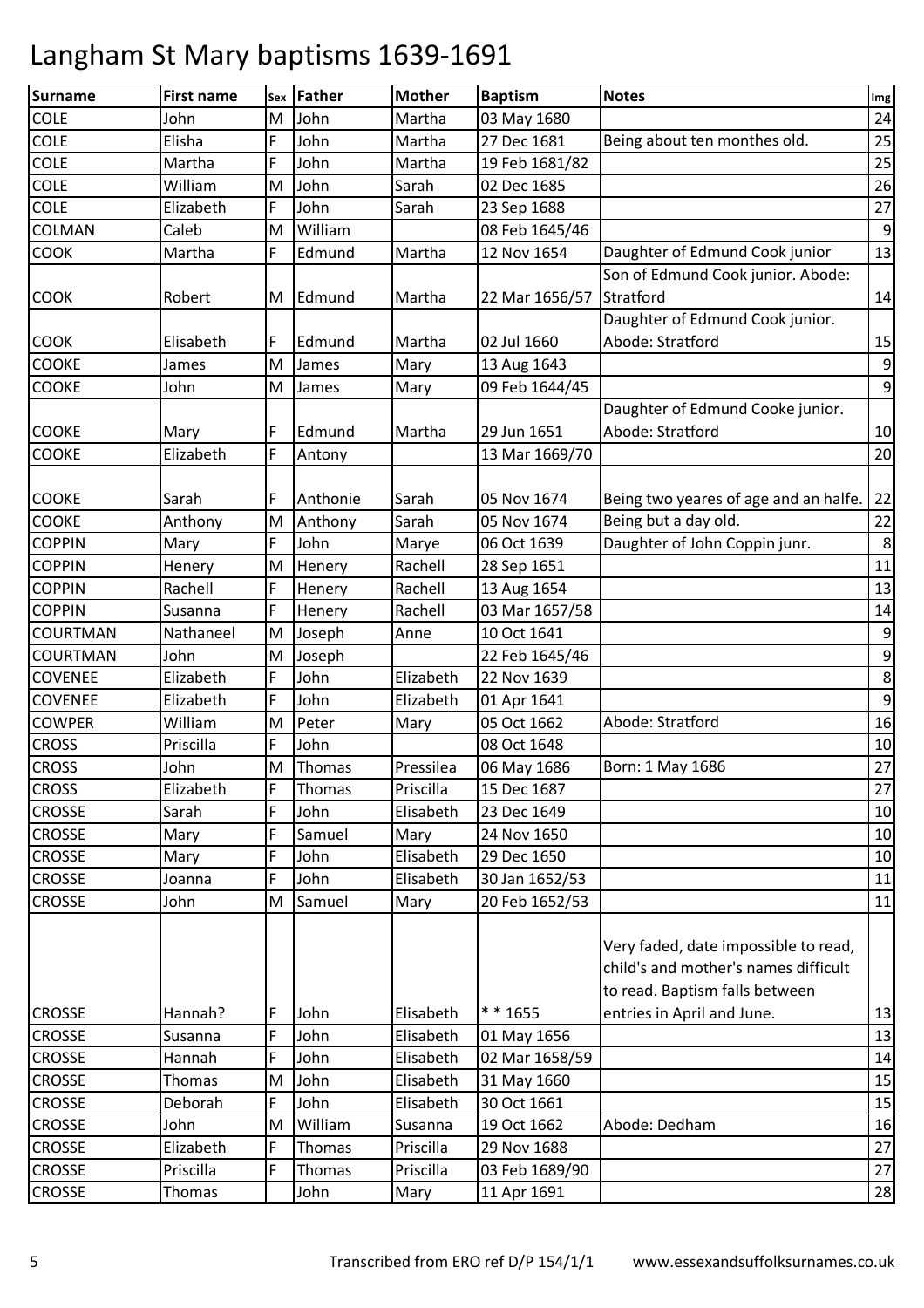| <b>Surname</b> | <b>First name</b> | Sex | Father   | <b>Mother</b> | <b>Baptism</b> | <b>Notes</b>                                                                                                   | Img              |
|----------------|-------------------|-----|----------|---------------|----------------|----------------------------------------------------------------------------------------------------------------|------------------|
| <b>COLE</b>    | John              | M   | John     | Martha        | 03 May 1680    |                                                                                                                | 24               |
| COLE           | Elisha            | F   | John     | Martha        | 27 Dec 1681    | Being about ten monthes old.                                                                                   | 25               |
| COLE           | Martha            | F   | John     | Martha        | 19 Feb 1681/82 |                                                                                                                | 25               |
| COLE           | William           | M   | John     | Sarah         | 02 Dec 1685    |                                                                                                                | 26               |
| <b>COLE</b>    | Elizabeth         | F   | John     | Sarah         | 23 Sep 1688    |                                                                                                                | 27               |
| COLMAN         | Caleb             | M   | William  |               | 08 Feb 1645/46 |                                                                                                                | $\boldsymbol{9}$ |
| <b>COOK</b>    | Martha            | F   | Edmund   | Martha        | 12 Nov 1654    | Daughter of Edmund Cook junior                                                                                 | 13               |
|                |                   |     |          |               |                | Son of Edmund Cook junior. Abode:                                                                              |                  |
| <b>COOK</b>    | Robert            | M   | Edmund   | Martha        | 22 Mar 1656/57 | Stratford                                                                                                      | 14               |
|                |                   |     |          |               |                | Daughter of Edmund Cook junior.                                                                                |                  |
| <b>COOK</b>    | Elisabeth         | F   | Edmund   | Martha        | 02 Jul 1660    | Abode: Stratford                                                                                               | 15               |
| <b>COOKE</b>   | James             | M   | James    | Mary          | 13 Aug 1643    |                                                                                                                | $\boldsymbol{9}$ |
| <b>COOKE</b>   | John              | M   | James    | Mary          | 09 Feb 1644/45 |                                                                                                                | $\boldsymbol{9}$ |
|                |                   |     |          |               |                | Daughter of Edmund Cooke junior.                                                                               |                  |
| <b>COOKE</b>   | Mary              | F   | Edmund   | Martha        | 29 Jun 1651    | Abode: Stratford                                                                                               | 10               |
| <b>COOKE</b>   | Elizabeth         | F   | Antony   |               | 13 Mar 1669/70 |                                                                                                                | 20               |
|                |                   |     |          |               |                |                                                                                                                |                  |
| <b>COOKE</b>   | Sarah             | F   | Anthonie | Sarah         | 05 Nov 1674    | Being two yeares of age and an halfe.                                                                          | 22               |
| COOKE          | Anthony           | M   | Anthony  | Sarah         | 05 Nov 1674    | Being but a day old.                                                                                           | 22               |
| <b>COPPIN</b>  | Mary              | F   | John     | Marye         | 06 Oct 1639    | Daughter of John Coppin junr.                                                                                  | $\,8\,$          |
| <b>COPPIN</b>  | Henery            | M   | Henery   | Rachell       | 28 Sep 1651    |                                                                                                                | $11\,$           |
| <b>COPPIN</b>  | Rachell           | F   | Henery   | Rachell       | 13 Aug 1654    |                                                                                                                | 13               |
| <b>COPPIN</b>  | Susanna           | F   | Henery   | Rachell       | 03 Mar 1657/58 |                                                                                                                | 14               |
| COURTMAN       | Nathaneel         | M   | Joseph   | Anne          | 10 Oct 1641    |                                                                                                                | $\boldsymbol{9}$ |
| COURTMAN       | John              | M   | Joseph   |               | 22 Feb 1645/46 |                                                                                                                | $\boldsymbol{9}$ |
| <b>COVENEE</b> | Elizabeth         | F   | John     | Elizabeth     | 22 Nov 1639    |                                                                                                                | $\,8\,$          |
| <b>COVENEE</b> | Elizabeth         | F   | John     | Elizabeth     | 01 Apr 1641    |                                                                                                                | $\boldsymbol{9}$ |
| <b>COWPER</b>  | William           | M   | Peter    | Mary          | 05 Oct 1662    | Abode: Stratford                                                                                               | 16               |
| <b>CROSS</b>   | Priscilla         | F   | John     |               | 08 Oct 1648    |                                                                                                                | 10               |
| <b>CROSS</b>   | John              | M   | Thomas   | Pressilea     | 06 May 1686    | Born: 1 May 1686                                                                                               | 27               |
| <b>CROSS</b>   | Elizabeth         | F   | Thomas   | Priscilla     | 15 Dec 1687    |                                                                                                                | 27               |
| CROSSE         | Sarah             | F   | John     | Elisabeth     | 23 Dec 1649    |                                                                                                                | 10               |
| <b>CROSSE</b>  | Mary              | F   | Samuel   | Mary          | 24 Nov 1650    |                                                                                                                | 10               |
| CROSSE         | Mary              | F   | John     | Elisabeth     | 29 Dec 1650    |                                                                                                                | 10               |
| CROSSE         | Joanna            | F   | John     | Elisabeth     | 30 Jan 1652/53 |                                                                                                                | 11               |
| <b>CROSSE</b>  | John              | M   | Samuel   | Mary          | 20 Feb 1652/53 |                                                                                                                | 11               |
|                |                   |     |          |               |                | Very faded, date impossible to read,<br>child's and mother's names difficult<br>to read. Baptism falls between |                  |
| <b>CROSSE</b>  | Hannah?           | F   | John     | Elisabeth     | * * 1655       | entries in April and June.                                                                                     | 13               |
| CROSSE         | Susanna           | F   | John     | Elisabeth     | 01 May 1656    |                                                                                                                | 13               |
| <b>CROSSE</b>  | Hannah            | F   | John     | Elisabeth     | 02 Mar 1658/59 |                                                                                                                | 14               |
| CROSSE         | Thomas            | M   | John     | Elisabeth     | 31 May 1660    |                                                                                                                | 15               |
| <b>CROSSE</b>  | Deborah           | F   | John     | Elisabeth     | 30 Oct 1661    |                                                                                                                | 15               |
| <b>CROSSE</b>  | John              | M   | William  | Susanna       | 19 Oct 1662    | Abode: Dedham                                                                                                  | 16               |
| CROSSE         | Elizabeth         | F   | Thomas   | Priscilla     | 29 Nov 1688    |                                                                                                                | 27               |
| CROSSE         | Priscilla         | F   | Thomas   | Priscilla     | 03 Feb 1689/90 |                                                                                                                | 27               |
| <b>CROSSE</b>  | Thomas            |     | John     | Mary          | 11 Apr 1691    |                                                                                                                | 28               |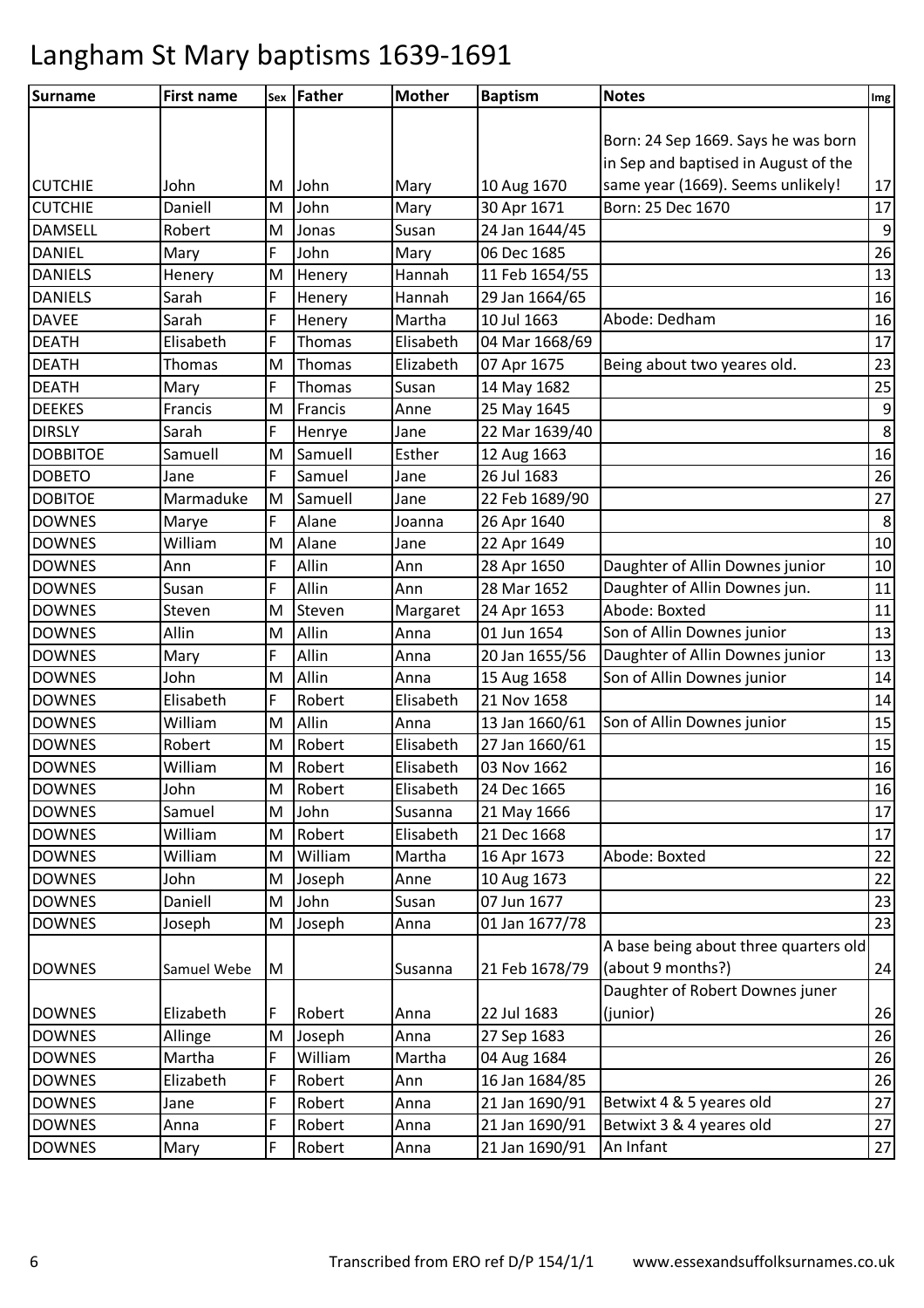| <b>Surname</b>  | <b>First name</b> |    | sex Father  | <b>Mother</b> | <b>Baptism</b> | <b>Notes</b>                          | Img              |
|-----------------|-------------------|----|-------------|---------------|----------------|---------------------------------------|------------------|
|                 |                   |    |             |               |                |                                       |                  |
|                 |                   |    |             |               |                | Born: 24 Sep 1669. Says he was born   |                  |
|                 |                   |    |             |               |                | in Sep and baptised in August of the  |                  |
| <b>CUTCHIE</b>  | John              | M  | <b>John</b> | Mary          | 10 Aug 1670    | same year (1669). Seems unlikely!     | 17               |
| <b>CUTCHIE</b>  | Daniell           | M  | John        | Mary          | 30 Apr 1671    | Born: 25 Dec 1670                     | 17               |
| <b>DAMSELL</b>  | Robert            | M  | Jonas       | Susan         | 24 Jan 1644/45 |                                       | $\boldsymbol{9}$ |
| <b>DANIEL</b>   | Mary              | F  | John        | Mary          | 06 Dec 1685    |                                       | 26               |
| <b>DANIELS</b>  | Henery            | M  | Henery      | Hannah        | 11 Feb 1654/55 |                                       | 13               |
| <b>DANIELS</b>  | Sarah             | F  | Henery      | Hannah        | 29 Jan 1664/65 |                                       | 16               |
| <b>DAVEE</b>    | Sarah             | F  | Henery      | Martha        | 10 Jul 1663    | Abode: Dedham                         | 16               |
| <b>DEATH</b>    | Elisabeth         | F  | Thomas      | Elisabeth     | 04 Mar 1668/69 |                                       | 17               |
| <b>DEATH</b>    | Thomas            | M  | Thomas      | Elizabeth     | 07 Apr 1675    | Being about two yeares old.           | 23               |
| <b>DEATH</b>    | Mary              | F  | Thomas      | Susan         | 14 May 1682    |                                       | 25               |
| <b>DEEKES</b>   | Francis           | M  | Francis     | Anne          | 25 May 1645    |                                       | 9                |
| <b>DIRSLY</b>   | Sarah             | F  | Henrye      | Jane          | 22 Mar 1639/40 |                                       | $\overline{8}$   |
| <b>DOBBITOE</b> | Samuell           | M  | Samuell     | Esther        | 12 Aug 1663    |                                       | 16               |
| <b>DOBETO</b>   | Jane              | F  | Samuel      | Jane          | 26 Jul 1683    |                                       | 26               |
| <b>DOBITOE</b>  | Marmaduke         | ΙM | Samuell     | Jane          | 22 Feb 1689/90 |                                       | 27               |
| <b>DOWNES</b>   | Marye             | F  | Alane       | Joanna        | 26 Apr 1640    |                                       | $\bf 8$          |
| <b>DOWNES</b>   | William           | M  | Alane       | Jane          | 22 Apr 1649    |                                       | 10               |
| <b>DOWNES</b>   | Ann               | F  | Allin       | Ann           | 28 Apr 1650    | Daughter of Allin Downes junior       | 10               |
| <b>DOWNES</b>   | Susan             | F  | Allin       | Ann           | 28 Mar 1652    | Daughter of Allin Downes jun.         | $11\,$           |
| <b>DOWNES</b>   | Steven            | M  | Steven      | Margaret      | 24 Apr 1653    | Abode: Boxted                         | 11               |
| <b>DOWNES</b>   | Allin             | M  | Allin       | Anna          | 01 Jun 1654    | Son of Allin Downes junior            | 13               |
| <b>DOWNES</b>   | Mary              | F  | Allin       | Anna          | 20 Jan 1655/56 | Daughter of Allin Downes junior       | 13               |
| <b>DOWNES</b>   | John              | M  | Allin       | Anna          | 15 Aug 1658    | Son of Allin Downes junior            | 14               |
| <b>DOWNES</b>   | Elisabeth         | F  | Robert      | Elisabeth     | 21 Nov 1658    |                                       | 14               |
| <b>DOWNES</b>   | William           | M  | Allin       | Anna          | 13 Jan 1660/61 | Son of Allin Downes junior            | 15               |
| <b>DOWNES</b>   | Robert            | M  | Robert      | Elisabeth     | 27 Jan 1660/61 |                                       | 15               |
| <b>DOWNES</b>   | William           | M  | Robert      | Elisabeth     | 03 Nov 1662    |                                       | 16               |
| <b>DOWNES</b>   | John              | M  | Robert      | Elisabeth     | 24 Dec 1665    |                                       | 16               |
| <b>DOWNES</b>   | Samuel            | M  | John        | Susanna       | 21 May 1666    |                                       | 17               |
| <b>DOWNES</b>   | William           | M  | Robert      | Elisabeth     | 21 Dec 1668    |                                       | 17               |
| <b>DOWNES</b>   | William           | M  | William     | Martha        | 16 Apr 1673    | Abode: Boxted                         | 22               |
| <b>DOWNES</b>   | John              | M  | Joseph      | Anne          | 10 Aug 1673    |                                       | 22               |
| <b>DOWNES</b>   | Daniell           | M  | John        | Susan         | 07 Jun 1677    |                                       | 23               |
| <b>DOWNES</b>   | Joseph            | M  | Joseph      | Anna          | 01 Jan 1677/78 |                                       | 23               |
|                 |                   |    |             |               |                | A base being about three quarters old |                  |
| <b>DOWNES</b>   | Samuel Webe       | M  |             | Susanna       | 21 Feb 1678/79 | (about 9 months?)                     | 24               |
|                 |                   |    |             |               |                | Daughter of Robert Downes juner       |                  |
| <b>DOWNES</b>   | Elizabeth         | F  | Robert      | Anna          | 22 Jul 1683    | (junior)                              | 26               |
| <b>DOWNES</b>   | Allinge           | M  | Joseph      | Anna          | 27 Sep 1683    |                                       | 26               |
| <b>DOWNES</b>   | Martha            | F  | William     | Martha        | 04 Aug 1684    |                                       | 26               |
| <b>DOWNES</b>   | Elizabeth         | F  | Robert      | Ann           | 16 Jan 1684/85 |                                       | 26               |
| <b>DOWNES</b>   | Jane              | F  | Robert      | Anna          | 21 Jan 1690/91 | Betwixt 4 & 5 yeares old              | 27               |
| <b>DOWNES</b>   | Anna              | F  | Robert      | Anna          | 21 Jan 1690/91 | Betwixt 3 & 4 yeares old              | 27               |
| <b>DOWNES</b>   | Mary              | F  | Robert      | Anna          | 21 Jan 1690/91 | An Infant                             | 27               |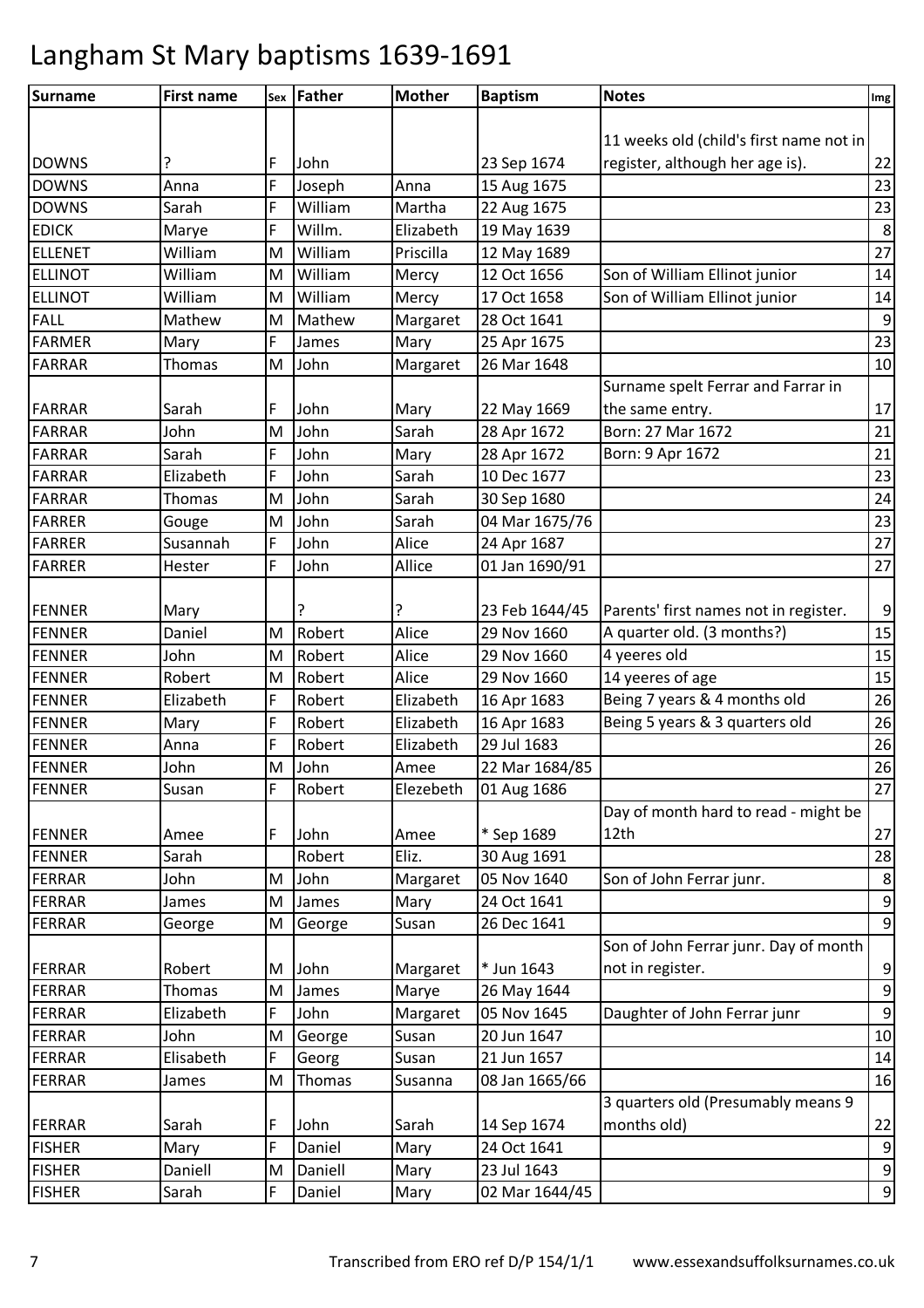| 11 weeks old (child's first name not in<br>register, although her age is).<br>22<br><b>DOWNS</b><br>F<br>23 Sep 1674<br>John<br>F<br>23<br><b>DOWNS</b><br>Joseph<br>15 Aug 1675<br>Anna<br>Anna<br>23<br><b>DOWNS</b><br>F<br>William<br>Martha<br>22 Aug 1675<br>Sarah<br>$\,8\,$<br><b>EDICK</b><br>F<br>Willm.<br>Elizabeth<br>19 May 1639<br>Marye<br>27<br><b>ELLENET</b><br>William<br>William<br>Priscilla<br>12 May 1689<br>M<br><b>ELLINOT</b><br>William<br>Son of William Ellinot junior<br>William<br>12 Oct 1656<br>14<br>M<br>Mercy<br><b>ELLINOT</b><br>William<br>Son of William Ellinot junior<br>William<br>17 Oct 1658<br>14<br>M<br>Mercy<br><b>FALL</b><br>$\boldsymbol{9}$<br>Mathew<br>Margaret<br>28 Oct 1641<br>Mathew<br>M<br>23<br><b>FARMER</b><br>F<br>25 Apr 1675<br>Mary<br>James<br>Mary<br>10<br><b>FARRAR</b><br>26 Mar 1648<br>Thomas<br>M<br>John<br>Margaret<br>Surname spelt Ferrar and Farrar in<br>17<br>F<br>John<br>22 May 1669<br>the same entry.<br>Sarah<br>Mary<br>Sarah<br>Born: 27 Mar 1672<br><b>FARRAR</b><br>John<br>M<br>John<br>28 Apr 1672<br>21<br>F<br>21<br>FARRAR<br>Sarah<br>John<br>28 Apr 1672<br>Mary<br>Born: 9 Apr 1672<br>23<br>F<br><b>FARRAR</b><br>Elizabeth<br>John<br>Sarah<br>10 Dec 1677<br><b>FARRAR</b><br>Sarah<br>24<br>John<br>30 Sep 1680<br>Thomas<br>M<br>23<br><b>FARRER</b><br>John<br>04 Mar 1675/76<br>M<br>Sarah<br>Gouge<br>27<br><b>FARRER</b><br>Susannah<br>F<br>John<br>Alice<br>24 Apr 1687<br>F<br>27<br><b>FARRER</b><br>John<br>Allice<br>01 Jan 1690/91<br>Hester<br>P<br>?<br>$\boldsymbol{9}$<br>23 Feb 1644/45<br>Parents' first names not in register.<br>Mary<br>15<br>Robert<br>Alice<br>29 Nov 1660<br>A quarter old. (3 months?)<br><b>FENNER</b><br>Daniel<br>M<br>4 yeeres old<br>15<br>Robert<br>Alice<br>29 Nov 1660<br>John<br>M<br>15<br>14 yeeres of age<br><b>FENNER</b><br>Robert<br>Robert<br>Alice<br>29 Nov 1660<br>M<br>Being 7 years & 4 months old<br>26<br><b>FENNER</b><br>Elizabeth<br>F<br>Robert<br>Elizabeth<br>16 Apr 1683<br><b>FENNER</b><br>F<br>Elizabeth<br>16 Apr 1683<br>Being 5 years & 3 quarters old<br>26<br>Robert<br>Mary<br>F<br>26<br><b>FENNER</b><br>Robert<br>Elizabeth<br>29 Jul 1683<br>Anna<br>26<br>John<br>22 Mar 1684/85<br>John<br>M<br>Amee<br>27<br>Susan<br>F<br>Robert<br>Elezebeth<br>01 Aug 1686<br>Day of month hard to read - might be<br>* Sep 1689<br>27<br>12th<br>F<br>John<br>Amee<br>Amee<br><b>FENNER</b><br>Sarah<br>Robert<br>Eliz.<br>30 Aug 1691<br>28<br><b>FERRAR</b><br>05 Nov 1640<br>$\,8\,$<br>John<br>John<br>Margaret<br>Son of John Ferrar junr.<br>M<br>$\boldsymbol{9}$<br>FERRAR<br>24 Oct 1641<br>M<br>Mary<br>James<br>James<br>$9\,$<br>26 Dec 1641<br><b>FERRAR</b><br>George<br>Susan<br>George<br>M<br>Son of John Ferrar junr. Day of month<br>* Jun 1643<br>9<br><b>FERRAR</b><br>Robert<br>not in register.<br>John<br>Margaret<br>M<br><b>FERRAR</b><br>$\boldsymbol{9}$<br>Thomas<br>M<br>James<br>26 May 1644<br>Marye<br>Daughter of John Ferrar junr<br>05 Nov 1645<br>$\boldsymbol{9}$<br>FERRAR<br>Elizabeth<br>F<br>John<br>Margaret<br>20 Jun 1647<br>10<br><b>FERRAR</b><br>John<br>George<br>M<br>Susan<br>Elisabeth<br><b>FERRAR</b><br>F<br>21 Jun 1657<br>Susan<br>14<br>Georg<br><b>FERRAR</b><br>08 Jan 1665/66<br>16<br>M<br>Thomas<br>James<br>Susanna<br>3 quarters old (Presumably means 9<br>months old)<br>14 Sep 1674<br>22<br>F<br>John<br>Sarah<br>Sarah<br><b>FISHER</b><br>F<br>Daniel<br>24 Oct 1641<br>9<br>Mary<br>Mary<br><b>FISHER</b><br>23 Jul 1643<br>Daniell<br>Daniell<br>9<br>Mary<br>M<br>$\boldsymbol{9}$<br><b>FISHER</b><br>F<br>02 Mar 1644/45<br>Sarah<br>Daniel<br>Mary | <b>Surname</b> | <b>First name</b> | sex Father | <b>Mother</b> | <b>Baptism</b> | <b>Notes</b> | Img |
|---------------------------------------------------------------------------------------------------------------------------------------------------------------------------------------------------------------------------------------------------------------------------------------------------------------------------------------------------------------------------------------------------------------------------------------------------------------------------------------------------------------------------------------------------------------------------------------------------------------------------------------------------------------------------------------------------------------------------------------------------------------------------------------------------------------------------------------------------------------------------------------------------------------------------------------------------------------------------------------------------------------------------------------------------------------------------------------------------------------------------------------------------------------------------------------------------------------------------------------------------------------------------------------------------------------------------------------------------------------------------------------------------------------------------------------------------------------------------------------------------------------------------------------------------------------------------------------------------------------------------------------------------------------------------------------------------------------------------------------------------------------------------------------------------------------------------------------------------------------------------------------------------------------------------------------------------------------------------------------------------------------------------------------------------------------------------------------------------------------------------------------------------------------------------------------------------------------------------------------------------------------------------------------------------------------------------------------------------------------------------------------------------------------------------------------------------------------------------------------------------------------------------------------------------------------------------------------------------------------------------------------------------------------------------------------------------------------------------------------------------------------------------------------------------------------------------------------------------------------------------------------------------------------------------------------------------------------------------------------------------------------------------------------------------------------------------------------------------------------------------------------------------------------------------------------------------------------------------------------------------------------------------------------------------------------------------------------------------------------------------------------------------------------------------------------------------------------------------------------------------------------------------------------------------------------------------------------------------------------------------------------------------------------------------------------------------------------------|----------------|-------------------|------------|---------------|----------------|--------------|-----|
|                                                                                                                                                                                                                                                                                                                                                                                                                                                                                                                                                                                                                                                                                                                                                                                                                                                                                                                                                                                                                                                                                                                                                                                                                                                                                                                                                                                                                                                                                                                                                                                                                                                                                                                                                                                                                                                                                                                                                                                                                                                                                                                                                                                                                                                                                                                                                                                                                                                                                                                                                                                                                                                                                                                                                                                                                                                                                                                                                                                                                                                                                                                                                                                                                                                                                                                                                                                                                                                                                                                                                                                                                                                                                                                     |                |                   |            |               |                |              |     |
|                                                                                                                                                                                                                                                                                                                                                                                                                                                                                                                                                                                                                                                                                                                                                                                                                                                                                                                                                                                                                                                                                                                                                                                                                                                                                                                                                                                                                                                                                                                                                                                                                                                                                                                                                                                                                                                                                                                                                                                                                                                                                                                                                                                                                                                                                                                                                                                                                                                                                                                                                                                                                                                                                                                                                                                                                                                                                                                                                                                                                                                                                                                                                                                                                                                                                                                                                                                                                                                                                                                                                                                                                                                                                                                     |                |                   |            |               |                |              |     |
|                                                                                                                                                                                                                                                                                                                                                                                                                                                                                                                                                                                                                                                                                                                                                                                                                                                                                                                                                                                                                                                                                                                                                                                                                                                                                                                                                                                                                                                                                                                                                                                                                                                                                                                                                                                                                                                                                                                                                                                                                                                                                                                                                                                                                                                                                                                                                                                                                                                                                                                                                                                                                                                                                                                                                                                                                                                                                                                                                                                                                                                                                                                                                                                                                                                                                                                                                                                                                                                                                                                                                                                                                                                                                                                     |                |                   |            |               |                |              |     |
|                                                                                                                                                                                                                                                                                                                                                                                                                                                                                                                                                                                                                                                                                                                                                                                                                                                                                                                                                                                                                                                                                                                                                                                                                                                                                                                                                                                                                                                                                                                                                                                                                                                                                                                                                                                                                                                                                                                                                                                                                                                                                                                                                                                                                                                                                                                                                                                                                                                                                                                                                                                                                                                                                                                                                                                                                                                                                                                                                                                                                                                                                                                                                                                                                                                                                                                                                                                                                                                                                                                                                                                                                                                                                                                     |                |                   |            |               |                |              |     |
|                                                                                                                                                                                                                                                                                                                                                                                                                                                                                                                                                                                                                                                                                                                                                                                                                                                                                                                                                                                                                                                                                                                                                                                                                                                                                                                                                                                                                                                                                                                                                                                                                                                                                                                                                                                                                                                                                                                                                                                                                                                                                                                                                                                                                                                                                                                                                                                                                                                                                                                                                                                                                                                                                                                                                                                                                                                                                                                                                                                                                                                                                                                                                                                                                                                                                                                                                                                                                                                                                                                                                                                                                                                                                                                     |                |                   |            |               |                |              |     |
|                                                                                                                                                                                                                                                                                                                                                                                                                                                                                                                                                                                                                                                                                                                                                                                                                                                                                                                                                                                                                                                                                                                                                                                                                                                                                                                                                                                                                                                                                                                                                                                                                                                                                                                                                                                                                                                                                                                                                                                                                                                                                                                                                                                                                                                                                                                                                                                                                                                                                                                                                                                                                                                                                                                                                                                                                                                                                                                                                                                                                                                                                                                                                                                                                                                                                                                                                                                                                                                                                                                                                                                                                                                                                                                     |                |                   |            |               |                |              |     |
|                                                                                                                                                                                                                                                                                                                                                                                                                                                                                                                                                                                                                                                                                                                                                                                                                                                                                                                                                                                                                                                                                                                                                                                                                                                                                                                                                                                                                                                                                                                                                                                                                                                                                                                                                                                                                                                                                                                                                                                                                                                                                                                                                                                                                                                                                                                                                                                                                                                                                                                                                                                                                                                                                                                                                                                                                                                                                                                                                                                                                                                                                                                                                                                                                                                                                                                                                                                                                                                                                                                                                                                                                                                                                                                     |                |                   |            |               |                |              |     |
|                                                                                                                                                                                                                                                                                                                                                                                                                                                                                                                                                                                                                                                                                                                                                                                                                                                                                                                                                                                                                                                                                                                                                                                                                                                                                                                                                                                                                                                                                                                                                                                                                                                                                                                                                                                                                                                                                                                                                                                                                                                                                                                                                                                                                                                                                                                                                                                                                                                                                                                                                                                                                                                                                                                                                                                                                                                                                                                                                                                                                                                                                                                                                                                                                                                                                                                                                                                                                                                                                                                                                                                                                                                                                                                     |                |                   |            |               |                |              |     |
|                                                                                                                                                                                                                                                                                                                                                                                                                                                                                                                                                                                                                                                                                                                                                                                                                                                                                                                                                                                                                                                                                                                                                                                                                                                                                                                                                                                                                                                                                                                                                                                                                                                                                                                                                                                                                                                                                                                                                                                                                                                                                                                                                                                                                                                                                                                                                                                                                                                                                                                                                                                                                                                                                                                                                                                                                                                                                                                                                                                                                                                                                                                                                                                                                                                                                                                                                                                                                                                                                                                                                                                                                                                                                                                     |                |                   |            |               |                |              |     |
|                                                                                                                                                                                                                                                                                                                                                                                                                                                                                                                                                                                                                                                                                                                                                                                                                                                                                                                                                                                                                                                                                                                                                                                                                                                                                                                                                                                                                                                                                                                                                                                                                                                                                                                                                                                                                                                                                                                                                                                                                                                                                                                                                                                                                                                                                                                                                                                                                                                                                                                                                                                                                                                                                                                                                                                                                                                                                                                                                                                                                                                                                                                                                                                                                                                                                                                                                                                                                                                                                                                                                                                                                                                                                                                     |                |                   |            |               |                |              |     |
|                                                                                                                                                                                                                                                                                                                                                                                                                                                                                                                                                                                                                                                                                                                                                                                                                                                                                                                                                                                                                                                                                                                                                                                                                                                                                                                                                                                                                                                                                                                                                                                                                                                                                                                                                                                                                                                                                                                                                                                                                                                                                                                                                                                                                                                                                                                                                                                                                                                                                                                                                                                                                                                                                                                                                                                                                                                                                                                                                                                                                                                                                                                                                                                                                                                                                                                                                                                                                                                                                                                                                                                                                                                                                                                     |                |                   |            |               |                |              |     |
|                                                                                                                                                                                                                                                                                                                                                                                                                                                                                                                                                                                                                                                                                                                                                                                                                                                                                                                                                                                                                                                                                                                                                                                                                                                                                                                                                                                                                                                                                                                                                                                                                                                                                                                                                                                                                                                                                                                                                                                                                                                                                                                                                                                                                                                                                                                                                                                                                                                                                                                                                                                                                                                                                                                                                                                                                                                                                                                                                                                                                                                                                                                                                                                                                                                                                                                                                                                                                                                                                                                                                                                                                                                                                                                     |                |                   |            |               |                |              |     |
|                                                                                                                                                                                                                                                                                                                                                                                                                                                                                                                                                                                                                                                                                                                                                                                                                                                                                                                                                                                                                                                                                                                                                                                                                                                                                                                                                                                                                                                                                                                                                                                                                                                                                                                                                                                                                                                                                                                                                                                                                                                                                                                                                                                                                                                                                                                                                                                                                                                                                                                                                                                                                                                                                                                                                                                                                                                                                                                                                                                                                                                                                                                                                                                                                                                                                                                                                                                                                                                                                                                                                                                                                                                                                                                     |                |                   |            |               |                |              |     |
|                                                                                                                                                                                                                                                                                                                                                                                                                                                                                                                                                                                                                                                                                                                                                                                                                                                                                                                                                                                                                                                                                                                                                                                                                                                                                                                                                                                                                                                                                                                                                                                                                                                                                                                                                                                                                                                                                                                                                                                                                                                                                                                                                                                                                                                                                                                                                                                                                                                                                                                                                                                                                                                                                                                                                                                                                                                                                                                                                                                                                                                                                                                                                                                                                                                                                                                                                                                                                                                                                                                                                                                                                                                                                                                     | <b>FARRAR</b>  |                   |            |               |                |              |     |
|                                                                                                                                                                                                                                                                                                                                                                                                                                                                                                                                                                                                                                                                                                                                                                                                                                                                                                                                                                                                                                                                                                                                                                                                                                                                                                                                                                                                                                                                                                                                                                                                                                                                                                                                                                                                                                                                                                                                                                                                                                                                                                                                                                                                                                                                                                                                                                                                                                                                                                                                                                                                                                                                                                                                                                                                                                                                                                                                                                                                                                                                                                                                                                                                                                                                                                                                                                                                                                                                                                                                                                                                                                                                                                                     |                |                   |            |               |                |              |     |
|                                                                                                                                                                                                                                                                                                                                                                                                                                                                                                                                                                                                                                                                                                                                                                                                                                                                                                                                                                                                                                                                                                                                                                                                                                                                                                                                                                                                                                                                                                                                                                                                                                                                                                                                                                                                                                                                                                                                                                                                                                                                                                                                                                                                                                                                                                                                                                                                                                                                                                                                                                                                                                                                                                                                                                                                                                                                                                                                                                                                                                                                                                                                                                                                                                                                                                                                                                                                                                                                                                                                                                                                                                                                                                                     |                |                   |            |               |                |              |     |
|                                                                                                                                                                                                                                                                                                                                                                                                                                                                                                                                                                                                                                                                                                                                                                                                                                                                                                                                                                                                                                                                                                                                                                                                                                                                                                                                                                                                                                                                                                                                                                                                                                                                                                                                                                                                                                                                                                                                                                                                                                                                                                                                                                                                                                                                                                                                                                                                                                                                                                                                                                                                                                                                                                                                                                                                                                                                                                                                                                                                                                                                                                                                                                                                                                                                                                                                                                                                                                                                                                                                                                                                                                                                                                                     |                |                   |            |               |                |              |     |
|                                                                                                                                                                                                                                                                                                                                                                                                                                                                                                                                                                                                                                                                                                                                                                                                                                                                                                                                                                                                                                                                                                                                                                                                                                                                                                                                                                                                                                                                                                                                                                                                                                                                                                                                                                                                                                                                                                                                                                                                                                                                                                                                                                                                                                                                                                                                                                                                                                                                                                                                                                                                                                                                                                                                                                                                                                                                                                                                                                                                                                                                                                                                                                                                                                                                                                                                                                                                                                                                                                                                                                                                                                                                                                                     |                |                   |            |               |                |              |     |
|                                                                                                                                                                                                                                                                                                                                                                                                                                                                                                                                                                                                                                                                                                                                                                                                                                                                                                                                                                                                                                                                                                                                                                                                                                                                                                                                                                                                                                                                                                                                                                                                                                                                                                                                                                                                                                                                                                                                                                                                                                                                                                                                                                                                                                                                                                                                                                                                                                                                                                                                                                                                                                                                                                                                                                                                                                                                                                                                                                                                                                                                                                                                                                                                                                                                                                                                                                                                                                                                                                                                                                                                                                                                                                                     |                |                   |            |               |                |              |     |
|                                                                                                                                                                                                                                                                                                                                                                                                                                                                                                                                                                                                                                                                                                                                                                                                                                                                                                                                                                                                                                                                                                                                                                                                                                                                                                                                                                                                                                                                                                                                                                                                                                                                                                                                                                                                                                                                                                                                                                                                                                                                                                                                                                                                                                                                                                                                                                                                                                                                                                                                                                                                                                                                                                                                                                                                                                                                                                                                                                                                                                                                                                                                                                                                                                                                                                                                                                                                                                                                                                                                                                                                                                                                                                                     |                |                   |            |               |                |              |     |
|                                                                                                                                                                                                                                                                                                                                                                                                                                                                                                                                                                                                                                                                                                                                                                                                                                                                                                                                                                                                                                                                                                                                                                                                                                                                                                                                                                                                                                                                                                                                                                                                                                                                                                                                                                                                                                                                                                                                                                                                                                                                                                                                                                                                                                                                                                                                                                                                                                                                                                                                                                                                                                                                                                                                                                                                                                                                                                                                                                                                                                                                                                                                                                                                                                                                                                                                                                                                                                                                                                                                                                                                                                                                                                                     |                |                   |            |               |                |              |     |
|                                                                                                                                                                                                                                                                                                                                                                                                                                                                                                                                                                                                                                                                                                                                                                                                                                                                                                                                                                                                                                                                                                                                                                                                                                                                                                                                                                                                                                                                                                                                                                                                                                                                                                                                                                                                                                                                                                                                                                                                                                                                                                                                                                                                                                                                                                                                                                                                                                                                                                                                                                                                                                                                                                                                                                                                                                                                                                                                                                                                                                                                                                                                                                                                                                                                                                                                                                                                                                                                                                                                                                                                                                                                                                                     |                |                   |            |               |                |              |     |
|                                                                                                                                                                                                                                                                                                                                                                                                                                                                                                                                                                                                                                                                                                                                                                                                                                                                                                                                                                                                                                                                                                                                                                                                                                                                                                                                                                                                                                                                                                                                                                                                                                                                                                                                                                                                                                                                                                                                                                                                                                                                                                                                                                                                                                                                                                                                                                                                                                                                                                                                                                                                                                                                                                                                                                                                                                                                                                                                                                                                                                                                                                                                                                                                                                                                                                                                                                                                                                                                                                                                                                                                                                                                                                                     | <b>FENNER</b>  |                   |            |               |                |              |     |
|                                                                                                                                                                                                                                                                                                                                                                                                                                                                                                                                                                                                                                                                                                                                                                                                                                                                                                                                                                                                                                                                                                                                                                                                                                                                                                                                                                                                                                                                                                                                                                                                                                                                                                                                                                                                                                                                                                                                                                                                                                                                                                                                                                                                                                                                                                                                                                                                                                                                                                                                                                                                                                                                                                                                                                                                                                                                                                                                                                                                                                                                                                                                                                                                                                                                                                                                                                                                                                                                                                                                                                                                                                                                                                                     |                |                   |            |               |                |              |     |
|                                                                                                                                                                                                                                                                                                                                                                                                                                                                                                                                                                                                                                                                                                                                                                                                                                                                                                                                                                                                                                                                                                                                                                                                                                                                                                                                                                                                                                                                                                                                                                                                                                                                                                                                                                                                                                                                                                                                                                                                                                                                                                                                                                                                                                                                                                                                                                                                                                                                                                                                                                                                                                                                                                                                                                                                                                                                                                                                                                                                                                                                                                                                                                                                                                                                                                                                                                                                                                                                                                                                                                                                                                                                                                                     | <b>FENNER</b>  |                   |            |               |                |              |     |
|                                                                                                                                                                                                                                                                                                                                                                                                                                                                                                                                                                                                                                                                                                                                                                                                                                                                                                                                                                                                                                                                                                                                                                                                                                                                                                                                                                                                                                                                                                                                                                                                                                                                                                                                                                                                                                                                                                                                                                                                                                                                                                                                                                                                                                                                                                                                                                                                                                                                                                                                                                                                                                                                                                                                                                                                                                                                                                                                                                                                                                                                                                                                                                                                                                                                                                                                                                                                                                                                                                                                                                                                                                                                                                                     |                |                   |            |               |                |              |     |
|                                                                                                                                                                                                                                                                                                                                                                                                                                                                                                                                                                                                                                                                                                                                                                                                                                                                                                                                                                                                                                                                                                                                                                                                                                                                                                                                                                                                                                                                                                                                                                                                                                                                                                                                                                                                                                                                                                                                                                                                                                                                                                                                                                                                                                                                                                                                                                                                                                                                                                                                                                                                                                                                                                                                                                                                                                                                                                                                                                                                                                                                                                                                                                                                                                                                                                                                                                                                                                                                                                                                                                                                                                                                                                                     |                |                   |            |               |                |              |     |
|                                                                                                                                                                                                                                                                                                                                                                                                                                                                                                                                                                                                                                                                                                                                                                                                                                                                                                                                                                                                                                                                                                                                                                                                                                                                                                                                                                                                                                                                                                                                                                                                                                                                                                                                                                                                                                                                                                                                                                                                                                                                                                                                                                                                                                                                                                                                                                                                                                                                                                                                                                                                                                                                                                                                                                                                                                                                                                                                                                                                                                                                                                                                                                                                                                                                                                                                                                                                                                                                                                                                                                                                                                                                                                                     |                |                   |            |               |                |              |     |
|                                                                                                                                                                                                                                                                                                                                                                                                                                                                                                                                                                                                                                                                                                                                                                                                                                                                                                                                                                                                                                                                                                                                                                                                                                                                                                                                                                                                                                                                                                                                                                                                                                                                                                                                                                                                                                                                                                                                                                                                                                                                                                                                                                                                                                                                                                                                                                                                                                                                                                                                                                                                                                                                                                                                                                                                                                                                                                                                                                                                                                                                                                                                                                                                                                                                                                                                                                                                                                                                                                                                                                                                                                                                                                                     |                |                   |            |               |                |              |     |
|                                                                                                                                                                                                                                                                                                                                                                                                                                                                                                                                                                                                                                                                                                                                                                                                                                                                                                                                                                                                                                                                                                                                                                                                                                                                                                                                                                                                                                                                                                                                                                                                                                                                                                                                                                                                                                                                                                                                                                                                                                                                                                                                                                                                                                                                                                                                                                                                                                                                                                                                                                                                                                                                                                                                                                                                                                                                                                                                                                                                                                                                                                                                                                                                                                                                                                                                                                                                                                                                                                                                                                                                                                                                                                                     | <b>FENNER</b>  |                   |            |               |                |              |     |
|                                                                                                                                                                                                                                                                                                                                                                                                                                                                                                                                                                                                                                                                                                                                                                                                                                                                                                                                                                                                                                                                                                                                                                                                                                                                                                                                                                                                                                                                                                                                                                                                                                                                                                                                                                                                                                                                                                                                                                                                                                                                                                                                                                                                                                                                                                                                                                                                                                                                                                                                                                                                                                                                                                                                                                                                                                                                                                                                                                                                                                                                                                                                                                                                                                                                                                                                                                                                                                                                                                                                                                                                                                                                                                                     | <b>FENNER</b>  |                   |            |               |                |              |     |
|                                                                                                                                                                                                                                                                                                                                                                                                                                                                                                                                                                                                                                                                                                                                                                                                                                                                                                                                                                                                                                                                                                                                                                                                                                                                                                                                                                                                                                                                                                                                                                                                                                                                                                                                                                                                                                                                                                                                                                                                                                                                                                                                                                                                                                                                                                                                                                                                                                                                                                                                                                                                                                                                                                                                                                                                                                                                                                                                                                                                                                                                                                                                                                                                                                                                                                                                                                                                                                                                                                                                                                                                                                                                                                                     |                |                   |            |               |                |              |     |
|                                                                                                                                                                                                                                                                                                                                                                                                                                                                                                                                                                                                                                                                                                                                                                                                                                                                                                                                                                                                                                                                                                                                                                                                                                                                                                                                                                                                                                                                                                                                                                                                                                                                                                                                                                                                                                                                                                                                                                                                                                                                                                                                                                                                                                                                                                                                                                                                                                                                                                                                                                                                                                                                                                                                                                                                                                                                                                                                                                                                                                                                                                                                                                                                                                                                                                                                                                                                                                                                                                                                                                                                                                                                                                                     | <b>FENNER</b>  |                   |            |               |                |              |     |
|                                                                                                                                                                                                                                                                                                                                                                                                                                                                                                                                                                                                                                                                                                                                                                                                                                                                                                                                                                                                                                                                                                                                                                                                                                                                                                                                                                                                                                                                                                                                                                                                                                                                                                                                                                                                                                                                                                                                                                                                                                                                                                                                                                                                                                                                                                                                                                                                                                                                                                                                                                                                                                                                                                                                                                                                                                                                                                                                                                                                                                                                                                                                                                                                                                                                                                                                                                                                                                                                                                                                                                                                                                                                                                                     |                |                   |            |               |                |              |     |
|                                                                                                                                                                                                                                                                                                                                                                                                                                                                                                                                                                                                                                                                                                                                                                                                                                                                                                                                                                                                                                                                                                                                                                                                                                                                                                                                                                                                                                                                                                                                                                                                                                                                                                                                                                                                                                                                                                                                                                                                                                                                                                                                                                                                                                                                                                                                                                                                                                                                                                                                                                                                                                                                                                                                                                                                                                                                                                                                                                                                                                                                                                                                                                                                                                                                                                                                                                                                                                                                                                                                                                                                                                                                                                                     |                |                   |            |               |                |              |     |
|                                                                                                                                                                                                                                                                                                                                                                                                                                                                                                                                                                                                                                                                                                                                                                                                                                                                                                                                                                                                                                                                                                                                                                                                                                                                                                                                                                                                                                                                                                                                                                                                                                                                                                                                                                                                                                                                                                                                                                                                                                                                                                                                                                                                                                                                                                                                                                                                                                                                                                                                                                                                                                                                                                                                                                                                                                                                                                                                                                                                                                                                                                                                                                                                                                                                                                                                                                                                                                                                                                                                                                                                                                                                                                                     |                |                   |            |               |                |              |     |
|                                                                                                                                                                                                                                                                                                                                                                                                                                                                                                                                                                                                                                                                                                                                                                                                                                                                                                                                                                                                                                                                                                                                                                                                                                                                                                                                                                                                                                                                                                                                                                                                                                                                                                                                                                                                                                                                                                                                                                                                                                                                                                                                                                                                                                                                                                                                                                                                                                                                                                                                                                                                                                                                                                                                                                                                                                                                                                                                                                                                                                                                                                                                                                                                                                                                                                                                                                                                                                                                                                                                                                                                                                                                                                                     |                |                   |            |               |                |              |     |
|                                                                                                                                                                                                                                                                                                                                                                                                                                                                                                                                                                                                                                                                                                                                                                                                                                                                                                                                                                                                                                                                                                                                                                                                                                                                                                                                                                                                                                                                                                                                                                                                                                                                                                                                                                                                                                                                                                                                                                                                                                                                                                                                                                                                                                                                                                                                                                                                                                                                                                                                                                                                                                                                                                                                                                                                                                                                                                                                                                                                                                                                                                                                                                                                                                                                                                                                                                                                                                                                                                                                                                                                                                                                                                                     |                |                   |            |               |                |              |     |
|                                                                                                                                                                                                                                                                                                                                                                                                                                                                                                                                                                                                                                                                                                                                                                                                                                                                                                                                                                                                                                                                                                                                                                                                                                                                                                                                                                                                                                                                                                                                                                                                                                                                                                                                                                                                                                                                                                                                                                                                                                                                                                                                                                                                                                                                                                                                                                                                                                                                                                                                                                                                                                                                                                                                                                                                                                                                                                                                                                                                                                                                                                                                                                                                                                                                                                                                                                                                                                                                                                                                                                                                                                                                                                                     |                |                   |            |               |                |              |     |
|                                                                                                                                                                                                                                                                                                                                                                                                                                                                                                                                                                                                                                                                                                                                                                                                                                                                                                                                                                                                                                                                                                                                                                                                                                                                                                                                                                                                                                                                                                                                                                                                                                                                                                                                                                                                                                                                                                                                                                                                                                                                                                                                                                                                                                                                                                                                                                                                                                                                                                                                                                                                                                                                                                                                                                                                                                                                                                                                                                                                                                                                                                                                                                                                                                                                                                                                                                                                                                                                                                                                                                                                                                                                                                                     |                |                   |            |               |                |              |     |
|                                                                                                                                                                                                                                                                                                                                                                                                                                                                                                                                                                                                                                                                                                                                                                                                                                                                                                                                                                                                                                                                                                                                                                                                                                                                                                                                                                                                                                                                                                                                                                                                                                                                                                                                                                                                                                                                                                                                                                                                                                                                                                                                                                                                                                                                                                                                                                                                                                                                                                                                                                                                                                                                                                                                                                                                                                                                                                                                                                                                                                                                                                                                                                                                                                                                                                                                                                                                                                                                                                                                                                                                                                                                                                                     |                |                   |            |               |                |              |     |
|                                                                                                                                                                                                                                                                                                                                                                                                                                                                                                                                                                                                                                                                                                                                                                                                                                                                                                                                                                                                                                                                                                                                                                                                                                                                                                                                                                                                                                                                                                                                                                                                                                                                                                                                                                                                                                                                                                                                                                                                                                                                                                                                                                                                                                                                                                                                                                                                                                                                                                                                                                                                                                                                                                                                                                                                                                                                                                                                                                                                                                                                                                                                                                                                                                                                                                                                                                                                                                                                                                                                                                                                                                                                                                                     |                |                   |            |               |                |              |     |
|                                                                                                                                                                                                                                                                                                                                                                                                                                                                                                                                                                                                                                                                                                                                                                                                                                                                                                                                                                                                                                                                                                                                                                                                                                                                                                                                                                                                                                                                                                                                                                                                                                                                                                                                                                                                                                                                                                                                                                                                                                                                                                                                                                                                                                                                                                                                                                                                                                                                                                                                                                                                                                                                                                                                                                                                                                                                                                                                                                                                                                                                                                                                                                                                                                                                                                                                                                                                                                                                                                                                                                                                                                                                                                                     |                |                   |            |               |                |              |     |
|                                                                                                                                                                                                                                                                                                                                                                                                                                                                                                                                                                                                                                                                                                                                                                                                                                                                                                                                                                                                                                                                                                                                                                                                                                                                                                                                                                                                                                                                                                                                                                                                                                                                                                                                                                                                                                                                                                                                                                                                                                                                                                                                                                                                                                                                                                                                                                                                                                                                                                                                                                                                                                                                                                                                                                                                                                                                                                                                                                                                                                                                                                                                                                                                                                                                                                                                                                                                                                                                                                                                                                                                                                                                                                                     |                |                   |            |               |                |              |     |
|                                                                                                                                                                                                                                                                                                                                                                                                                                                                                                                                                                                                                                                                                                                                                                                                                                                                                                                                                                                                                                                                                                                                                                                                                                                                                                                                                                                                                                                                                                                                                                                                                                                                                                                                                                                                                                                                                                                                                                                                                                                                                                                                                                                                                                                                                                                                                                                                                                                                                                                                                                                                                                                                                                                                                                                                                                                                                                                                                                                                                                                                                                                                                                                                                                                                                                                                                                                                                                                                                                                                                                                                                                                                                                                     |                |                   |            |               |                |              |     |
|                                                                                                                                                                                                                                                                                                                                                                                                                                                                                                                                                                                                                                                                                                                                                                                                                                                                                                                                                                                                                                                                                                                                                                                                                                                                                                                                                                                                                                                                                                                                                                                                                                                                                                                                                                                                                                                                                                                                                                                                                                                                                                                                                                                                                                                                                                                                                                                                                                                                                                                                                                                                                                                                                                                                                                                                                                                                                                                                                                                                                                                                                                                                                                                                                                                                                                                                                                                                                                                                                                                                                                                                                                                                                                                     | <b>FERRAR</b>  |                   |            |               |                |              |     |
|                                                                                                                                                                                                                                                                                                                                                                                                                                                                                                                                                                                                                                                                                                                                                                                                                                                                                                                                                                                                                                                                                                                                                                                                                                                                                                                                                                                                                                                                                                                                                                                                                                                                                                                                                                                                                                                                                                                                                                                                                                                                                                                                                                                                                                                                                                                                                                                                                                                                                                                                                                                                                                                                                                                                                                                                                                                                                                                                                                                                                                                                                                                                                                                                                                                                                                                                                                                                                                                                                                                                                                                                                                                                                                                     |                |                   |            |               |                |              |     |
|                                                                                                                                                                                                                                                                                                                                                                                                                                                                                                                                                                                                                                                                                                                                                                                                                                                                                                                                                                                                                                                                                                                                                                                                                                                                                                                                                                                                                                                                                                                                                                                                                                                                                                                                                                                                                                                                                                                                                                                                                                                                                                                                                                                                                                                                                                                                                                                                                                                                                                                                                                                                                                                                                                                                                                                                                                                                                                                                                                                                                                                                                                                                                                                                                                                                                                                                                                                                                                                                                                                                                                                                                                                                                                                     |                |                   |            |               |                |              |     |
|                                                                                                                                                                                                                                                                                                                                                                                                                                                                                                                                                                                                                                                                                                                                                                                                                                                                                                                                                                                                                                                                                                                                                                                                                                                                                                                                                                                                                                                                                                                                                                                                                                                                                                                                                                                                                                                                                                                                                                                                                                                                                                                                                                                                                                                                                                                                                                                                                                                                                                                                                                                                                                                                                                                                                                                                                                                                                                                                                                                                                                                                                                                                                                                                                                                                                                                                                                                                                                                                                                                                                                                                                                                                                                                     |                |                   |            |               |                |              |     |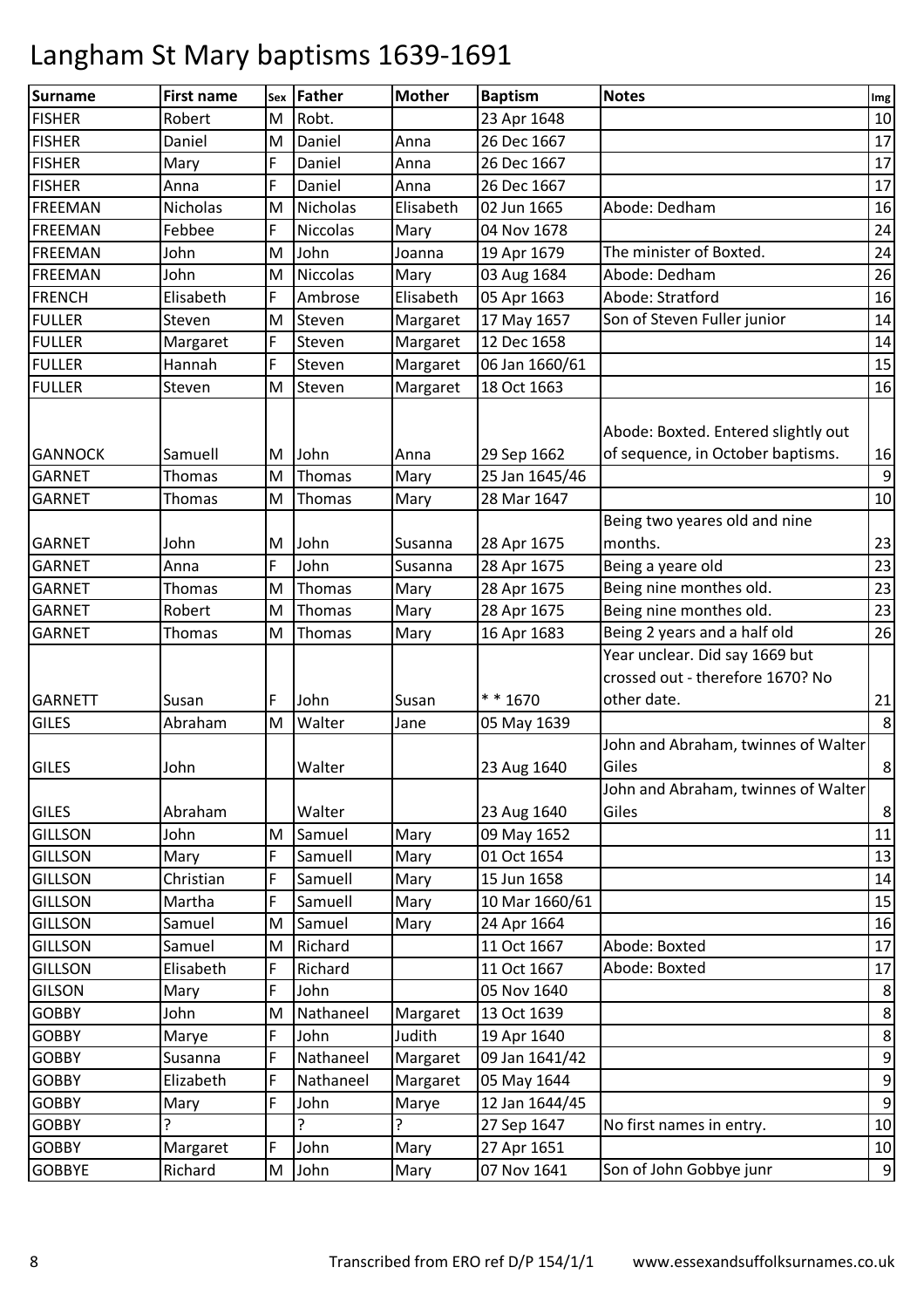| Surname                                          | <b>First name</b>           | Sex         | Father                   | <b>Mother</b>        | <b>Baptism</b>                               | <b>Notes</b>                                                                      | Img              |
|--------------------------------------------------|-----------------------------|-------------|--------------------------|----------------------|----------------------------------------------|-----------------------------------------------------------------------------------|------------------|
| <b>FISHER</b>                                    | Robert                      | M           | Robt.                    |                      | 23 Apr 1648                                  |                                                                                   | 10               |
| <b>FISHER</b>                                    | Daniel                      | M           | Daniel                   | Anna                 | 26 Dec 1667                                  |                                                                                   | 17               |
| <b>FISHER</b>                                    | Mary                        | F           | Daniel                   | Anna                 | 26 Dec 1667                                  |                                                                                   | 17               |
| <b>FISHER</b>                                    | Anna                        | F           | Daniel                   | Anna                 | 26 Dec 1667                                  |                                                                                   | 17               |
| <b>FREEMAN</b>                                   | <b>Nicholas</b>             | M           | <b>Nicholas</b>          | Elisabeth            | 02 Jun 1665                                  | Abode: Dedham                                                                     | 16               |
| <b>FREEMAN</b>                                   | Febbee                      | F           | <b>Niccolas</b>          | Mary                 | 04 Nov 1678                                  |                                                                                   | 24               |
| <b>FREEMAN</b>                                   | John                        | M           | John                     | Joanna               | 19 Apr 1679                                  | The minister of Boxted.                                                           | 24               |
| <b>FREEMAN</b>                                   | John                        | M           | <b>Niccolas</b>          | Mary                 | 03 Aug 1684                                  | Abode: Dedham                                                                     | 26               |
| <b>FRENCH</b>                                    | Elisabeth                   | F           | Ambrose                  | Elisabeth            | 05 Apr 1663                                  | Abode: Stratford                                                                  | 16               |
| <b>FULLER</b>                                    | Steven                      | M           | Steven                   | Margaret             | 17 May 1657                                  | Son of Steven Fuller junior                                                       | 14               |
| <b>FULLER</b>                                    | Margaret                    | F           | Steven                   | Margaret             | 12 Dec 1658                                  |                                                                                   | 14               |
| <b>FULLER</b>                                    | Hannah                      | F           | Steven                   | Margaret             | 06 Jan 1660/61                               |                                                                                   | 15               |
| <b>FULLER</b>                                    | Steven                      | M           | Steven                   | Margaret             | 18 Oct 1663                                  |                                                                                   | 16               |
| <b>GANNOCK</b><br><b>GARNET</b><br><b>GARNET</b> | Samuell<br>Thomas<br>Thomas | M<br>M<br>M | John<br>Thomas<br>Thomas | Anna<br>Mary<br>Mary | 29 Sep 1662<br>25 Jan 1645/46<br>28 Mar 1647 | Abode: Boxted. Entered slightly out<br>of sequence, in October baptisms.          | 16<br>9<br>10    |
|                                                  |                             |             |                          |                      |                                              | Being two yeares old and nine                                                     |                  |
| <b>GARNET</b>                                    | John                        | M           | John                     | Susanna              | 28 Apr 1675                                  | months.                                                                           | 23               |
| <b>GARNET</b>                                    | Anna                        | F           | John                     | Susanna              | 28 Apr 1675                                  | Being a yeare old                                                                 | 23               |
| <b>GARNET</b>                                    | <b>Thomas</b>               | M           | Thomas                   | Mary                 | 28 Apr 1675                                  | Being nine monthes old.                                                           | 23               |
| <b>GARNET</b>                                    | Robert                      | M           | Thomas                   | Mary                 | 28 Apr 1675                                  | Being nine monthes old.                                                           | 23               |
| <b>GARNET</b>                                    | <b>Thomas</b>               | M           | Thomas                   | Mary                 | 16 Apr 1683                                  | Being 2 years and a half old                                                      | 26               |
| <b>GARNETT</b><br><b>GILES</b>                   | Susan<br>Abraham            | F<br>M      | John<br>Walter           | Susan<br>Jane        | * * 1670<br>05 May 1639                      | Year unclear. Did say 1669 but<br>crossed out - therefore 1670? No<br>other date. | 21<br>8          |
|                                                  |                             |             |                          |                      |                                              | John and Abraham, twinnes of Walter                                               |                  |
| <b>GILES</b>                                     | John                        |             | Walter                   |                      | 23 Aug 1640                                  | Giles                                                                             | 8                |
| <b>GILES</b>                                     | Abraham                     |             | Walter                   |                      | 23 Aug 1640                                  | John and Abraham, twinnes of Walter<br>Giles                                      | 8                |
| <b>GILLSON</b>                                   | John                        | M           | Samuel                   | Mary                 | 09 May 1652                                  |                                                                                   | 11               |
| <b>GILLSON</b>                                   | Mary                        | F           | Samuell                  | Mary                 | 01 Oct 1654                                  |                                                                                   | 13               |
| <b>GILLSON</b>                                   | Christian                   | F           | Samuell                  | Mary                 | 15 Jun 1658                                  |                                                                                   | 14               |
| <b>GILLSON</b>                                   | Martha                      | F           | Samuell                  | Mary                 | 10 Mar 1660/61                               |                                                                                   | 15               |
| <b>GILLSON</b>                                   | Samuel                      | M           | Samuel                   | Mary                 | 24 Apr 1664                                  |                                                                                   | 16               |
| <b>GILLSON</b>                                   | Samuel                      | M           | Richard                  |                      | 11 Oct 1667                                  | Abode: Boxted                                                                     | 17               |
| <b>GILLSON</b>                                   | Elisabeth                   | F           | Richard                  |                      | 11 Oct 1667                                  | Abode: Boxted                                                                     | 17               |
| <b>GILSON</b>                                    | Mary                        | F           | John                     |                      | 05 Nov 1640                                  |                                                                                   | 8                |
| <b>GOBBY</b>                                     | John                        | M           | Nathaneel                | Margaret             | 13 Oct 1639                                  |                                                                                   | 8                |
| <b>GOBBY</b>                                     | Marye                       | F           | John                     | Judith               | 19 Apr 1640                                  |                                                                                   | $\,8\,$          |
| <b>GOBBY</b>                                     | Susanna                     | F           | Nathaneel                | Margaret             | 09 Jan 1641/42                               |                                                                                   | $9\,$            |
| <b>GOBBY</b>                                     | Elizabeth                   | F           | Nathaneel                | Margaret             | 05 May 1644                                  |                                                                                   | $9\,$            |
| <b>GOBBY</b>                                     | Mary                        | F           | John                     | Marye                | 12 Jan 1644/45                               |                                                                                   | $\boldsymbol{9}$ |
| <b>GOBBY</b>                                     | ?                           |             | ς                        | 5.                   | 27 Sep 1647                                  | No first names in entry.                                                          | 10               |
| <b>GOBBY</b>                                     | Margaret                    | F           | John                     | Mary                 | 27 Apr 1651                                  |                                                                                   | 10               |
| <b>GOBBYE</b>                                    | Richard                     | M           | John                     | Mary                 | 07 Nov 1641                                  | Son of John Gobbye junr                                                           | $9\,$            |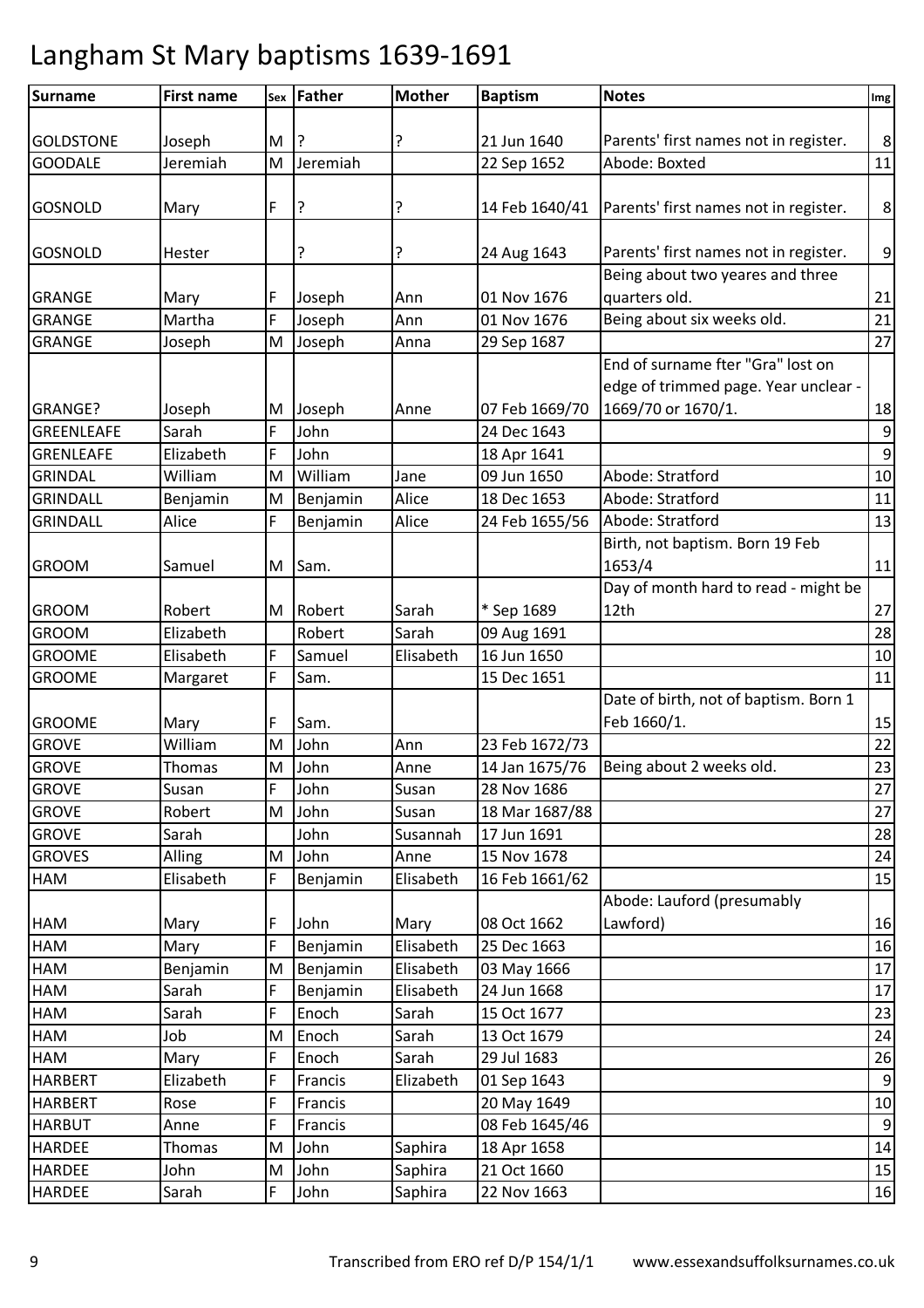| <b>Surname</b>    | <b>First name</b> |   | sex Father | <b>Mother</b> | <b>Baptism</b> | <b>Notes</b>                                           | Img              |
|-------------------|-------------------|---|------------|---------------|----------------|--------------------------------------------------------|------------------|
|                   |                   |   |            |               |                |                                                        |                  |
| <b>GOLDSTONE</b>  | Joseph            | M |            |               | 21 Jun 1640    | Parents' first names not in register.                  | $\,8\,$          |
| <b>GOODALE</b>    | Jeremiah          | M | Jeremiah   |               | 22 Sep 1652    | Abode: Boxted                                          | 11               |
|                   |                   |   |            |               |                |                                                        |                  |
| <b>GOSNOLD</b>    | Mary              | F | ?          | ?             |                | 14 Feb 1640/41   Parents' first names not in register. | 8                |
|                   |                   |   |            |               |                |                                                        |                  |
| <b>GOSNOLD</b>    | Hester            |   | ?          | ?             | 24 Aug 1643    | Parents' first names not in register.                  | $\boldsymbol{9}$ |
|                   |                   |   |            |               |                | Being about two yeares and three                       |                  |
| <b>GRANGE</b>     | Mary              | F | Joseph     | Ann           | 01 Nov 1676    | quarters old.                                          | 21               |
| <b>GRANGE</b>     | Martha            | F | Joseph     | Ann           | 01 Nov 1676    | Being about six weeks old.                             | 21               |
| <b>GRANGE</b>     | Joseph            | М | Joseph     | Anna          | 29 Sep 1687    |                                                        | 27               |
|                   |                   |   |            |               |                | End of surname fter "Gra" lost on                      |                  |
|                   |                   |   |            |               |                | edge of trimmed page. Year unclear -                   |                  |
| GRANGE?           | Joseph            | M | Joseph     | Anne          | 07 Feb 1669/70 | 1669/70 or 1670/1.                                     | 18               |
| <b>GREENLEAFE</b> | Sarah             | F | John       |               | 24 Dec 1643    |                                                        | $9\,$            |
| <b>GRENLEAFE</b>  | Elizabeth         | F | John       |               | 18 Apr 1641    |                                                        | $\boldsymbol{9}$ |
| <b>GRINDAL</b>    | William           | M | William    | Jane          | 09 Jun 1650    | Abode: Stratford                                       | 10               |
| <b>GRINDALL</b>   | Benjamin          | M | Benjamin   | Alice         | 18 Dec 1653    | Abode: Stratford                                       | 11               |
| <b>GRINDALL</b>   | Alice             | F | Benjamin   | Alice         | 24 Feb 1655/56 | Abode: Stratford                                       | 13               |
|                   |                   |   |            |               |                | Birth, not baptism. Born 19 Feb                        |                  |
| <b>GROOM</b>      | Samuel            | М | Sam.       |               |                | 1653/4                                                 | 11               |
|                   |                   |   |            |               |                | Day of month hard to read - might be                   |                  |
| <b>GROOM</b>      | Robert            | M | Robert     | Sarah         | * Sep 1689     | 12th                                                   | 27               |
| <b>GROOM</b>      | Elizabeth         |   | Robert     | Sarah         | 09 Aug 1691    |                                                        | 28               |
| <b>GROOME</b>     | Elisabeth         | F | Samuel     | Elisabeth     | 16 Jun 1650    |                                                        | $10\,$           |
| <b>GROOME</b>     | Margaret          | F | Sam.       |               | 15 Dec 1651    |                                                        | 11               |
|                   |                   |   |            |               |                | Date of birth, not of baptism. Born 1                  |                  |
| <b>GROOME</b>     | Mary              | F | Sam.       |               |                | Feb 1660/1.                                            | 15               |
| <b>GROVE</b>      | William           | M | John       | Ann           | 23 Feb 1672/73 |                                                        | 22               |
| <b>GROVE</b>      | Thomas            | M | John       | Anne          | 14 Jan 1675/76 | Being about 2 weeks old.                               | 23               |
| <b>GROVE</b>      | Susan             | F | John       | Susan         | 28 Nov 1686    |                                                        | 27               |
| <b>GROVE</b>      | Robert            | M | John       | Susan         | 18 Mar 1687/88 |                                                        | 27               |
| <b>GROVE</b>      | Sarah             |   | John       | Susannah      | 17 Jun 1691    |                                                        | 28               |
| <b>GROVES</b>     | Alling            | M | John       | Anne          | 15 Nov 1678    |                                                        | 24               |
| HAM               | Elisabeth         | F | Benjamin   | Elisabeth     | 16 Feb 1661/62 |                                                        | 15               |
|                   |                   |   |            |               |                | Abode: Lauford (presumably                             |                  |
| HAM               | Mary              | F | John       | Mary          | 08 Oct 1662    | Lawford)                                               | 16               |
| HAM               | Mary              | F | Benjamin   | Elisabeth     | 25 Dec 1663    |                                                        | 16               |
| HAM               | Benjamin          | M | Benjamin   | Elisabeth     | 03 May 1666    |                                                        | 17               |
| HAM               | Sarah             | F | Benjamin   | Elisabeth     | 24 Jun 1668    |                                                        | 17               |
| HAM               | Sarah             | F | Enoch      | Sarah         | 15 Oct 1677    |                                                        | 23               |
| HAM               | Job               | M | Enoch      | Sarah         | 13 Oct 1679    |                                                        | 24               |
| HAM               | Mary              | F | Enoch      | Sarah         | 29 Jul 1683    |                                                        | 26               |
| <b>HARBERT</b>    | Elizabeth         | F | Francis    | Elizabeth     | 01 Sep 1643    |                                                        | 9                |
| <b>HARBERT</b>    | Rose              | F | Francis    |               | 20 May 1649    |                                                        | 10               |
| <b>HARBUT</b>     | Anne              | F | Francis    |               | 08 Feb 1645/46 |                                                        | $\boldsymbol{9}$ |
| <b>HARDEE</b>     | Thomas            | M | John       | Saphira       | 18 Apr 1658    |                                                        | 14               |
| <b>HARDEE</b>     | John              | M | John       | Saphira       | 21 Oct 1660    |                                                        | 15               |
| <b>HARDEE</b>     | Sarah             | F | John       | Saphira       | 22 Nov 1663    |                                                        | 16               |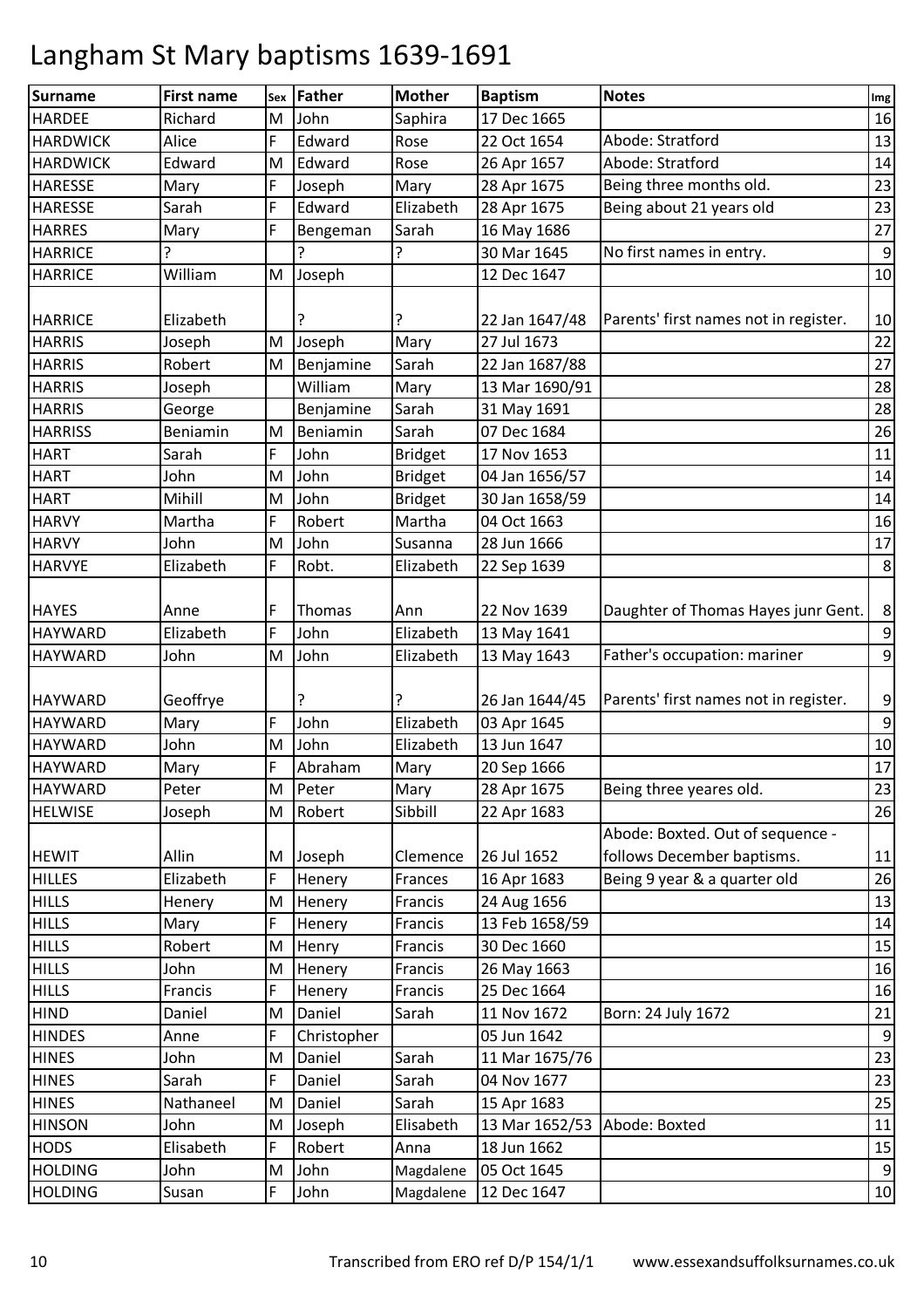| <b>Surname</b>  | <b>First name</b> | Sex | Father      | <b>Mother</b>  | <b>Baptism</b> | <b>Notes</b>                          | Img              |
|-----------------|-------------------|-----|-------------|----------------|----------------|---------------------------------------|------------------|
| <b>HARDEE</b>   | Richard           | M   | John        | Saphira        | 17 Dec 1665    |                                       | 16               |
| <b>HARDWICK</b> | Alice             | F   | Edward      | Rose           | 22 Oct 1654    | Abode: Stratford                      | 13               |
| <b>HARDWICK</b> | Edward            | M   | Edward      | Rose           | 26 Apr 1657    | Abode: Stratford                      | 14               |
| <b>HARESSE</b>  | Mary              | F   | Joseph      | Mary           | 28 Apr 1675    | Being three months old.               | 23               |
| <b>HARESSE</b>  | Sarah             | F   | Edward      | Elizabeth      | 28 Apr 1675    | Being about 21 years old              | 23               |
| <b>HARRES</b>   | Mary              | F   | Bengeman    | Sarah          | 16 May 1686    |                                       | 27               |
| <b>HARRICE</b>  |                   |     |             | ?              | 30 Mar 1645    | No first names in entry.              | $9\,$            |
| <b>HARRICE</b>  | William           | M   | Joseph      |                | 12 Dec 1647    |                                       | 10               |
|                 |                   |     |             |                |                |                                       |                  |
| <b>HARRICE</b>  | Elizabeth         |     |             |                | 22 Jan 1647/48 | Parents' first names not in register. | 10               |
| <b>HARRIS</b>   | Joseph            | M   | Joseph      | Mary           | 27 Jul 1673    |                                       | 22               |
| <b>HARRIS</b>   | Robert            | M   | Benjamine   | Sarah          | 22 Jan 1687/88 |                                       | 27               |
| <b>HARRIS</b>   | Joseph            |     | William     | Mary           | 13 Mar 1690/91 |                                       | 28               |
| <b>HARRIS</b>   | George            |     | Benjamine   | Sarah          | 31 May 1691    |                                       | 28               |
| <b>HARRISS</b>  | Beniamin          | M   | Beniamin    | Sarah          | 07 Dec 1684    |                                       | 26               |
| <b>HART</b>     | Sarah             | F   | John        | <b>Bridget</b> | 17 Nov 1653    |                                       | 11               |
| <b>HART</b>     | John              | M   | John        | <b>Bridget</b> | 04 Jan 1656/57 |                                       | 14               |
| <b>HART</b>     | Mihill            | M   | John        | <b>Bridget</b> | 30 Jan 1658/59 |                                       | 14               |
| <b>HARVY</b>    | Martha            | F   | Robert      | Martha         | 04 Oct 1663    |                                       | 16               |
| <b>HARVY</b>    | John              | M   | John        | Susanna        | 28 Jun 1666    |                                       | 17               |
| <b>HARVYE</b>   | Elizabeth         | F   | Robt.       | Elizabeth      | 22 Sep 1639    |                                       | 8                |
|                 |                   |     |             |                |                |                                       |                  |
| <b>HAYES</b>    | Anne              | F   | Thomas      | Ann            | 22 Nov 1639    | Daughter of Thomas Hayes junr Gent.   | 8                |
| <b>HAYWARD</b>  | Elizabeth         | F   | John        | Elizabeth      | 13 May 1641    |                                       | 9                |
| <b>HAYWARD</b>  | John              | M   | John        | Elizabeth      | 13 May 1643    | Father's occupation: mariner          | $\boldsymbol{9}$ |
|                 |                   |     |             |                |                |                                       |                  |
| <b>HAYWARD</b>  | Geoffrye          |     | ?           |                | 26 Jan 1644/45 | Parents' first names not in register. | 9                |
| <b>HAYWARD</b>  | Mary              | F   | John        | Elizabeth      | 03 Apr 1645    |                                       | $\overline{9}$   |
| <b>HAYWARD</b>  | John              | M   | John        | Elizabeth      | 13 Jun 1647    |                                       | 10               |
| <b>HAYWARD</b>  | Mary              | F   | Abraham     | Mary           | 20 Sep 1666    |                                       | 17               |
| <b>HAYWARD</b>  | Peter             | M   | Peter       | Mary           | 28 Apr 1675    | Being three yeares old.               | 23               |
| <b>HELWISE</b>  | Joseph            | M   | Robert      | Sibbill        | 22 Apr 1683    |                                       | 26               |
|                 |                   |     |             |                |                | Abode: Boxted. Out of sequence -      |                  |
| <b>HEWIT</b>    | Allin             | M   | Joseph      | Clemence       | 26 Jul 1652    | follows December baptisms.            | 11               |
| <b>HILLES</b>   | Elizabeth         | F   | Henery      | Frances        | 16 Apr 1683    | Being 9 year & a quarter old          | 26               |
| <b>HILLS</b>    | Henery            | M   | Henery      | Francis        | 24 Aug 1656    |                                       | 13               |
| <b>HILLS</b>    | Mary              | F   | Henery      | Francis        | 13 Feb 1658/59 |                                       | 14               |
| <b>HILLS</b>    | Robert            | M   | Henry       | Francis        | 30 Dec 1660    |                                       | 15               |
| <b>HILLS</b>    | John              | M   | Henery      | Francis        | 26 May 1663    |                                       | 16               |
| <b>HILLS</b>    | Francis           | F   | Henery      | Francis        | 25 Dec 1664    |                                       | 16               |
| <b>HIND</b>     | Daniel            | M   | Daniel      | Sarah          | 11 Nov 1672    | Born: 24 July 1672                    | 21               |
| <b>HINDES</b>   | Anne              | F   | Christopher |                | 05 Jun 1642    |                                       | 9                |
| <b>HINES</b>    | John              | M   | Daniel      | Sarah          | 11 Mar 1675/76 |                                       | 23               |
| <b>HINES</b>    | Sarah             | F   | Daniel      | Sarah          | 04 Nov 1677    |                                       | 23               |
| <b>HINES</b>    | Nathaneel         | M   | Daniel      | Sarah          | 15 Apr 1683    |                                       | 25               |
| <b>HINSON</b>   | John              | M   | Joseph      | Elisabeth      | 13 Mar 1652/53 | Abode: Boxted                         | 11               |
| <b>HODS</b>     | Elisabeth         | F   | Robert      | Anna           | 18 Jun 1662    |                                       | 15               |
| <b>HOLDING</b>  | John              | M   | John        | Magdalene      | 05 Oct 1645    |                                       | $\overline{9}$   |
| <b>HOLDING</b>  | Susan             | F   | John        | Magdalene      | 12 Dec 1647    |                                       | 10               |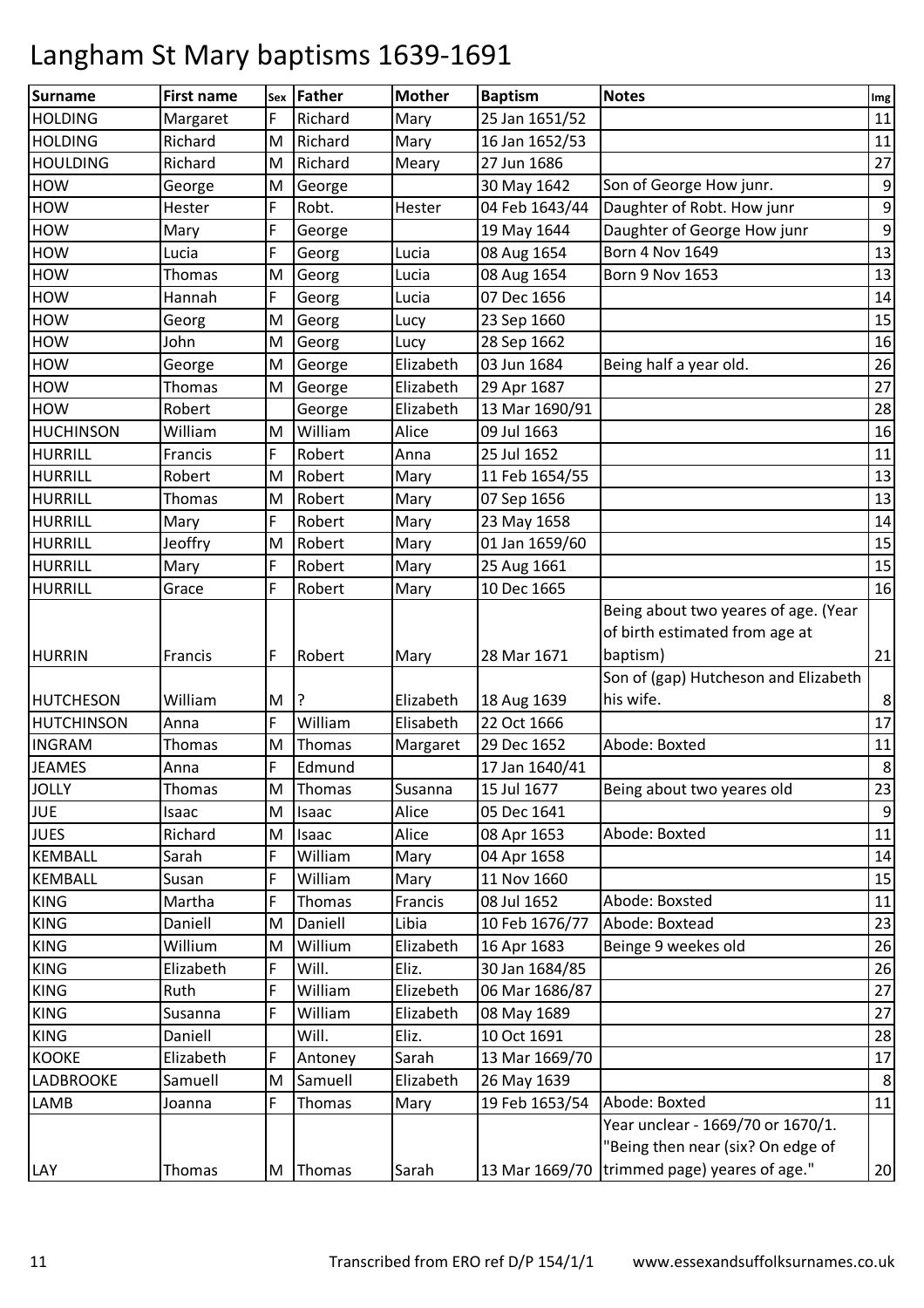| <b>Surname</b>    | <b>First name</b> | Sex | Father  | <b>Mother</b> | <b>Baptism</b> | <b>Notes</b>                                 | Img              |
|-------------------|-------------------|-----|---------|---------------|----------------|----------------------------------------------|------------------|
| <b>HOLDING</b>    | Margaret          | F   | Richard | Mary          | 25 Jan 1651/52 |                                              | 11               |
| <b>HOLDING</b>    | Richard           | M   | Richard | Mary          | 16 Jan 1652/53 |                                              | 11               |
| <b>HOULDING</b>   | Richard           | M   | Richard | Meary         | 27 Jun 1686    |                                              | 27               |
| <b>HOW</b>        | George            | M   | George  |               | 30 May 1642    | Son of George How junr.                      | $\boldsymbol{9}$ |
| <b>HOW</b>        | Hester            | F   | Robt.   | Hester        | 04 Feb 1643/44 | Daughter of Robt. How junr                   | $\boldsymbol{9}$ |
| <b>HOW</b>        | Mary              | F   | George  |               | 19 May 1644    | Daughter of George How junr                  | $\boldsymbol{9}$ |
| <b>HOW</b>        | Lucia             | F   | Georg   | Lucia         | 08 Aug 1654    | <b>Born 4 Nov 1649</b>                       | 13               |
| <b>HOW</b>        | Thomas            | M   | Georg   | Lucia         | 08 Aug 1654    | <b>Born 9 Nov 1653</b>                       | 13               |
| <b>HOW</b>        | Hannah            | F   | Georg   | Lucia         | 07 Dec 1656    |                                              | $14\,$           |
| <b>HOW</b>        | Georg             | M   | Georg   | Lucy          | 23 Sep 1660    |                                              | 15               |
| <b>HOW</b>        | John              | M   | Georg   | Lucy          | 28 Sep 1662    |                                              | 16               |
| <b>HOW</b>        | George            | M   | George  | Elizabeth     | 03 Jun 1684    | Being half a year old.                       | 26               |
| <b>HOW</b>        | <b>Thomas</b>     | M   | George  | Elizabeth     | 29 Apr 1687    |                                              | 27               |
| <b>HOW</b>        | Robert            |     | George  | Elizabeth     | 13 Mar 1690/91 |                                              | 28               |
| <b>HUCHINSON</b>  | William           | M   | William | Alice         | 09 Jul 1663    |                                              | 16               |
| <b>HURRILL</b>    | Francis           | F   | Robert  | Anna          | 25 Jul 1652    |                                              | 11               |
| <b>HURRILL</b>    | Robert            | M   | Robert  | Mary          | 11 Feb 1654/55 |                                              | 13               |
| <b>HURRILL</b>    | Thomas            | M   | Robert  | Mary          | 07 Sep 1656    |                                              | 13               |
| <b>HURRILL</b>    | Mary              | F   | Robert  | Mary          | 23 May 1658    |                                              | $14\,$           |
| <b>HURRILL</b>    | Jeoffry           | M   | Robert  | Mary          | 01 Jan 1659/60 |                                              | 15               |
| <b>HURRILL</b>    | Mary              | F   | Robert  | Mary          | 25 Aug 1661    |                                              | 15               |
| <b>HURRILL</b>    | Grace             | F   | Robert  | Mary          | 10 Dec 1665    |                                              | 16               |
|                   |                   |     |         |               |                | Being about two yeares of age. (Year         |                  |
|                   |                   |     |         |               |                | of birth estimated from age at               |                  |
| <b>HURRIN</b>     | Francis           | F   | Robert  | Mary          | 28 Mar 1671    | baptism)                                     | 21               |
|                   |                   |     |         |               |                | Son of (gap) Hutcheson and Elizabeth         |                  |
| <b>HUTCHESON</b>  | William           | M   |         | Elizabeth     | 18 Aug 1639    | his wife.                                    | $\,8\,$          |
| <b>HUTCHINSON</b> | Anna              | F   | William | Elisabeth     | 22 Oct 1666    |                                              | 17               |
| <b>INGRAM</b>     | Thomas            | M   | Thomas  | Margaret      | 29 Dec 1652    | Abode: Boxted                                | 11               |
| <b>JEAMES</b>     | Anna              | F   | Edmund  |               | 17 Jan 1640/41 |                                              | $\,8\,$          |
| <b>JOLLY</b>      | Thomas            | M   | Thomas  | Susanna       | 15 Jul 1677    | Being about two yeares old                   | 23               |
| <b>JUE</b>        | Isaac             | M   | Isaac   | Alice         | 05 Dec 1641    |                                              | $9\,$            |
| <b>JUES</b>       | Richard           | M   | Isaac   | Alice         | 08 Apr 1653    | Abode: Boxted                                | 11               |
| <b>KEMBALL</b>    | Sarah             | F   | William | Mary          | 04 Apr 1658    |                                              | 14               |
| <b>KEMBALL</b>    | Susan             | F   | William | Mary          | 11 Nov 1660    |                                              | 15               |
| <b>KING</b>       | Martha            | F   | Thomas  | Francis       | 08 Jul 1652    | Abode: Boxsted                               | 11               |
| <b>KING</b>       | Daniell           | M   | Daniell | Libia         | 10 Feb 1676/77 | Abode: Boxtead                               | 23               |
| <b>KING</b>       | Willium           | M   | Willium | Elizabeth     | 16 Apr 1683    | Beinge 9 weekes old                          | 26               |
| <b>KING</b>       | Elizabeth         | F   | Will.   | Eliz.         | 30 Jan 1684/85 |                                              | 26               |
| <b>KING</b>       | Ruth              | F   | William | Elizebeth     | 06 Mar 1686/87 |                                              | 27               |
| <b>KING</b>       | Susanna           | F   | William | Elizabeth     | 08 May 1689    |                                              | 27               |
| <b>KING</b>       | Daniell           |     | Will.   | Eliz.         | 10 Oct 1691    |                                              | 28               |
| <b>KOOKE</b>      | Elizabeth         | F   | Antoney | Sarah         | 13 Mar 1669/70 |                                              | 17               |
| <b>LADBROOKE</b>  | Samuell           | M   | Samuell | Elizabeth     | 26 May 1639    |                                              | 8                |
| LAMB              | Joanna            | F   | Thomas  | Mary          | 19 Feb 1653/54 | Abode: Boxted                                | 11               |
|                   |                   |     |         |               |                | Year unclear - 1669/70 or 1670/1.            |                  |
|                   |                   |     |         |               |                | "Being then near (six? On edge of            |                  |
| LAY               | Thomas            | M   | Thomas  | Sarah         |                | 13 Mar 1669/70 trimmed page) yeares of age." | $20\,$           |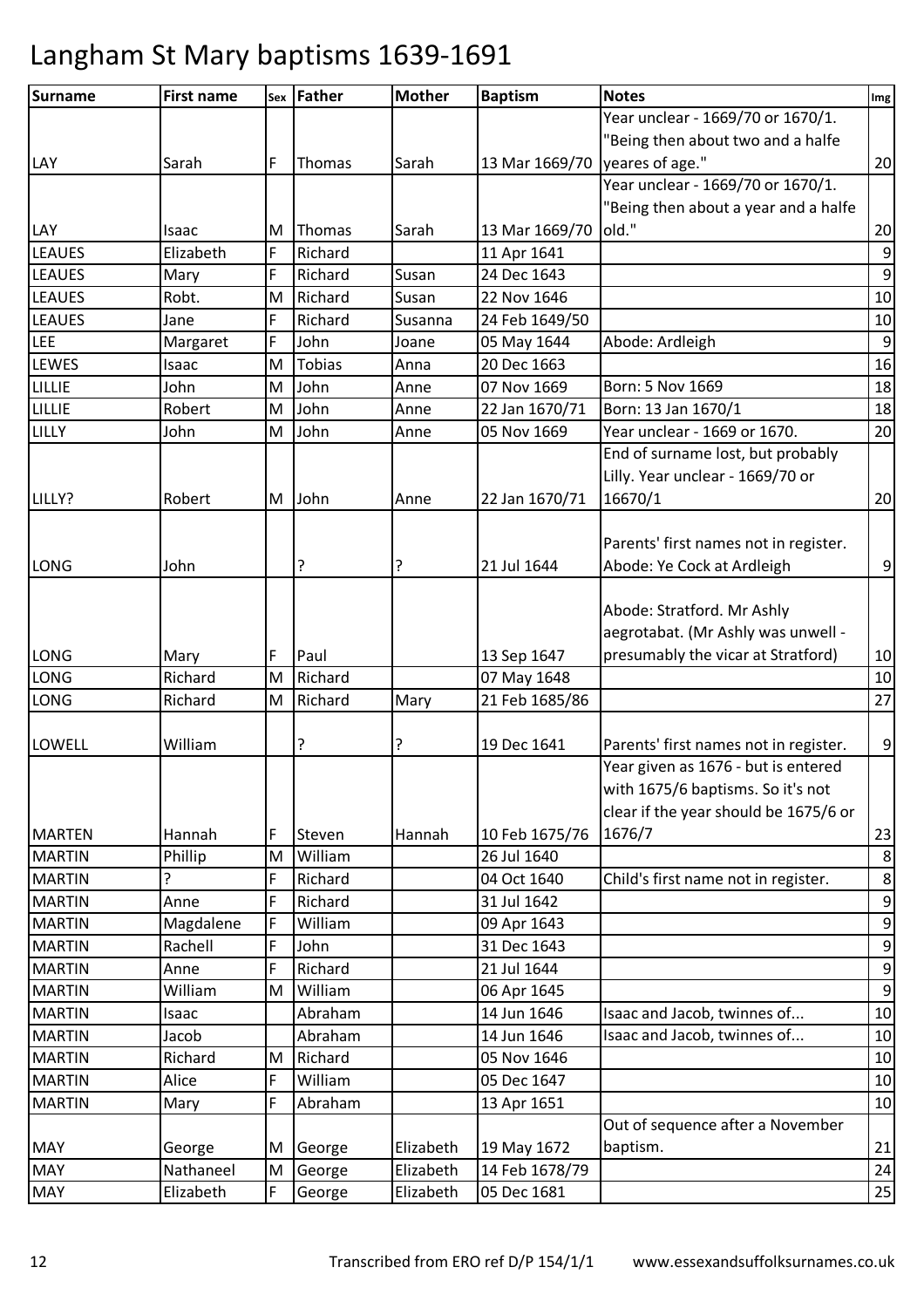| Surname       | <b>First name</b> |   | sex Father    | <b>Mother</b> | <b>Baptism</b> | <b>Notes</b>                          | Img              |
|---------------|-------------------|---|---------------|---------------|----------------|---------------------------------------|------------------|
|               |                   |   |               |               |                | Year unclear - 1669/70 or 1670/1.     |                  |
|               |                   |   |               |               |                | "Being then about two and a halfe     |                  |
| LAY           | Sarah             | F | Thomas        | Sarah         | 13 Mar 1669/70 | yeares of age."                       | 20               |
|               |                   |   |               |               |                | Year unclear - 1669/70 or 1670/1.     |                  |
|               |                   |   |               |               |                | "Being then about a year and a halfe  |                  |
| LAY           | Isaac             | M | Thomas        | Sarah         | 13 Mar 1669/70 | old."                                 | 20               |
| <b>LEAUES</b> | Elizabeth         | F | Richard       |               | 11 Apr 1641    |                                       | $\boldsymbol{9}$ |
| <b>LEAUES</b> | Mary              | F | Richard       | Susan         | 24 Dec 1643    |                                       | $\boldsymbol{9}$ |
| <b>LEAUES</b> | Robt.             | M | Richard       | Susan         | 22 Nov 1646    |                                       | $10\,$           |
| <b>LEAUES</b> | Jane              | F | Richard       | Susanna       | 24 Feb 1649/50 |                                       | 10               |
| LEE           | Margaret          | F | John          | Joane         | 05 May 1644    | Abode: Ardleigh                       | $\boldsymbol{9}$ |
| LEWES         | Isaac             | M | <b>Tobias</b> | Anna          | 20 Dec 1663    |                                       | 16               |
| LILLIE        | John              | M | John          | Anne          | 07 Nov 1669    | Born: 5 Nov 1669                      | 18               |
| LILLIE        | Robert            | M | John          | Anne          | 22 Jan 1670/71 | Born: 13 Jan 1670/1                   | 18               |
| LILLY         | John              | M | John          | Anne          | 05 Nov 1669    | Year unclear - 1669 or 1670.          | 20               |
|               |                   |   |               |               |                | End of surname lost, but probably     |                  |
|               |                   |   |               |               |                | Lilly. Year unclear - 1669/70 or      |                  |
| LILLY?        | Robert            | M | John          | Anne          | 22 Jan 1670/71 | 16670/1                               | 20               |
|               |                   |   |               |               |                |                                       |                  |
|               |                   |   |               |               |                | Parents' first names not in register. |                  |
| LONG          | John              |   | ?             | ?             | 21 Jul 1644    | Abode: Ye Cock at Ardleigh            | $\boldsymbol{9}$ |
|               |                   |   |               |               |                |                                       |                  |
|               |                   |   |               |               |                | Abode: Stratford. Mr Ashly            |                  |
|               |                   |   |               |               |                | aegrotabat. (Mr Ashly was unwell -    |                  |
| LONG          | Mary              | F | Paul          |               | 13 Sep 1647    | presumably the vicar at Stratford)    | $10\,$           |
| <b>LONG</b>   | Richard           | M | Richard       |               | 07 May 1648    |                                       | 10               |
| <b>LONG</b>   | Richard           | M | Richard       | Mary          | 21 Feb 1685/86 |                                       | 27               |
|               |                   |   |               |               |                |                                       |                  |
| LOWELL        | William           |   | ?             | ?             | 19 Dec 1641    | Parents' first names not in register. | 9                |
|               |                   |   |               |               |                | Year given as 1676 - but is entered   |                  |
|               |                   |   |               |               |                | with 1675/6 baptisms. So it's not     |                  |
|               |                   |   |               |               |                | clear if the year should be 1675/6 or |                  |
| <b>MARTEN</b> | Hannah            | F | Steven        | Hannah        | 10 Feb 1675/76 | 1676/7                                | 23               |
| <b>MARTIN</b> | Phillip           | M | William       |               | 26 Jul 1640    |                                       | 8                |
| <b>MARTIN</b> | ç.                | F | Richard       |               | 04 Oct 1640    | Child's first name not in register.   | $\,8\,$          |
| <b>MARTIN</b> | Anne              | F | Richard       |               | 31 Jul 1642    |                                       | $\boldsymbol{9}$ |
| <b>MARTIN</b> | Magdalene         | F | William       |               | 09 Apr 1643    |                                       | $\boldsymbol{9}$ |
| <b>MARTIN</b> | Rachell           | F | John          |               | 31 Dec 1643    |                                       | $\boldsymbol{9}$ |
| <b>MARTIN</b> | Anne              | F | Richard       |               | 21 Jul 1644    |                                       | $\boldsymbol{9}$ |
| <b>MARTIN</b> | William           | M | William       |               | 06 Apr 1645    |                                       | $\boldsymbol{9}$ |
| <b>MARTIN</b> | Isaac             |   | Abraham       |               | 14 Jun 1646    | Isaac and Jacob, twinnes of           | $10\,$           |
| <b>MARTIN</b> | Jacob             |   | Abraham       |               | 14 Jun 1646    | Isaac and Jacob, twinnes of           | 10               |
| <b>MARTIN</b> | Richard           | M | Richard       |               | 05 Nov 1646    |                                       | 10               |
| <b>MARTIN</b> | Alice             | F | William       |               | 05 Dec 1647    |                                       | 10               |
| <b>MARTIN</b> | Mary              | F | Abraham       |               | 13 Apr 1651    |                                       | 10               |
|               |                   |   |               |               |                | Out of sequence after a November      |                  |
| <b>MAY</b>    | George            | M | George        | Elizabeth     | 19 May 1672    | baptism.                              | 21               |
| <b>MAY</b>    | Nathaneel         | M | George        | Elizabeth     | 14 Feb 1678/79 |                                       | 24               |
| <b>MAY</b>    | Elizabeth         | F | George        | Elizabeth     | 05 Dec 1681    |                                       | 25               |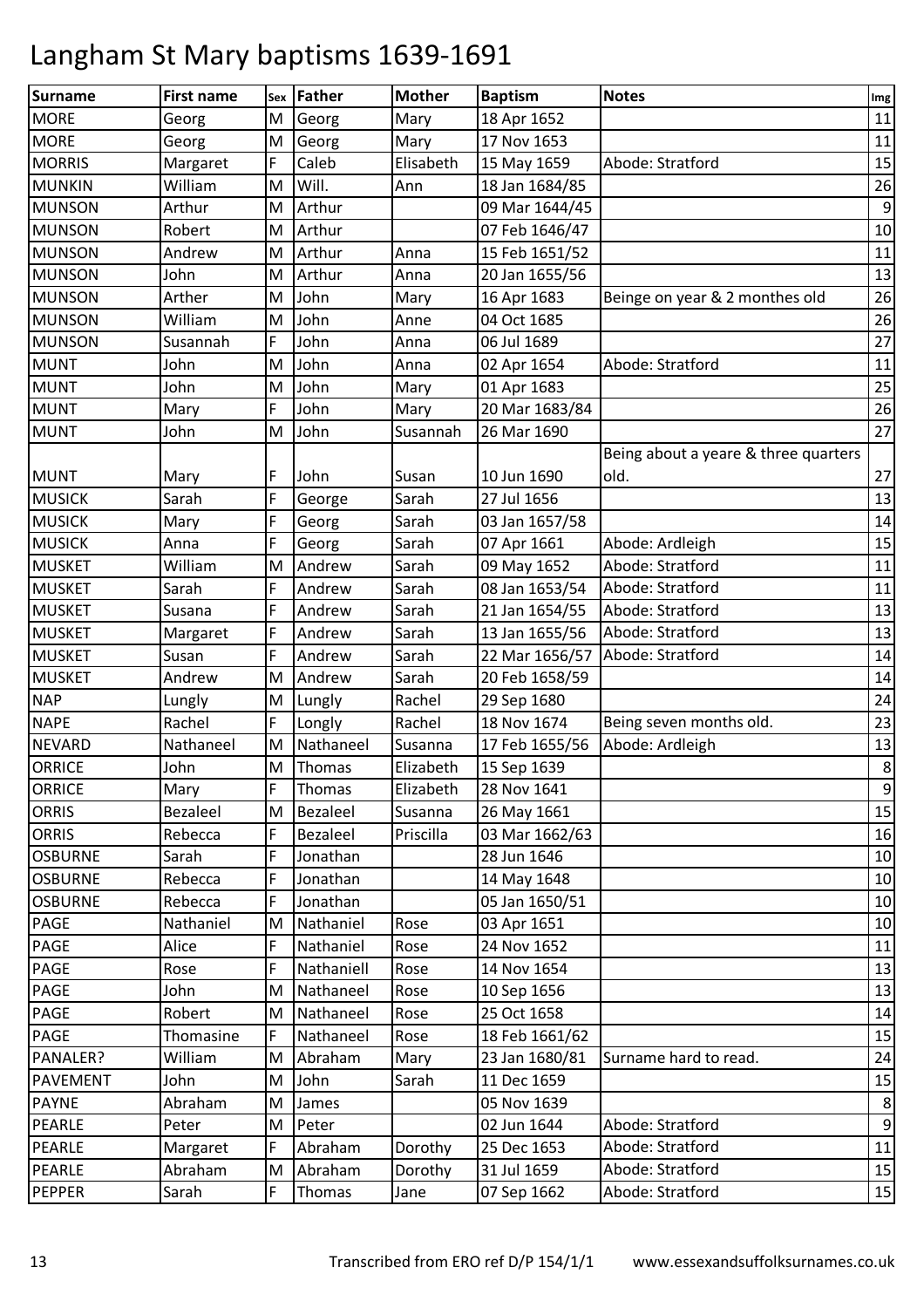| <b>Surname</b>  | <b>First name</b> |   | sex Father | <b>Mother</b> | <b>Baptism</b> | <b>Notes</b>                         | Img              |
|-----------------|-------------------|---|------------|---------------|----------------|--------------------------------------|------------------|
| <b>MORE</b>     | Georg             | M | Georg      | Mary          | 18 Apr 1652    |                                      | 11               |
| <b>MORE</b>     | Georg             | M | Georg      | Mary          | 17 Nov 1653    |                                      | 11               |
| <b>MORRIS</b>   | Margaret          | F | Caleb      | Elisabeth     | 15 May 1659    | Abode: Stratford                     | 15               |
| <b>MUNKIN</b>   | William           | M | Will.      | Ann           | 18 Jan 1684/85 |                                      | 26               |
| <b>MUNSON</b>   | Arthur            | M | Arthur     |               | 09 Mar 1644/45 |                                      | $\boldsymbol{9}$ |
| <b>MUNSON</b>   | Robert            | M | Arthur     |               | 07 Feb 1646/47 |                                      | $10\,$           |
| <b>MUNSON</b>   | Andrew            | M | Arthur     | Anna          | 15 Feb 1651/52 |                                      | 11               |
| <b>MUNSON</b>   | John              | M | Arthur     | Anna          | 20 Jan 1655/56 |                                      | 13               |
| <b>MUNSON</b>   | Arther            | M | John       | Mary          | 16 Apr 1683    | Beinge on year & 2 monthes old       | 26               |
| <b>MUNSON</b>   | William           | M | John       | Anne          | 04 Oct 1685    |                                      | 26               |
| <b>MUNSON</b>   | Susannah          | F | John       | Anna          | 06 Jul 1689    |                                      | 27               |
| <b>MUNT</b>     | John              | M | John       | Anna          | 02 Apr 1654    | Abode: Stratford                     | 11               |
| <b>MUNT</b>     | John              | M | John       | Mary          | 01 Apr 1683    |                                      | 25               |
| <b>MUNT</b>     | Mary              | F | John       | Mary          | 20 Mar 1683/84 |                                      | 26               |
| <b>MUNT</b>     | John              | M | John       | Susannah      | 26 Mar 1690    |                                      | 27               |
|                 |                   |   |            |               |                | Being about a yeare & three quarters |                  |
| <b>MUNT</b>     | Mary              | F | John       | Susan         | 10 Jun 1690    | old.                                 | 27               |
| <b>MUSICK</b>   | Sarah             | F | George     | Sarah         | 27 Jul 1656    |                                      | 13               |
| <b>MUSICK</b>   | Mary              | F | Georg      | Sarah         | 03 Jan 1657/58 |                                      | 14               |
| <b>MUSICK</b>   | Anna              | F | Georg      | Sarah         | 07 Apr 1661    | Abode: Ardleigh                      | 15               |
| <b>MUSKET</b>   | William           | M | Andrew     | Sarah         | 09 May 1652    | Abode: Stratford                     | 11               |
| <b>MUSKET</b>   | Sarah             | F | Andrew     | Sarah         | 08 Jan 1653/54 | Abode: Stratford                     | 11               |
| <b>MUSKET</b>   | Susana            | F | Andrew     | Sarah         | 21 Jan 1654/55 | Abode: Stratford                     | 13               |
| <b>MUSKET</b>   | Margaret          | F | Andrew     | Sarah         | 13 Jan 1655/56 | Abode: Stratford                     | 13               |
| <b>MUSKET</b>   | Susan             | F | Andrew     | Sarah         | 22 Mar 1656/57 | Abode: Stratford                     | $14\,$           |
| <b>MUSKET</b>   | Andrew            | M | Andrew     | Sarah         | 20 Feb 1658/59 |                                      | 14               |
| <b>NAP</b>      | Lungly            | M | Lungly     | Rachel        | 29 Sep 1680    |                                      | 24               |
| <b>NAPE</b>     | Rachel            | F | Longly     | Rachel        | 18 Nov 1674    | Being seven months old.              | 23               |
| <b>NEVARD</b>   | Nathaneel         | M | Nathaneel  | Susanna       | 17 Feb 1655/56 | Abode: Ardleigh                      | 13               |
| <b>ORRICE</b>   | John              | M | Thomas     | Elizabeth     | 15 Sep 1639    |                                      | 8                |
| <b>ORRICE</b>   | Mary              | F | Thomas     | Elizabeth     | 28 Nov 1641    |                                      | $\boldsymbol{9}$ |
| <b>ORRIS</b>    | Bezaleel          | M | Bezaleel   | Susanna       | 26 May 1661    |                                      | 15               |
| <b>ORRIS</b>    | Rebecca           | F | Bezaleel   | Priscilla     | 03 Mar 1662/63 |                                      | 16               |
| <b>OSBURNE</b>  | Sarah             | F | Jonathan   |               | 28 Jun 1646    |                                      | 10               |
| <b>OSBURNE</b>  | Rebecca           | F | Jonathan   |               | 14 May 1648    |                                      | $10\,$           |
| <b>OSBURNE</b>  | Rebecca           | F | Jonathan   |               | 05 Jan 1650/51 |                                      | 10               |
| PAGE            | Nathaniel         | M | Nathaniel  | Rose          | 03 Apr 1651    |                                      | 10               |
| <b>PAGE</b>     | Alice             | F | Nathaniel  | Rose          | 24 Nov 1652    |                                      | 11               |
| <b>PAGE</b>     | Rose              | F | Nathaniell | Rose          | 14 Nov 1654    |                                      | 13               |
| <b>PAGE</b>     | John              | M | Nathaneel  | Rose          | 10 Sep 1656    |                                      | 13               |
| <b>PAGE</b>     | Robert            | M | Nathaneel  | Rose          | 25 Oct 1658    |                                      | 14               |
| <b>PAGE</b>     | Thomasine         | F | Nathaneel  | Rose          | 18 Feb 1661/62 |                                      | 15               |
| PANALER?        | William           | M | Abraham    | Mary          | 23 Jan 1680/81 | Surname hard to read.                | 24               |
| <b>PAVEMENT</b> | John              | M | John       | Sarah         | 11 Dec 1659    |                                      | 15               |
| <b>PAYNE</b>    | Abraham           | M | James      |               | 05 Nov 1639    |                                      | $\,8\,$          |
| PEARLE          | Peter             | M | Peter      |               | 02 Jun 1644    | Abode: Stratford                     | $\boldsymbol{9}$ |
| PEARLE          | Margaret          | F | Abraham    | Dorothy       | 25 Dec 1653    | Abode: Stratford                     | 11               |
| <b>PEARLE</b>   | Abraham           | M | Abraham    | Dorothy       | 31 Jul 1659    | Abode: Stratford                     | 15               |
| <b>PEPPER</b>   | Sarah             | F | Thomas     | Jane          | 07 Sep 1662    | Abode: Stratford                     | 15               |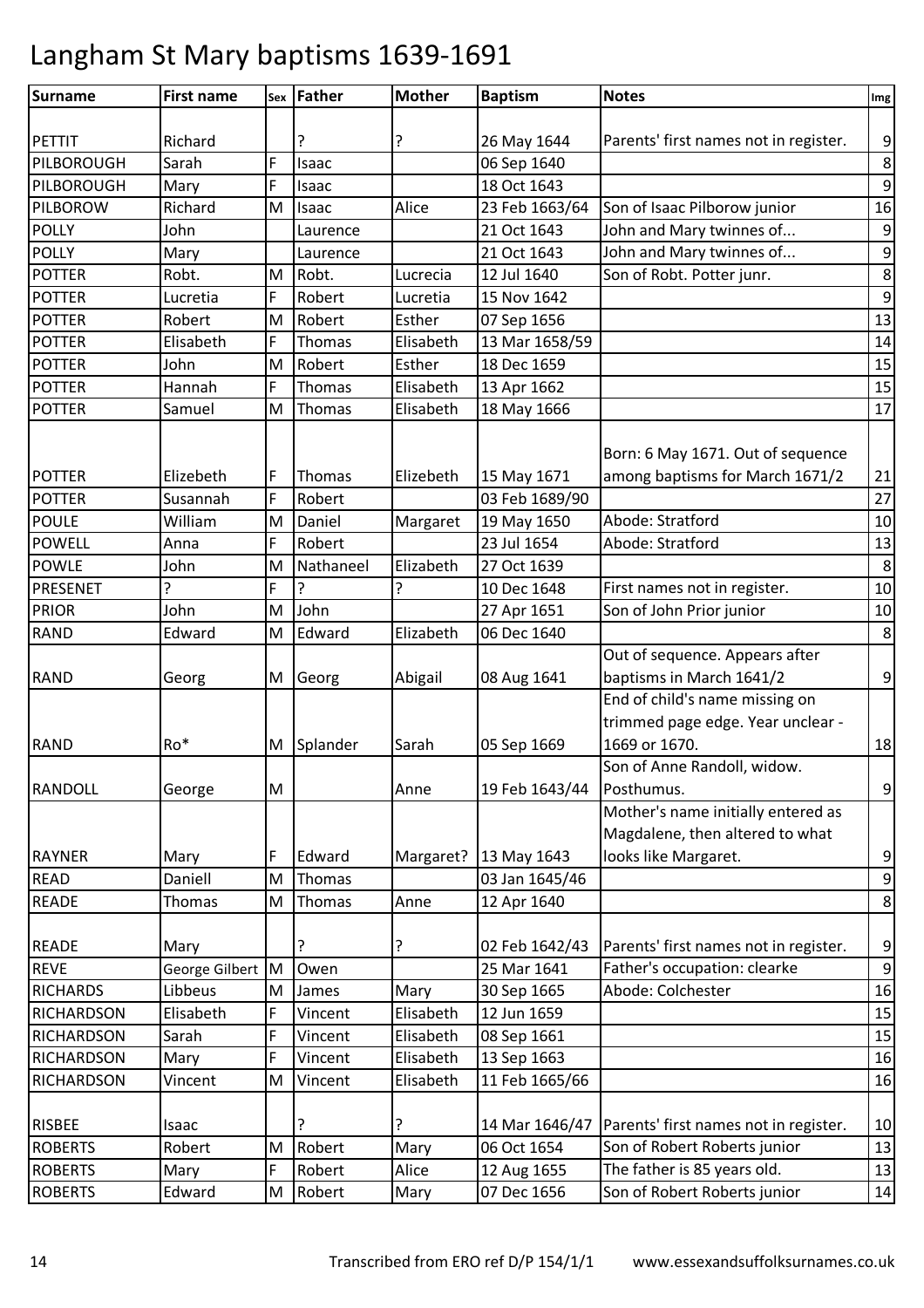| <b>Surname</b>    | <b>First name</b> |   | sex Father | <b>Mother</b> | <b>Baptism</b> | <b>Notes</b>                          | Img              |
|-------------------|-------------------|---|------------|---------------|----------------|---------------------------------------|------------------|
|                   |                   |   |            |               |                |                                       |                  |
| <b>PETTIT</b>     | Richard           |   | ?          | ?             | 26 May 1644    | Parents' first names not in register. | 9                |
| PILBOROUGH        | Sarah             | F | Isaac      |               | 06 Sep 1640    |                                       | 8                |
| PILBOROUGH        | Mary              | F | Isaac      |               | 18 Oct 1643    |                                       | 9                |
| PILBOROW          | Richard           | M | Isaac      | Alice         | 23 Feb 1663/64 | Son of Isaac Pilborow junior          | 16               |
| <b>POLLY</b>      | John              |   | Laurence   |               | 21 Oct 1643    | John and Mary twinnes of              | 9                |
| <b>POLLY</b>      | Mary              |   | Laurence   |               | 21 Oct 1643    | John and Mary twinnes of              | $\boldsymbol{9}$ |
| <b>POTTER</b>     | Robt.             | M | Robt.      | Lucrecia      | 12 Jul 1640    | Son of Robt. Potter junr.             | 8                |
| <b>POTTER</b>     | Lucretia          | F | Robert     | Lucretia      | 15 Nov 1642    |                                       | 9                |
| <b>POTTER</b>     | Robert            | M | Robert     | Esther        | 07 Sep 1656    |                                       | 13               |
| <b>POTTER</b>     | Elisabeth         | F | Thomas     | Elisabeth     | 13 Mar 1658/59 |                                       | 14               |
| <b>POTTER</b>     | John              | M | Robert     | Esther        | 18 Dec 1659    |                                       | 15               |
| <b>POTTER</b>     | Hannah            | F | Thomas     | Elisabeth     | 13 Apr 1662    |                                       | 15               |
| <b>POTTER</b>     | Samuel            | M | Thomas     | Elisabeth     | 18 May 1666    |                                       | 17               |
|                   |                   |   |            |               |                | Born: 6 May 1671. Out of sequence     |                  |
| <b>POTTER</b>     | Elizebeth         | F | Thomas     | Elizebeth     | 15 May 1671    | among baptisms for March 1671/2       | 21               |
| <b>POTTER</b>     | Susannah          | F | Robert     |               | 03 Feb 1689/90 |                                       | 27               |
| <b>POULE</b>      | William           | M | Daniel     | Margaret      | 19 May 1650    | Abode: Stratford                      | 10               |
| <b>POWELL</b>     | Anna              | F | Robert     |               | 23 Jul 1654    | Abode: Stratford                      | 13               |
| <b>POWLE</b>      | John              | M | Nathaneel  | Elizabeth     | 27 Oct 1639    |                                       | 8                |
| PRESENET<br>?     |                   | F | ?          | ?             | 10 Dec 1648    | First names not in register.          | 10               |
| <b>PRIOR</b>      | John              | M | John       |               | 27 Apr 1651    | Son of John Prior junior              | 10               |
| <b>RAND</b>       | Edward            | M | Edward     | Elizabeth     | 06 Dec 1640    |                                       | 8                |
|                   |                   |   |            |               |                | Out of sequence. Appears after        |                  |
| <b>RAND</b>       | Georg             | M | Georg      | Abigail       | 08 Aug 1641    | baptisms in March 1641/2              | 9                |
|                   |                   |   |            |               |                | End of child's name missing on        |                  |
|                   |                   |   |            |               |                | trimmed page edge. Year unclear -     |                  |
| <b>RAND</b>       | Ro*               | M | Splander   | Sarah         | 05 Sep 1669    | 1669 or 1670.                         | 18               |
|                   |                   |   |            |               |                | Son of Anne Randoll, widow.           |                  |
| <b>RANDOLL</b>    | George            | M |            | Anne          | 19 Feb 1643/44 | Posthumus.                            | $9\,$            |
|                   |                   |   |            |               |                | Mother's name initially entered as    |                  |
|                   |                   |   |            |               |                | Magdalene, then altered to what       |                  |
| <b>RAYNER</b>     | Mary              | F | Edward     | Margaret?     | 13 May 1643    | looks like Margaret.                  | 9                |
| <b>READ</b>       | Daniell           | M | Thomas     |               | 03 Jan 1645/46 |                                       | $9\,$            |
| <b>READE</b>      | Thomas            | M | Thomas     | Anne          | 12 Apr 1640    |                                       | 8                |
|                   |                   |   |            |               |                |                                       |                  |
| <b>READE</b>      | Mary              |   |            | ?             | 02 Feb 1642/43 | Parents' first names not in register. | 9                |
| <b>REVE</b>       | George Gilbert M  |   | Owen       |               | 25 Mar 1641    | Father's occupation: clearke          | 9                |
| <b>RICHARDS</b>   | Libbeus           | M | James      | Mary          | 30 Sep 1665    | Abode: Colchester                     | 16               |
| <b>RICHARDSON</b> | Elisabeth         | F | Vincent    | Elisabeth     | 12 Jun 1659    |                                       | 15               |
| <b>RICHARDSON</b> | Sarah             | F | Vincent    | Elisabeth     | 08 Sep 1661    |                                       | 15               |
| <b>RICHARDSON</b> | Mary              | F | Vincent    | Elisabeth     | 13 Sep 1663    |                                       | 16               |
| <b>RICHARDSON</b> | Vincent           | M | Vincent    | Elisabeth     | 11 Feb 1665/66 |                                       | 16               |
|                   |                   |   |            |               |                |                                       |                  |
| <b>RISBEE</b>     | Isaac             |   |            | ?             | 14 Mar 1646/47 | Parents' first names not in register. | 10               |
| <b>ROBERTS</b>    | Robert            | M | Robert     | Mary          | 06 Oct 1654    | Son of Robert Roberts junior          | 13               |
| <b>ROBERTS</b>    | Mary              | F | Robert     | Alice         | 12 Aug 1655    | The father is 85 years old.           | 13               |
| <b>ROBERTS</b>    | Edward            | M | Robert     | Mary          | 07 Dec 1656    | Son of Robert Roberts junior          | 14               |
|                   |                   |   |            |               |                |                                       |                  |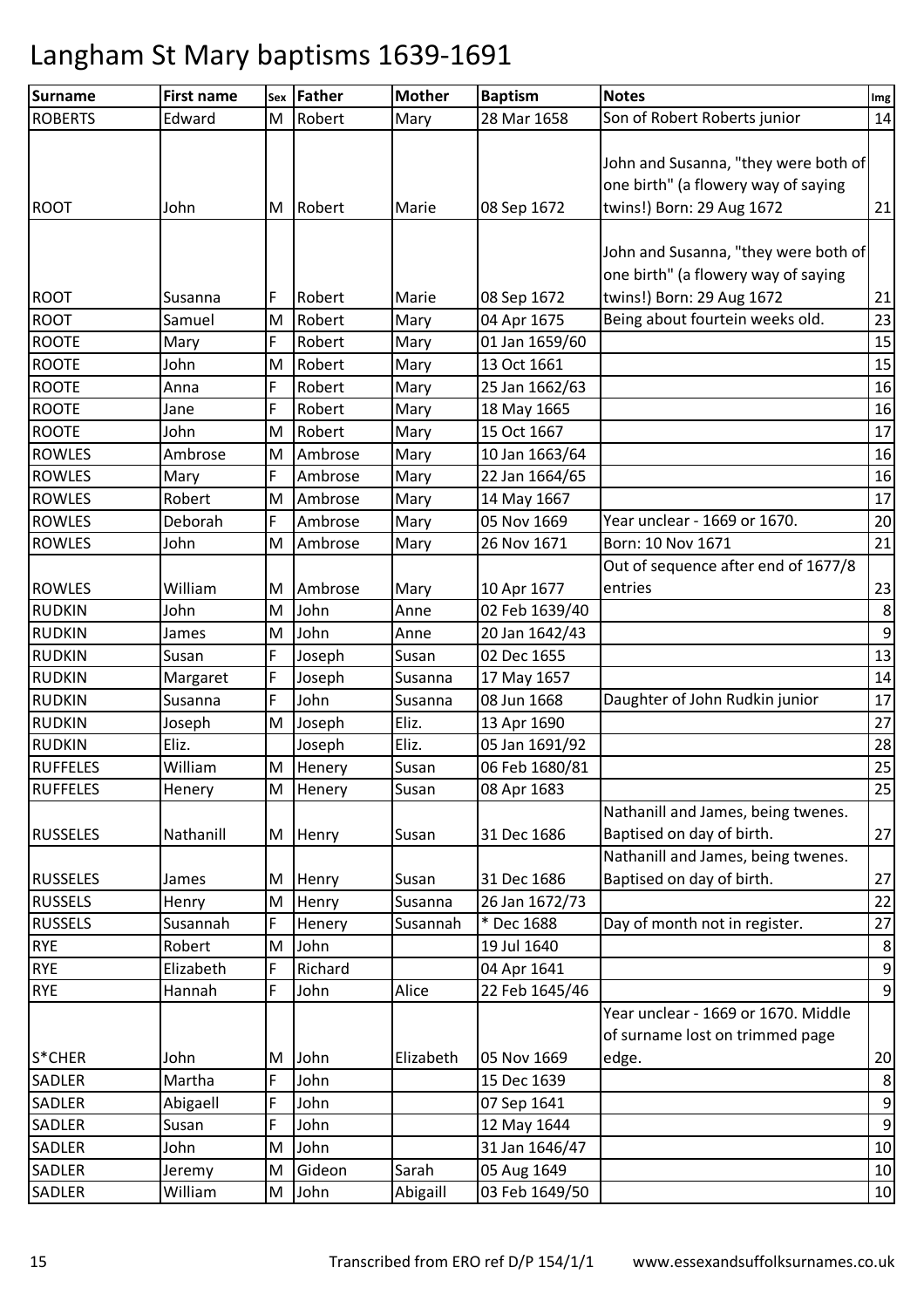| <b>Surname</b>  | <b>First name</b> | Sex | Father  | <b>Mother</b> | <b>Baptism</b> | <b>Notes</b>                         | Img              |
|-----------------|-------------------|-----|---------|---------------|----------------|--------------------------------------|------------------|
| <b>ROBERTS</b>  | Edward            | M   | Robert  | Mary          | 28 Mar 1658    | Son of Robert Roberts junior         | 14               |
|                 |                   |     |         |               |                |                                      |                  |
|                 |                   |     |         |               |                | John and Susanna, "they were both of |                  |
|                 |                   |     |         |               |                | one birth" (a flowery way of saying  |                  |
| <b>ROOT</b>     | John              | M   | Robert  | Marie         | 08 Sep 1672    | twins!) Born: 29 Aug 1672            | 21               |
|                 |                   |     |         |               |                |                                      |                  |
|                 |                   |     |         |               |                | John and Susanna, "they were both of |                  |
|                 |                   |     |         |               |                | one birth" (a flowery way of saying  |                  |
| <b>ROOT</b>     | Susanna           | F   | Robert  | Marie         | 08 Sep 1672    | twins!) Born: 29 Aug 1672            | 21               |
| <b>ROOT</b>     | Samuel            | M   | Robert  | Mary          | 04 Apr 1675    | Being about fourtein weeks old.      | 23               |
| <b>ROOTE</b>    | Mary              | F   | Robert  | Mary          | 01 Jan 1659/60 |                                      | 15               |
| <b>ROOTE</b>    | John              | M   | Robert  | Mary          | 13 Oct 1661    |                                      | 15               |
| <b>ROOTE</b>    | Anna              | F   | Robert  | Mary          | 25 Jan 1662/63 |                                      | 16               |
| <b>ROOTE</b>    | Jane              | F   | Robert  | Mary          | 18 May 1665    |                                      | 16               |
| <b>ROOTE</b>    | John              | M   | Robert  | Mary          | 15 Oct 1667    |                                      | 17               |
| <b>ROWLES</b>   | Ambrose           | M   | Ambrose | Mary          | 10 Jan 1663/64 |                                      | 16               |
| <b>ROWLES</b>   | Mary              | F   | Ambrose | Mary          | 22 Jan 1664/65 |                                      | 16               |
| <b>ROWLES</b>   | Robert            | M   | Ambrose | Mary          | 14 May 1667    |                                      | 17               |
| <b>ROWLES</b>   | Deborah           | F   | Ambrose | Mary          | 05 Nov 1669    | Year unclear - 1669 or 1670.         | 20               |
| <b>ROWLES</b>   | John              | M   | Ambrose | Mary          | 26 Nov 1671    | Born: 10 Nov 1671                    | 21               |
|                 |                   |     |         |               |                | Out of sequence after end of 1677/8  |                  |
| <b>ROWLES</b>   | William           | M   | Ambrose | Mary          | 10 Apr 1677    | entries                              | 23               |
| <b>RUDKIN</b>   | John              | M   | John    | Anne          | 02 Feb 1639/40 |                                      | 8                |
| <b>RUDKIN</b>   | James             | M   | John    | Anne          | 20 Jan 1642/43 |                                      | $\boldsymbol{9}$ |
| <b>RUDKIN</b>   | Susan             | F   | Joseph  | Susan         | 02 Dec 1655    |                                      | 13               |
| <b>RUDKIN</b>   | Margaret          | F   | Joseph  | Susanna       | 17 May 1657    |                                      | 14               |
| <b>RUDKIN</b>   | Susanna           | F   | John    | Susanna       | 08 Jun 1668    | Daughter of John Rudkin junior       | 17               |
| <b>RUDKIN</b>   | Joseph            | M   | Joseph  | Eliz.         | 13 Apr 1690    |                                      | 27               |
| <b>RUDKIN</b>   | Eliz.             |     | Joseph  | Eliz.         | 05 Jan 1691/92 |                                      | 28               |
| <b>RUFFELES</b> | William           | M   | Henery  | Susan         | 06 Feb 1680/81 |                                      | 25               |
| <b>RUFFELES</b> | Henery            | M   | Henery  | Susan         | 08 Apr 1683    |                                      | 25               |
|                 |                   |     |         |               |                | Nathanill and James, being twenes.   |                  |
| <b>RUSSELES</b> | Nathanill         | M   | Henry   | Susan         | 31 Dec 1686    | Baptised on day of birth.            | 27               |
|                 |                   |     |         |               |                | Nathanill and James, being twenes.   |                  |
| <b>RUSSELES</b> | James             | M   | Henry   | Susan         | 31 Dec 1686    | Baptised on day of birth.            | 27               |
| <b>RUSSELS</b>  | Henry             | M   | Henry   | Susanna       | 26 Jan 1672/73 |                                      | 22               |
| <b>RUSSELS</b>  | Susannah          | F   | Henery  | Susannah      | * Dec 1688     | Day of month not in register.        | 27               |
| <b>RYE</b>      | Robert            | M   | John    |               | 19 Jul 1640    |                                      | 8                |
| <b>RYE</b>      | Elizabeth         | F   | Richard |               | 04 Apr 1641    |                                      | $\boldsymbol{9}$ |
| <b>RYE</b>      | Hannah            | F   | John    | Alice         | 22 Feb 1645/46 |                                      | $9\,$            |
|                 |                   |     |         |               |                | Year unclear - 1669 or 1670. Middle  |                  |
|                 |                   |     |         |               |                | of surname lost on trimmed page      |                  |
| S*CHER          | John              | M   | John    | Elizabeth     | 05 Nov 1669    | edge.                                | 20               |
| SADLER          | Martha            | F   | John    |               | 15 Dec 1639    |                                      | $\,8\,$          |
| <b>SADLER</b>   | Abigaell          | F   | John    |               | 07 Sep 1641    |                                      | $\boldsymbol{9}$ |
| <b>SADLER</b>   | Susan             | F   | John    |               | 12 May 1644    |                                      | $\boldsymbol{9}$ |
| SADLER          | John              | M   | John    |               | 31 Jan 1646/47 |                                      | 10               |
| SADLER          | Jeremy            | M   | Gideon  | Sarah         | 05 Aug 1649    |                                      | 10               |
| SADLER          | William           | M   | John    | Abigaill      | 03 Feb 1649/50 |                                      | $10\,$           |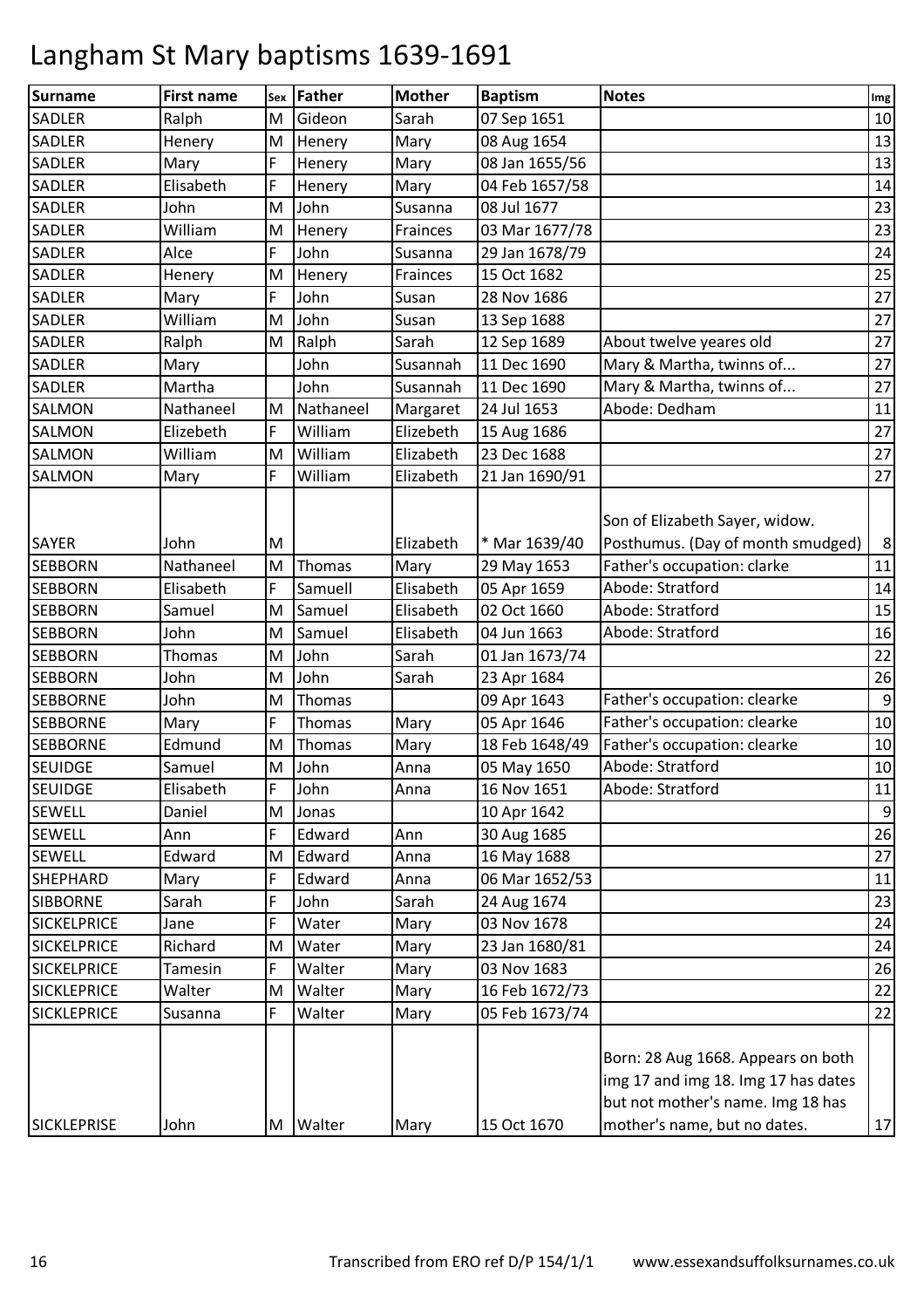| <b>SADLER</b><br>Gideon<br>Sarah<br>M<br>07 Sep 1651<br>Ralph<br>Mary<br><b>SADLER</b><br>Henery<br>M<br>Henery<br>08 Aug 1654<br>F<br><b>SADLER</b><br>Henery<br>Mary<br>08 Jan 1655/56<br>Mary<br>F<br>Elisabeth<br>Mary<br>04 Feb 1657/58<br><b>SADLER</b><br>Henery<br><b>SADLER</b><br>John<br>John<br>M<br>Susanna<br>08 Jul 1677<br><b>SADLER</b><br>William<br>M<br>03 Mar 1677/78<br>Henery<br>Frainces<br>F<br>John<br>Susanna<br><b>SADLER</b><br>Alce<br>29 Jan 1678/79<br>15 Oct 1682<br><b>SADLER</b><br>Henery<br>Frainces<br>Henery<br>M<br>John<br><b>SADLER</b><br>F<br>28 Nov 1686<br>Mary<br>Susan<br>William<br>John<br><b>SADLER</b><br>M<br>Susan<br>13 Sep 1688<br>Sarah<br><b>SADLER</b><br>M<br>Ralph<br>About twelve yeares old<br>Ralph<br>12 Sep 1689<br>Mary & Martha, twinns of<br>Susannah<br>11 Dec 1690<br><b>SADLER</b><br>Mary<br>John<br>Mary & Martha, twinns of<br><b>SADLER</b><br>Martha<br>John<br>Susannah<br>11 Dec 1690<br>Abode: Dedham<br>Nathaneel<br>Nathaneel<br><b>SALMON</b><br>M<br>Margaret<br>24 Jul 1653<br>F<br>William<br><b>SALMON</b><br>Elizebeth<br>Elizebeth<br>15 Aug 1686<br>M<br>William<br>Elizabeth<br>23 Dec 1688<br><b>SALMON</b><br>William<br>F<br>William<br><b>SALMON</b><br>Mary<br>Elizabeth<br>21 Jan 1690/91<br>Son of Elizabeth Sayer, widow.<br>Posthumus. (Day of month smudged)<br>* Mar 1639/40<br>Elizabeth<br>John<br>M<br>Father's occupation: clarke<br><b>SEBBORN</b><br>Nathaneel<br>M<br>Thomas<br>Mary<br>29 May 1653<br>Abode: Stratford<br>F<br>Samuell<br>Elisabeth<br><b>SEBBORN</b><br>Elisabeth<br>05 Apr 1659<br>Samuel<br>M<br>Samuel<br>Elisabeth<br>02 Oct 1660<br>Abode: Stratford<br><b>SEBBORN</b><br>Abode: Stratford<br>John<br>Samuel<br>Elisabeth<br>04 Jun 1663<br><b>SEBBORN</b><br>M<br>John<br>Sarah<br>01 Jan 1673/74<br>Thomas<br><b>SEBBORN</b><br>M<br>John<br>M<br>John<br>Sarah<br><b>SEBBORN</b><br>23 Apr 1684<br>John<br>Father's occupation: clearke<br><b>SEBBORNE</b><br>M<br>Thomas<br>09 Apr 1643<br>F<br>Father's occupation: clearke<br>Thomas<br>Mary<br>05 Apr 1646<br><b>SEBBORNE</b><br>Mary<br>Father's occupation: clearke<br>Thomas<br>Mary<br>18 Feb 1648/49<br><b>SEBBORNE</b><br>Edmund<br>M<br>Abode: Stratford<br><b>SEUIDGE</b><br>Samuel<br>John<br>05 May 1650<br>M<br>Anna<br>Abode: Stratford<br>Elisabeth<br>F<br>John<br>16 Nov 1651<br><b>SEUIDGE</b><br>Anna<br><b>SEWELL</b><br>Daniel<br>M<br>Jonas<br>10 Apr 1642<br><b>SEWELL</b><br>Edward<br>Ann<br>Ann<br>F<br>30 Aug 1685<br><b>SEWELL</b><br>Edward<br>Edward<br>16 May 1688<br>M<br>Anna<br><b>SHEPHARD</b><br>F<br>Edward<br>06 Mar 1652/53<br>Mary<br>Anna<br>F<br>Sarah<br>John<br>Sarah<br>24 Aug 1674<br><b>SIBBORNE</b><br>03 Nov 1678<br><b>SICKELPRICE</b><br>F<br>Water<br>Mary<br>Jane<br>Richard<br>23 Jan 1680/81<br><b>SICKELPRICE</b><br>M<br>Water<br>Mary<br><b>SICKELPRICE</b><br>Walter<br>03 Nov 1683<br>Tamesin<br>F<br>Mary<br><b>SICKLEPRICE</b><br>Walter<br>16 Feb 1672/73<br>Walter<br>Mary<br>M<br>05 Feb 1673/74<br><b>SICKLEPRICE</b><br>F<br>Walter<br>Mary<br>Susanna<br>Born: 28 Aug 1668. Appears on both | Surname | <b>First name</b> | Sex | Father | <b>Mother</b> | <b>Baptism</b> | <b>Notes</b>                        | Img              |
|----------------------------------------------------------------------------------------------------------------------------------------------------------------------------------------------------------------------------------------------------------------------------------------------------------------------------------------------------------------------------------------------------------------------------------------------------------------------------------------------------------------------------------------------------------------------------------------------------------------------------------------------------------------------------------------------------------------------------------------------------------------------------------------------------------------------------------------------------------------------------------------------------------------------------------------------------------------------------------------------------------------------------------------------------------------------------------------------------------------------------------------------------------------------------------------------------------------------------------------------------------------------------------------------------------------------------------------------------------------------------------------------------------------------------------------------------------------------------------------------------------------------------------------------------------------------------------------------------------------------------------------------------------------------------------------------------------------------------------------------------------------------------------------------------------------------------------------------------------------------------------------------------------------------------------------------------------------------------------------------------------------------------------------------------------------------------------------------------------------------------------------------------------------------------------------------------------------------------------------------------------------------------------------------------------------------------------------------------------------------------------------------------------------------------------------------------------------------------------------------------------------------------------------------------------------------------------------------------------------------------------------------------------------------------------------------------------------------------------------------------------------------------------------------------------------------------------------------------------------------------------------------------------------------------------------------------------------------------------------------------------------------------------------------------------------------------------------------------------------------------------------------------------|---------|-------------------|-----|--------|---------------|----------------|-------------------------------------|------------------|
|                                                                                                                                                                                                                                                                                                                                                                                                                                                                                                                                                                                                                                                                                                                                                                                                                                                                                                                                                                                                                                                                                                                                                                                                                                                                                                                                                                                                                                                                                                                                                                                                                                                                                                                                                                                                                                                                                                                                                                                                                                                                                                                                                                                                                                                                                                                                                                                                                                                                                                                                                                                                                                                                                                                                                                                                                                                                                                                                                                                                                                                                                                                                                          |         |                   |     |        |               |                |                                     | 10               |
|                                                                                                                                                                                                                                                                                                                                                                                                                                                                                                                                                                                                                                                                                                                                                                                                                                                                                                                                                                                                                                                                                                                                                                                                                                                                                                                                                                                                                                                                                                                                                                                                                                                                                                                                                                                                                                                                                                                                                                                                                                                                                                                                                                                                                                                                                                                                                                                                                                                                                                                                                                                                                                                                                                                                                                                                                                                                                                                                                                                                                                                                                                                                                          |         |                   |     |        |               |                |                                     | 13               |
|                                                                                                                                                                                                                                                                                                                                                                                                                                                                                                                                                                                                                                                                                                                                                                                                                                                                                                                                                                                                                                                                                                                                                                                                                                                                                                                                                                                                                                                                                                                                                                                                                                                                                                                                                                                                                                                                                                                                                                                                                                                                                                                                                                                                                                                                                                                                                                                                                                                                                                                                                                                                                                                                                                                                                                                                                                                                                                                                                                                                                                                                                                                                                          |         |                   |     |        |               |                |                                     | 13               |
|                                                                                                                                                                                                                                                                                                                                                                                                                                                                                                                                                                                                                                                                                                                                                                                                                                                                                                                                                                                                                                                                                                                                                                                                                                                                                                                                                                                                                                                                                                                                                                                                                                                                                                                                                                                                                                                                                                                                                                                                                                                                                                                                                                                                                                                                                                                                                                                                                                                                                                                                                                                                                                                                                                                                                                                                                                                                                                                                                                                                                                                                                                                                                          |         |                   |     |        |               |                |                                     | 14               |
|                                                                                                                                                                                                                                                                                                                                                                                                                                                                                                                                                                                                                                                                                                                                                                                                                                                                                                                                                                                                                                                                                                                                                                                                                                                                                                                                                                                                                                                                                                                                                                                                                                                                                                                                                                                                                                                                                                                                                                                                                                                                                                                                                                                                                                                                                                                                                                                                                                                                                                                                                                                                                                                                                                                                                                                                                                                                                                                                                                                                                                                                                                                                                          |         |                   |     |        |               |                |                                     | 23               |
|                                                                                                                                                                                                                                                                                                                                                                                                                                                                                                                                                                                                                                                                                                                                                                                                                                                                                                                                                                                                                                                                                                                                                                                                                                                                                                                                                                                                                                                                                                                                                                                                                                                                                                                                                                                                                                                                                                                                                                                                                                                                                                                                                                                                                                                                                                                                                                                                                                                                                                                                                                                                                                                                                                                                                                                                                                                                                                                                                                                                                                                                                                                                                          |         |                   |     |        |               |                |                                     | 23               |
|                                                                                                                                                                                                                                                                                                                                                                                                                                                                                                                                                                                                                                                                                                                                                                                                                                                                                                                                                                                                                                                                                                                                                                                                                                                                                                                                                                                                                                                                                                                                                                                                                                                                                                                                                                                                                                                                                                                                                                                                                                                                                                                                                                                                                                                                                                                                                                                                                                                                                                                                                                                                                                                                                                                                                                                                                                                                                                                                                                                                                                                                                                                                                          |         |                   |     |        |               |                |                                     | 24               |
|                                                                                                                                                                                                                                                                                                                                                                                                                                                                                                                                                                                                                                                                                                                                                                                                                                                                                                                                                                                                                                                                                                                                                                                                                                                                                                                                                                                                                                                                                                                                                                                                                                                                                                                                                                                                                                                                                                                                                                                                                                                                                                                                                                                                                                                                                                                                                                                                                                                                                                                                                                                                                                                                                                                                                                                                                                                                                                                                                                                                                                                                                                                                                          |         |                   |     |        |               |                |                                     | 25               |
|                                                                                                                                                                                                                                                                                                                                                                                                                                                                                                                                                                                                                                                                                                                                                                                                                                                                                                                                                                                                                                                                                                                                                                                                                                                                                                                                                                                                                                                                                                                                                                                                                                                                                                                                                                                                                                                                                                                                                                                                                                                                                                                                                                                                                                                                                                                                                                                                                                                                                                                                                                                                                                                                                                                                                                                                                                                                                                                                                                                                                                                                                                                                                          |         |                   |     |        |               |                |                                     | 27               |
|                                                                                                                                                                                                                                                                                                                                                                                                                                                                                                                                                                                                                                                                                                                                                                                                                                                                                                                                                                                                                                                                                                                                                                                                                                                                                                                                                                                                                                                                                                                                                                                                                                                                                                                                                                                                                                                                                                                                                                                                                                                                                                                                                                                                                                                                                                                                                                                                                                                                                                                                                                                                                                                                                                                                                                                                                                                                                                                                                                                                                                                                                                                                                          |         |                   |     |        |               |                |                                     | 27               |
|                                                                                                                                                                                                                                                                                                                                                                                                                                                                                                                                                                                                                                                                                                                                                                                                                                                                                                                                                                                                                                                                                                                                                                                                                                                                                                                                                                                                                                                                                                                                                                                                                                                                                                                                                                                                                                                                                                                                                                                                                                                                                                                                                                                                                                                                                                                                                                                                                                                                                                                                                                                                                                                                                                                                                                                                                                                                                                                                                                                                                                                                                                                                                          |         |                   |     |        |               |                |                                     | 27               |
|                                                                                                                                                                                                                                                                                                                                                                                                                                                                                                                                                                                                                                                                                                                                                                                                                                                                                                                                                                                                                                                                                                                                                                                                                                                                                                                                                                                                                                                                                                                                                                                                                                                                                                                                                                                                                                                                                                                                                                                                                                                                                                                                                                                                                                                                                                                                                                                                                                                                                                                                                                                                                                                                                                                                                                                                                                                                                                                                                                                                                                                                                                                                                          |         |                   |     |        |               |                |                                     | 27               |
| <b>SAYER</b>                                                                                                                                                                                                                                                                                                                                                                                                                                                                                                                                                                                                                                                                                                                                                                                                                                                                                                                                                                                                                                                                                                                                                                                                                                                                                                                                                                                                                                                                                                                                                                                                                                                                                                                                                                                                                                                                                                                                                                                                                                                                                                                                                                                                                                                                                                                                                                                                                                                                                                                                                                                                                                                                                                                                                                                                                                                                                                                                                                                                                                                                                                                                             |         |                   |     |        |               |                |                                     | 27               |
|                                                                                                                                                                                                                                                                                                                                                                                                                                                                                                                                                                                                                                                                                                                                                                                                                                                                                                                                                                                                                                                                                                                                                                                                                                                                                                                                                                                                                                                                                                                                                                                                                                                                                                                                                                                                                                                                                                                                                                                                                                                                                                                                                                                                                                                                                                                                                                                                                                                                                                                                                                                                                                                                                                                                                                                                                                                                                                                                                                                                                                                                                                                                                          |         |                   |     |        |               |                |                                     | 11               |
|                                                                                                                                                                                                                                                                                                                                                                                                                                                                                                                                                                                                                                                                                                                                                                                                                                                                                                                                                                                                                                                                                                                                                                                                                                                                                                                                                                                                                                                                                                                                                                                                                                                                                                                                                                                                                                                                                                                                                                                                                                                                                                                                                                                                                                                                                                                                                                                                                                                                                                                                                                                                                                                                                                                                                                                                                                                                                                                                                                                                                                                                                                                                                          |         |                   |     |        |               |                |                                     | 27               |
|                                                                                                                                                                                                                                                                                                                                                                                                                                                                                                                                                                                                                                                                                                                                                                                                                                                                                                                                                                                                                                                                                                                                                                                                                                                                                                                                                                                                                                                                                                                                                                                                                                                                                                                                                                                                                                                                                                                                                                                                                                                                                                                                                                                                                                                                                                                                                                                                                                                                                                                                                                                                                                                                                                                                                                                                                                                                                                                                                                                                                                                                                                                                                          |         |                   |     |        |               |                |                                     | 27               |
|                                                                                                                                                                                                                                                                                                                                                                                                                                                                                                                                                                                                                                                                                                                                                                                                                                                                                                                                                                                                                                                                                                                                                                                                                                                                                                                                                                                                                                                                                                                                                                                                                                                                                                                                                                                                                                                                                                                                                                                                                                                                                                                                                                                                                                                                                                                                                                                                                                                                                                                                                                                                                                                                                                                                                                                                                                                                                                                                                                                                                                                                                                                                                          |         |                   |     |        |               |                |                                     | 27               |
|                                                                                                                                                                                                                                                                                                                                                                                                                                                                                                                                                                                                                                                                                                                                                                                                                                                                                                                                                                                                                                                                                                                                                                                                                                                                                                                                                                                                                                                                                                                                                                                                                                                                                                                                                                                                                                                                                                                                                                                                                                                                                                                                                                                                                                                                                                                                                                                                                                                                                                                                                                                                                                                                                                                                                                                                                                                                                                                                                                                                                                                                                                                                                          |         |                   |     |        |               |                |                                     | $\,8\,$          |
|                                                                                                                                                                                                                                                                                                                                                                                                                                                                                                                                                                                                                                                                                                                                                                                                                                                                                                                                                                                                                                                                                                                                                                                                                                                                                                                                                                                                                                                                                                                                                                                                                                                                                                                                                                                                                                                                                                                                                                                                                                                                                                                                                                                                                                                                                                                                                                                                                                                                                                                                                                                                                                                                                                                                                                                                                                                                                                                                                                                                                                                                                                                                                          |         |                   |     |        |               |                |                                     | 11               |
|                                                                                                                                                                                                                                                                                                                                                                                                                                                                                                                                                                                                                                                                                                                                                                                                                                                                                                                                                                                                                                                                                                                                                                                                                                                                                                                                                                                                                                                                                                                                                                                                                                                                                                                                                                                                                                                                                                                                                                                                                                                                                                                                                                                                                                                                                                                                                                                                                                                                                                                                                                                                                                                                                                                                                                                                                                                                                                                                                                                                                                                                                                                                                          |         |                   |     |        |               |                |                                     | 14               |
|                                                                                                                                                                                                                                                                                                                                                                                                                                                                                                                                                                                                                                                                                                                                                                                                                                                                                                                                                                                                                                                                                                                                                                                                                                                                                                                                                                                                                                                                                                                                                                                                                                                                                                                                                                                                                                                                                                                                                                                                                                                                                                                                                                                                                                                                                                                                                                                                                                                                                                                                                                                                                                                                                                                                                                                                                                                                                                                                                                                                                                                                                                                                                          |         |                   |     |        |               |                |                                     | 15               |
|                                                                                                                                                                                                                                                                                                                                                                                                                                                                                                                                                                                                                                                                                                                                                                                                                                                                                                                                                                                                                                                                                                                                                                                                                                                                                                                                                                                                                                                                                                                                                                                                                                                                                                                                                                                                                                                                                                                                                                                                                                                                                                                                                                                                                                                                                                                                                                                                                                                                                                                                                                                                                                                                                                                                                                                                                                                                                                                                                                                                                                                                                                                                                          |         |                   |     |        |               |                |                                     | 16               |
|                                                                                                                                                                                                                                                                                                                                                                                                                                                                                                                                                                                                                                                                                                                                                                                                                                                                                                                                                                                                                                                                                                                                                                                                                                                                                                                                                                                                                                                                                                                                                                                                                                                                                                                                                                                                                                                                                                                                                                                                                                                                                                                                                                                                                                                                                                                                                                                                                                                                                                                                                                                                                                                                                                                                                                                                                                                                                                                                                                                                                                                                                                                                                          |         |                   |     |        |               |                |                                     | 22               |
|                                                                                                                                                                                                                                                                                                                                                                                                                                                                                                                                                                                                                                                                                                                                                                                                                                                                                                                                                                                                                                                                                                                                                                                                                                                                                                                                                                                                                                                                                                                                                                                                                                                                                                                                                                                                                                                                                                                                                                                                                                                                                                                                                                                                                                                                                                                                                                                                                                                                                                                                                                                                                                                                                                                                                                                                                                                                                                                                                                                                                                                                                                                                                          |         |                   |     |        |               |                |                                     | 26               |
|                                                                                                                                                                                                                                                                                                                                                                                                                                                                                                                                                                                                                                                                                                                                                                                                                                                                                                                                                                                                                                                                                                                                                                                                                                                                                                                                                                                                                                                                                                                                                                                                                                                                                                                                                                                                                                                                                                                                                                                                                                                                                                                                                                                                                                                                                                                                                                                                                                                                                                                                                                                                                                                                                                                                                                                                                                                                                                                                                                                                                                                                                                                                                          |         |                   |     |        |               |                |                                     | $\boldsymbol{9}$ |
|                                                                                                                                                                                                                                                                                                                                                                                                                                                                                                                                                                                                                                                                                                                                                                                                                                                                                                                                                                                                                                                                                                                                                                                                                                                                                                                                                                                                                                                                                                                                                                                                                                                                                                                                                                                                                                                                                                                                                                                                                                                                                                                                                                                                                                                                                                                                                                                                                                                                                                                                                                                                                                                                                                                                                                                                                                                                                                                                                                                                                                                                                                                                                          |         |                   |     |        |               |                |                                     | $10\,$           |
|                                                                                                                                                                                                                                                                                                                                                                                                                                                                                                                                                                                                                                                                                                                                                                                                                                                                                                                                                                                                                                                                                                                                                                                                                                                                                                                                                                                                                                                                                                                                                                                                                                                                                                                                                                                                                                                                                                                                                                                                                                                                                                                                                                                                                                                                                                                                                                                                                                                                                                                                                                                                                                                                                                                                                                                                                                                                                                                                                                                                                                                                                                                                                          |         |                   |     |        |               |                |                                     | 10               |
|                                                                                                                                                                                                                                                                                                                                                                                                                                                                                                                                                                                                                                                                                                                                                                                                                                                                                                                                                                                                                                                                                                                                                                                                                                                                                                                                                                                                                                                                                                                                                                                                                                                                                                                                                                                                                                                                                                                                                                                                                                                                                                                                                                                                                                                                                                                                                                                                                                                                                                                                                                                                                                                                                                                                                                                                                                                                                                                                                                                                                                                                                                                                                          |         |                   |     |        |               |                |                                     | 10               |
|                                                                                                                                                                                                                                                                                                                                                                                                                                                                                                                                                                                                                                                                                                                                                                                                                                                                                                                                                                                                                                                                                                                                                                                                                                                                                                                                                                                                                                                                                                                                                                                                                                                                                                                                                                                                                                                                                                                                                                                                                                                                                                                                                                                                                                                                                                                                                                                                                                                                                                                                                                                                                                                                                                                                                                                                                                                                                                                                                                                                                                                                                                                                                          |         |                   |     |        |               |                |                                     | $11\,$           |
|                                                                                                                                                                                                                                                                                                                                                                                                                                                                                                                                                                                                                                                                                                                                                                                                                                                                                                                                                                                                                                                                                                                                                                                                                                                                                                                                                                                                                                                                                                                                                                                                                                                                                                                                                                                                                                                                                                                                                                                                                                                                                                                                                                                                                                                                                                                                                                                                                                                                                                                                                                                                                                                                                                                                                                                                                                                                                                                                                                                                                                                                                                                                                          |         |                   |     |        |               |                |                                     | 9                |
|                                                                                                                                                                                                                                                                                                                                                                                                                                                                                                                                                                                                                                                                                                                                                                                                                                                                                                                                                                                                                                                                                                                                                                                                                                                                                                                                                                                                                                                                                                                                                                                                                                                                                                                                                                                                                                                                                                                                                                                                                                                                                                                                                                                                                                                                                                                                                                                                                                                                                                                                                                                                                                                                                                                                                                                                                                                                                                                                                                                                                                                                                                                                                          |         |                   |     |        |               |                |                                     | 26               |
|                                                                                                                                                                                                                                                                                                                                                                                                                                                                                                                                                                                                                                                                                                                                                                                                                                                                                                                                                                                                                                                                                                                                                                                                                                                                                                                                                                                                                                                                                                                                                                                                                                                                                                                                                                                                                                                                                                                                                                                                                                                                                                                                                                                                                                                                                                                                                                                                                                                                                                                                                                                                                                                                                                                                                                                                                                                                                                                                                                                                                                                                                                                                                          |         |                   |     |        |               |                |                                     | 27               |
|                                                                                                                                                                                                                                                                                                                                                                                                                                                                                                                                                                                                                                                                                                                                                                                                                                                                                                                                                                                                                                                                                                                                                                                                                                                                                                                                                                                                                                                                                                                                                                                                                                                                                                                                                                                                                                                                                                                                                                                                                                                                                                                                                                                                                                                                                                                                                                                                                                                                                                                                                                                                                                                                                                                                                                                                                                                                                                                                                                                                                                                                                                                                                          |         |                   |     |        |               |                |                                     | 11               |
|                                                                                                                                                                                                                                                                                                                                                                                                                                                                                                                                                                                                                                                                                                                                                                                                                                                                                                                                                                                                                                                                                                                                                                                                                                                                                                                                                                                                                                                                                                                                                                                                                                                                                                                                                                                                                                                                                                                                                                                                                                                                                                                                                                                                                                                                                                                                                                                                                                                                                                                                                                                                                                                                                                                                                                                                                                                                                                                                                                                                                                                                                                                                                          |         |                   |     |        |               |                |                                     | 23               |
|                                                                                                                                                                                                                                                                                                                                                                                                                                                                                                                                                                                                                                                                                                                                                                                                                                                                                                                                                                                                                                                                                                                                                                                                                                                                                                                                                                                                                                                                                                                                                                                                                                                                                                                                                                                                                                                                                                                                                                                                                                                                                                                                                                                                                                                                                                                                                                                                                                                                                                                                                                                                                                                                                                                                                                                                                                                                                                                                                                                                                                                                                                                                                          |         |                   |     |        |               |                |                                     | 24               |
|                                                                                                                                                                                                                                                                                                                                                                                                                                                                                                                                                                                                                                                                                                                                                                                                                                                                                                                                                                                                                                                                                                                                                                                                                                                                                                                                                                                                                                                                                                                                                                                                                                                                                                                                                                                                                                                                                                                                                                                                                                                                                                                                                                                                                                                                                                                                                                                                                                                                                                                                                                                                                                                                                                                                                                                                                                                                                                                                                                                                                                                                                                                                                          |         |                   |     |        |               |                |                                     | 24               |
|                                                                                                                                                                                                                                                                                                                                                                                                                                                                                                                                                                                                                                                                                                                                                                                                                                                                                                                                                                                                                                                                                                                                                                                                                                                                                                                                                                                                                                                                                                                                                                                                                                                                                                                                                                                                                                                                                                                                                                                                                                                                                                                                                                                                                                                                                                                                                                                                                                                                                                                                                                                                                                                                                                                                                                                                                                                                                                                                                                                                                                                                                                                                                          |         |                   |     |        |               |                |                                     | 26               |
|                                                                                                                                                                                                                                                                                                                                                                                                                                                                                                                                                                                                                                                                                                                                                                                                                                                                                                                                                                                                                                                                                                                                                                                                                                                                                                                                                                                                                                                                                                                                                                                                                                                                                                                                                                                                                                                                                                                                                                                                                                                                                                                                                                                                                                                                                                                                                                                                                                                                                                                                                                                                                                                                                                                                                                                                                                                                                                                                                                                                                                                                                                                                                          |         |                   |     |        |               |                |                                     | 22               |
|                                                                                                                                                                                                                                                                                                                                                                                                                                                                                                                                                                                                                                                                                                                                                                                                                                                                                                                                                                                                                                                                                                                                                                                                                                                                                                                                                                                                                                                                                                                                                                                                                                                                                                                                                                                                                                                                                                                                                                                                                                                                                                                                                                                                                                                                                                                                                                                                                                                                                                                                                                                                                                                                                                                                                                                                                                                                                                                                                                                                                                                                                                                                                          |         |                   |     |        |               |                |                                     | 22               |
| but not mother's name. Img 18 has<br>mother's name, but no dates.<br>15 Oct 1670<br>SICKLEPRISE<br>John<br>Walter<br>M<br>Mary                                                                                                                                                                                                                                                                                                                                                                                                                                                                                                                                                                                                                                                                                                                                                                                                                                                                                                                                                                                                                                                                                                                                                                                                                                                                                                                                                                                                                                                                                                                                                                                                                                                                                                                                                                                                                                                                                                                                                                                                                                                                                                                                                                                                                                                                                                                                                                                                                                                                                                                                                                                                                                                                                                                                                                                                                                                                                                                                                                                                                           |         |                   |     |        |               |                | img 17 and img 18. Img 17 has dates | 17               |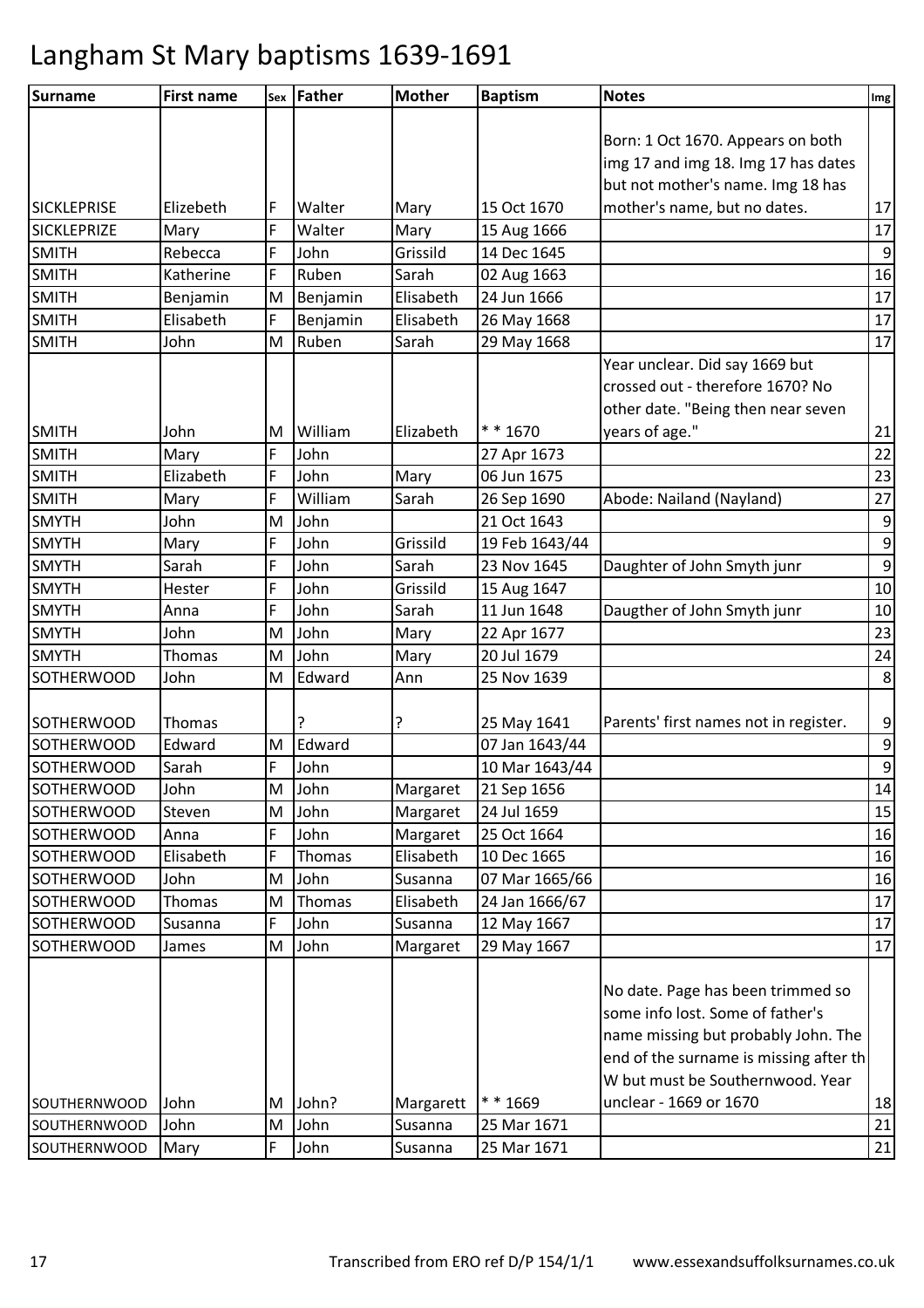| <b>Surname</b><br><b>Notes</b><br>sex Father<br><b>Mother</b><br><b>Baptism</b><br><b>First name</b>  | Img              |
|-------------------------------------------------------------------------------------------------------|------------------|
|                                                                                                       |                  |
| Born: 1 Oct 1670. Appears on both                                                                     |                  |
| img 17 and img 18. Img 17 has dates                                                                   |                  |
| but not mother's name. Img 18 has                                                                     |                  |
| mother's name, but no dates.<br><b>SICKLEPRISE</b><br>Elizebeth<br>F<br>Walter<br>15 Oct 1670<br>Mary | 17               |
| F<br><b>SICKLEPRIZE</b><br>Walter<br>Mary<br>Mary<br>15 Aug 1666                                      | 17               |
| <b>SMITH</b><br>F<br>Grissild<br>14 Dec 1645<br>Rebecca<br>John                                       | $\mathsf 9$      |
| F<br><b>SMITH</b><br>Sarah<br>Ruben<br>02 Aug 1663<br>Katherine                                       | 16               |
| <b>SMITH</b><br>M<br>Elisabeth<br>24 Jun 1666<br>Benjamin<br>Benjamin                                 | 17               |
| <b>SMITH</b><br>F<br>Elisabeth<br>Elisabeth<br>Benjamin<br>26 May 1668                                | 17               |
| <b>SMITH</b><br>Ruben<br>Sarah<br>29 May 1668<br>John<br>M                                            | 17               |
| Year unclear. Did say 1669 but                                                                        |                  |
| crossed out - therefore 1670? No                                                                      |                  |
| other date. "Being then near seven                                                                    |                  |
| years of age."<br>* * 1670<br><b>SMITH</b><br>William<br>Elizabeth<br>John<br>M                       | 21               |
| <b>SMITH</b><br>F<br>John<br>Mary<br>27 Apr 1673                                                      | 22               |
| <b>SMITH</b><br>Elizabeth<br>F<br>John<br>06 Jun 1675<br>Mary                                         | 23               |
| F<br>William<br>Abode: Nailand (Nayland)<br><b>SMITH</b><br>Sarah<br>26 Sep 1690<br>Mary              | 27               |
| <b>SMYTH</b><br>John<br>21 Oct 1643<br>M<br>John                                                      | $\boldsymbol{9}$ |
| <b>SMYTH</b><br>F<br>John<br>Grissild<br>19 Feb 1643/44<br>Mary                                       | $\overline{9}$   |
| <b>SMYTH</b><br>F<br>John<br>Sarah<br>23 Nov 1645<br>Daughter of John Smyth junr<br>Sarah             | $\boldsymbol{9}$ |
| <b>SMYTH</b><br>F<br>John<br>Grissild<br>15 Aug 1647<br>Hester                                        | $10\,$           |
| F<br><b>SMYTH</b><br>11 Jun 1648<br>Daugther of John Smyth junr<br>John<br>Sarah<br>Anna              | 10               |
| <b>SMYTH</b><br>John<br>M<br>John<br>Mary<br>22 Apr 1677                                              | 23               |
| <b>SMYTH</b><br>John<br>20 Jul 1679<br>Mary<br>Thomas<br>M                                            | 24               |
| <b>SOTHERWOOD</b><br>Edward<br>25 Nov 1639<br>John<br>M<br>Ann                                        | $\,8\,$          |
|                                                                                                       |                  |
| 7<br>?<br><b>SOTHERWOOD</b><br>Thomas<br>25 May 1641<br>Parents' first names not in register.         | 9                |
| Edward<br>Edward<br>07 Jan 1643/44<br><b>SOTHERWOOD</b><br>M                                          | $\boldsymbol{9}$ |
| F<br><b>SOTHERWOOD</b><br>Sarah<br>John<br>10 Mar 1643/44                                             | $\overline{9}$   |
| John<br><b>SOTHERWOOD</b><br>John<br>M<br>Margaret<br>21 Sep 1656                                     | 14               |
| John<br><b>SOTHERWOOD</b><br>M<br>Margaret<br>24 Jul 1659<br>Steven                                   | 15               |
| F<br>John<br>25 Oct 1664<br><b>SOTHERWOOD</b><br>Margaret<br>Anna                                     | 16               |
| F<br>10 Dec 1665<br><b>SOTHERWOOD</b><br>Elisabeth<br>Thomas<br>Elisabeth                             | 16               |
| John<br>07 Mar 1665/66<br><b>SOTHERWOOD</b><br>John<br>M<br>Susanna                                   | 16               |
| <b>SOTHERWOOD</b><br>Thomas<br>Elisabeth<br>24 Jan 1666/67<br>Thomas<br>M                             | 17               |
| 12 May 1667<br><b>SOTHERWOOD</b><br>F<br>John<br>Susanna<br>Susanna                                   | 17               |
| John<br>29 May 1667<br><b>SOTHERWOOD</b><br>M<br>Margaret<br>James                                    | 17               |
|                                                                                                       |                  |
| No date. Page has been trimmed so                                                                     |                  |
| some info lost. Some of father's                                                                      |                  |
| name missing but probably John. The                                                                   |                  |
| end of the surname is missing after th                                                                |                  |
| W but must be Southernwood. Year                                                                      |                  |
| John?<br>* * 1669<br>unclear - 1669 or 1670<br><b>SOUTHERNWOOD</b><br>John<br>M<br>Margarett          | 18               |
| M<br>John<br>John<br>25 Mar 1671<br><b>SOUTHERNWOOD</b><br>Susanna                                    | 21               |
| John<br>F<br>25 Mar 1671<br><b>SOUTHERNWOOD</b><br>Mary<br>Susanna                                    | 21               |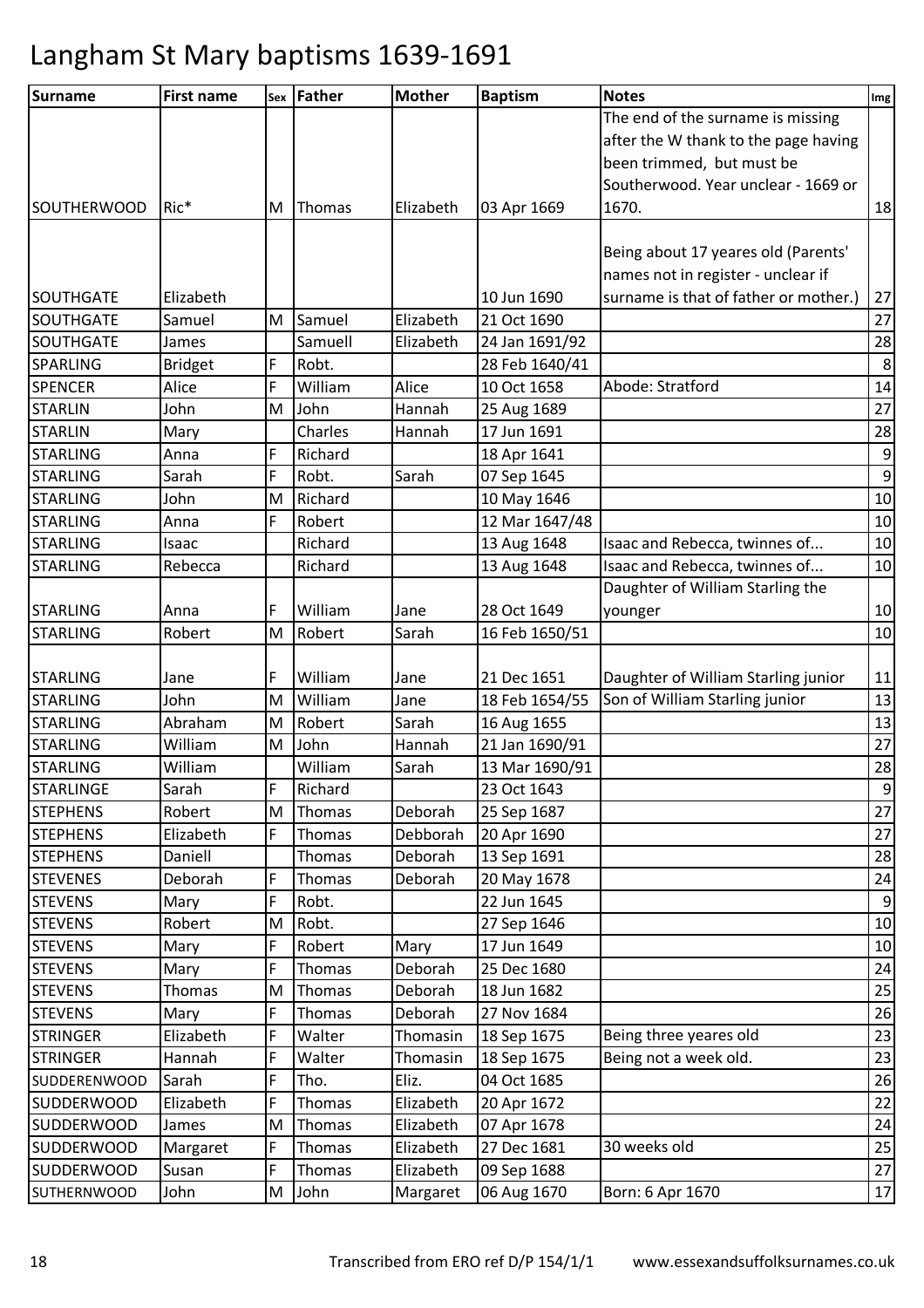| <b>Surname</b>      | <b>First name</b> |   | sex Father | <b>Mother</b> | <b>Baptism</b> | <b>Notes</b>                          | Img              |
|---------------------|-------------------|---|------------|---------------|----------------|---------------------------------------|------------------|
|                     |                   |   |            |               |                | The end of the surname is missing     |                  |
|                     |                   |   |            |               |                | after the W thank to the page having  |                  |
|                     |                   |   |            |               |                | been trimmed, but must be             |                  |
|                     |                   |   |            |               |                | Southerwood. Year unclear - 1669 or   |                  |
| <b>SOUTHERWOOD</b>  | Ric*              | M | Thomas     | Elizabeth     | 03 Apr 1669    | 1670.                                 | 18               |
|                     |                   |   |            |               |                |                                       |                  |
|                     |                   |   |            |               |                | Being about 17 yeares old (Parents'   |                  |
|                     |                   |   |            |               |                | names not in register - unclear if    |                  |
| <b>SOUTHGATE</b>    | Elizabeth         |   |            |               | 10 Jun 1690    | surname is that of father or mother.) | 27               |
| SOUTHGATE           | Samuel            | M | Samuel     | Elizabeth     | 21 Oct 1690    |                                       | 27               |
| <b>SOUTHGATE</b>    | James             |   | Samuell    | Elizabeth     | 24 Jan 1691/92 |                                       | 28               |
| <b>SPARLING</b>     | <b>Bridget</b>    | F | Robt.      |               | 28 Feb 1640/41 |                                       | $\,8\,$          |
| <b>SPENCER</b>      | Alice             | F | William    | Alice         | 10 Oct 1658    | Abode: Stratford                      | 14               |
| <b>STARLIN</b>      | John              | M | John       | Hannah        | 25 Aug 1689    |                                       | 27               |
| <b>STARLIN</b>      | Mary              |   | Charles    | Hannah        | 17 Jun 1691    |                                       | 28               |
| <b>STARLING</b>     | Anna              | F | Richard    |               | 18 Apr 1641    |                                       | $\boldsymbol{9}$ |
| <b>STARLING</b>     | Sarah             | F | Robt.      | Sarah         | 07 Sep 1645    |                                       | $\boldsymbol{9}$ |
| <b>STARLING</b>     | John              | M | Richard    |               | 10 May 1646    |                                       | $10\,$           |
| <b>STARLING</b>     | Anna              | F | Robert     |               | 12 Mar 1647/48 |                                       | 10               |
| <b>STARLING</b>     | Isaac             |   | Richard    |               | 13 Aug 1648    | Isaac and Rebecca, twinnes of         | 10               |
| <b>STARLING</b>     | Rebecca           |   | Richard    |               | 13 Aug 1648    | Isaac and Rebecca, twinnes of         | 10               |
|                     |                   |   |            |               |                | Daughter of William Starling the      |                  |
| <b>STARLING</b>     | Anna              | F | William    | Jane          | 28 Oct 1649    | younger                               | $10\,$           |
| <b>STARLING</b>     | Robert            | M | Robert     | Sarah         | 16 Feb 1650/51 |                                       | 10               |
|                     |                   |   |            |               |                |                                       |                  |
| <b>STARLING</b>     | Jane              | F | William    | Jane          | 21 Dec 1651    | Daughter of William Starling junior   | 11               |
| <b>STARLING</b>     | John              | M | William    | Jane          | 18 Feb 1654/55 | Son of William Starling junior        | 13               |
| <b>STARLING</b>     | Abraham           | M | Robert     | Sarah         | 16 Aug 1655    |                                       | 13               |
| <b>STARLING</b>     | William           | M | John       | Hannah        | 21 Jan 1690/91 |                                       | 27               |
| <b>STARLING</b>     | William           |   | William    | Sarah         | 13 Mar 1690/91 |                                       | 28               |
| <b>STARLINGE</b>    | Sarah             | F | Richard    |               | 23 Oct 1643    |                                       | $\boldsymbol{9}$ |
| <b>STEPHENS</b>     | Robert            | M | Thomas     | Deborah       | 25 Sep 1687    |                                       | 27               |
| <b>STEPHENS</b>     | Elizabeth         | F | Thomas     | Debborah      | 20 Apr 1690    |                                       | 27               |
| <b>STEPHENS</b>     | Daniell           |   | Thomas     | Deborah       | 13 Sep 1691    |                                       | 28               |
| <b>STEVENES</b>     | Deborah           | F | Thomas     | Deborah       | 20 May 1678    |                                       | 24               |
| <b>STEVENS</b>      | Mary              | F | Robt.      |               | 22 Jun 1645    |                                       | $\overline{9}$   |
| <b>STEVENS</b>      | Robert            | M | Robt.      |               | 27 Sep 1646    |                                       | 10               |
| <b>STEVENS</b>      | Mary              | F | Robert     | Mary          | 17 Jun 1649    |                                       | 10               |
| <b>STEVENS</b>      | Mary              | F | Thomas     | Deborah       | 25 Dec 1680    |                                       | 24               |
| <b>STEVENS</b>      | Thomas            | M | Thomas     | Deborah       | 18 Jun 1682    |                                       | 25               |
| <b>STEVENS</b>      | Mary              | F | Thomas     | Deborah       | 27 Nov 1684    |                                       | 26               |
| <b>STRINGER</b>     | Elizabeth         | F | Walter     | Thomasin      | 18 Sep 1675    | Being three yeares old                | 23               |
| <b>STRINGER</b>     | Hannah            | F | Walter     | Thomasin      | 18 Sep 1675    | Being not a week old.                 | 23               |
| <b>SUDDERENWOOD</b> | Sarah             | F | Tho.       | Eliz.         | 04 Oct 1685    |                                       | 26               |
| <b>SUDDERWOOD</b>   | Elizabeth         | F | Thomas     | Elizabeth     | 20 Apr 1672    |                                       | 22               |
| <b>SUDDERWOOD</b>   | James             | M | Thomas     | Elizabeth     | 07 Apr 1678    |                                       | 24               |
| <b>SUDDERWOOD</b>   | Margaret          | F | Thomas     | Elizabeth     | 27 Dec 1681    | 30 weeks old                          | 25               |
| <b>SUDDERWOOD</b>   | Susan             | F | Thomas     | Elizabeth     | 09 Sep 1688    |                                       | 27               |
| <b>SUTHERNWOOD</b>  | John              | M | John       | Margaret      | 06 Aug 1670    | Born: 6 Apr 1670                      | $17\,$           |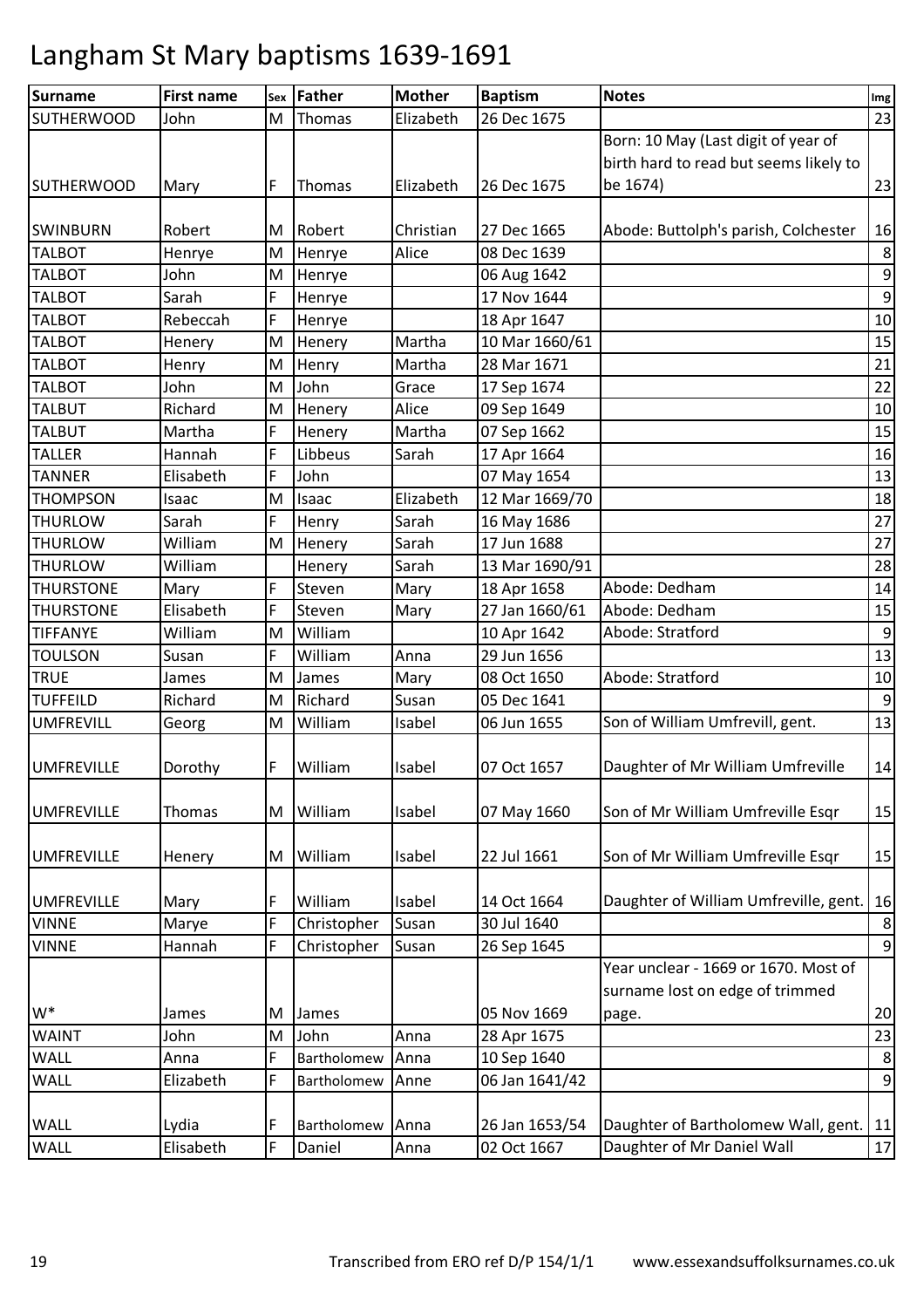| <b>Surname</b>    | <b>First name</b> | Sex | Father      | <b>Mother</b> | <b>Baptism</b> | <b>Notes</b>                           | Img              |
|-------------------|-------------------|-----|-------------|---------------|----------------|----------------------------------------|------------------|
| <b>SUTHERWOOD</b> | John              | M   | Thomas      | Elizabeth     | 26 Dec 1675    |                                        | 23               |
|                   |                   |     |             |               |                | Born: 10 May (Last digit of year of    |                  |
|                   |                   |     |             |               |                | birth hard to read but seems likely to |                  |
| <b>SUTHERWOOD</b> | Mary              | F   | Thomas      | Elizabeth     | 26 Dec 1675    | be 1674)                               | 23               |
| <b>SWINBURN</b>   | Robert            | м   | Robert      | Christian     | 27 Dec 1665    | Abode: Buttolph's parish, Colchester   | 16               |
| <b>TALBOT</b>     | Henrye            | M   | Henrye      | Alice         | 08 Dec 1639    |                                        | $\bf 8$          |
| <b>TALBOT</b>     | John              | M   | Henrye      |               | 06 Aug 1642    |                                        | $\boldsymbol{9}$ |
| <b>TALBOT</b>     | Sarah             | F   | Henrye      |               | 17 Nov 1644    |                                        | $\boldsymbol{9}$ |
| <b>TALBOT</b>     | Rebeccah          | F   | Henrye      |               | 18 Apr 1647    |                                        | $10\,$           |
| <b>TALBOT</b>     | Henery            | M   | Henery      | Martha        | 10 Mar 1660/61 |                                        | 15               |
| <b>TALBOT</b>     | Henry             | M   | Henry       | Martha        | 28 Mar 1671    |                                        | 21               |
| <b>TALBOT</b>     | John              | M   | John        | Grace         | 17 Sep 1674    |                                        | 22               |
| <b>TALBUT</b>     | Richard           | M   | Henery      | Alice         | 09 Sep 1649    |                                        | 10               |
| <b>TALBUT</b>     | Martha            | F   | Henery      | Martha        | 07 Sep 1662    |                                        | 15               |
| <b>TALLER</b>     | Hannah            | F   | Libbeus     | Sarah         | 17 Apr 1664    |                                        | 16               |
| <b>TANNER</b>     | Elisabeth         | F   | John        |               | 07 May 1654    |                                        | 13               |
| <b>THOMPSON</b>   | Isaac             | M   | Isaac       | Elizabeth     | 12 Mar 1669/70 |                                        | 18               |
| <b>THURLOW</b>    | Sarah             | F   | Henry       | Sarah         | 16 May 1686    |                                        | 27               |
| <b>THURLOW</b>    | William           | M   | Henery      | Sarah         | 17 Jun 1688    |                                        | 27               |
| <b>THURLOW</b>    | William           |     | Henery      | Sarah         | 13 Mar 1690/91 |                                        | 28               |
| <b>THURSTONE</b>  | Mary              | F   | Steven      | Mary          | 18 Apr 1658    | Abode: Dedham                          | 14               |
| <b>THURSTONE</b>  | Elisabeth         | F   | Steven      | Mary          | 27 Jan 1660/61 | Abode: Dedham                          | 15               |
| <b>TIFFANYE</b>   | William           | M   | William     |               | 10 Apr 1642    | Abode: Stratford                       | 9                |
| <b>TOULSON</b>    | Susan             | F   | William     | Anna          | 29 Jun 1656    |                                        | 13               |
| <b>TRUE</b>       | James             | M   | James       | Mary          | 08 Oct 1650    | Abode: Stratford                       | 10               |
| <b>TUFFEILD</b>   | Richard           | M   | Richard     | Susan         | 05 Dec 1641    |                                        | $9\,$            |
| <b>UMFREVILL</b>  | Georg             | M   | William     | Isabel        | 06 Jun 1655    | Son of William Umfrevill, gent.        | 13               |
|                   |                   |     |             |               |                |                                        |                  |
| <b>UMFREVILLE</b> | Dorothy           | F   | William     | Isabel        | 07 Oct 1657    | Daughter of Mr William Umfreville      | 14               |
|                   |                   |     |             |               |                |                                        |                  |
| <b>UMFREVILLE</b> | Thomas            | M   | William     | Isabel        | 07 May 1660    | Son of Mr William Umfreville Esqr      | 15               |
|                   |                   |     |             |               |                |                                        |                  |
| <b>UMFREVILLE</b> | Henery            | M   | William     | Isabel        | 22 Jul 1661    | Son of Mr William Umfreville Esqr      | 15               |
| <b>UMFREVILLE</b> | Mary              | F   | William     | Isabel        | 14 Oct 1664    | Daughter of William Umfreville, gent.  | 16               |
| <b>VINNE</b>      | Marye             | F   | Christopher | Susan         | 30 Jul 1640    |                                        | 8                |
| <b>VINNE</b>      | Hannah            | F   | Christopher | Susan         | 26 Sep 1645    |                                        | 9                |
|                   |                   |     |             |               |                | Year unclear - 1669 or 1670. Most of   |                  |
|                   |                   |     |             |               |                | surname lost on edge of trimmed        |                  |
| $W^*$             | James             | м   | James       |               | 05 Nov 1669    | page.                                  | 20               |
| <b>WAINT</b>      | John              | M   | John        | Anna          | 28 Apr 1675    |                                        | 23               |
| WALL              | Anna              | F   | Bartholomew | Anna          | 10 Sep 1640    |                                        | 8                |
| WALL              | Elizabeth         | F   | Bartholomew | Anne          | 06 Jan 1641/42 |                                        | $\boldsymbol{9}$ |
|                   |                   |     |             |               |                |                                        |                  |
| WALL              | Lydia             | F   | Bartholomew | Anna          | 26 Jan 1653/54 | Daughter of Bartholomew Wall, gent.    | 11               |
| WALL              | Elisabeth         | F   | Daniel      | Anna          | 02 Oct 1667    | Daughter of Mr Daniel Wall             | $17\,$           |
|                   |                   |     |             |               |                |                                        |                  |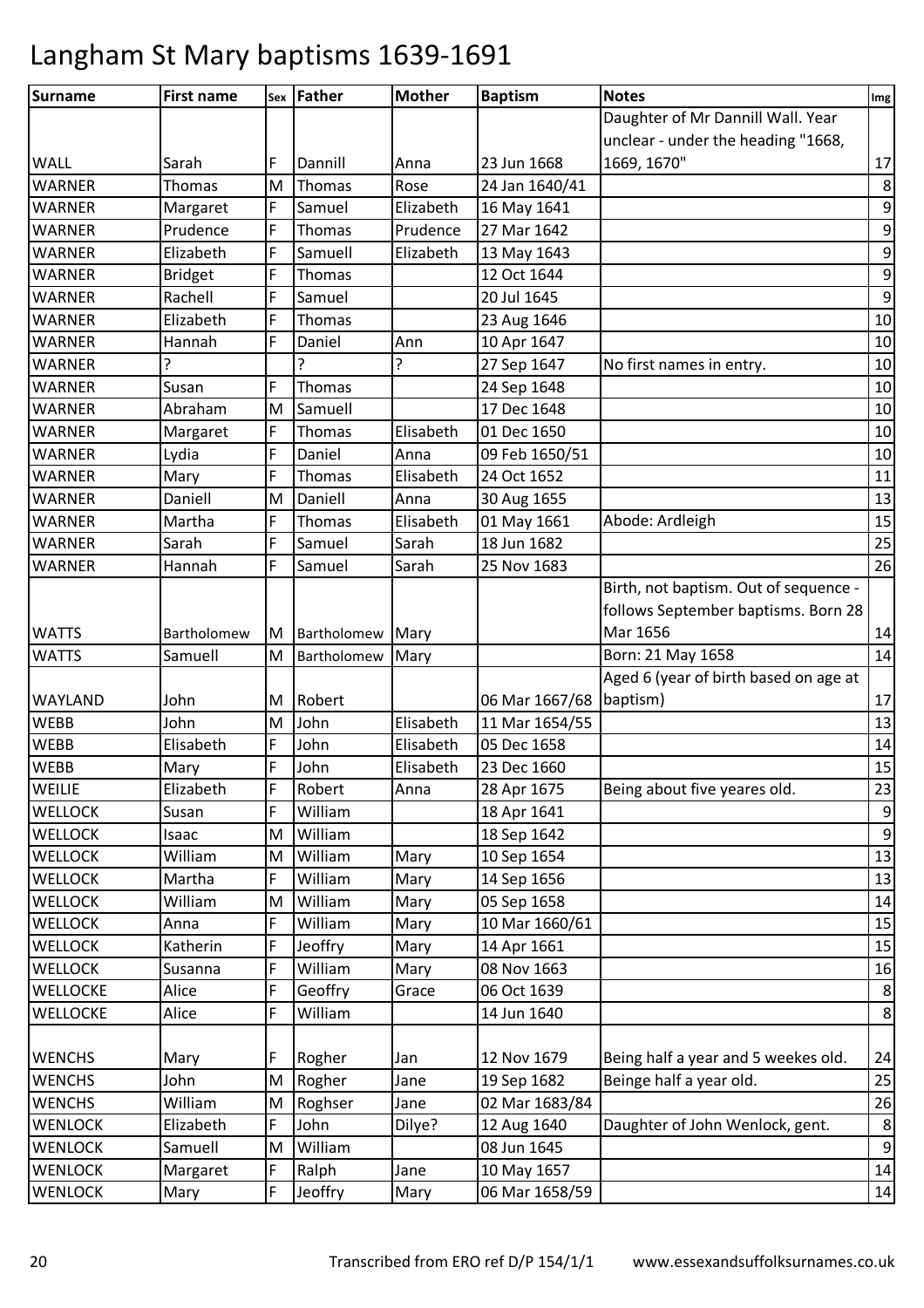| Surname         | <b>First name</b> |   | sex Father    | <b>Mother</b> | <b>Baptism</b> | <b>Notes</b>                          | Img              |
|-----------------|-------------------|---|---------------|---------------|----------------|---------------------------------------|------------------|
|                 |                   |   |               |               |                | Daughter of Mr Dannill Wall. Year     |                  |
|                 |                   |   |               |               |                | unclear - under the heading "1668,    |                  |
| WALL            | Sarah             | F | Dannill       | Anna          | 23 Jun 1668    | 1669, 1670"                           | 17               |
| <b>WARNER</b>   | Thomas            | M | Thomas        | Rose          | 24 Jan 1640/41 |                                       | 8                |
| <b>WARNER</b>   | Margaret          | F | Samuel        | Elizabeth     | 16 May 1641    |                                       | $\mathsf 9$      |
| <b>WARNER</b>   | Prudence          | F | Thomas        | Prudence      | 27 Mar 1642    |                                       | 9                |
| <b>WARNER</b>   | Elizabeth         | F | Samuell       | Elizabeth     | 13 May 1643    |                                       | $\boldsymbol{9}$ |
| <b>WARNER</b>   | <b>Bridget</b>    | F | Thomas        |               | 12 Oct 1644    |                                       | $\boldsymbol{9}$ |
| <b>WARNER</b>   | Rachell           | F | Samuel        |               | 20 Jul 1645    |                                       | $\overline{9}$   |
| <b>WARNER</b>   | Elizabeth         | F | Thomas        |               | 23 Aug 1646    |                                       | 10               |
| <b>WARNER</b>   | Hannah            | F | Daniel        | Ann           | 10 Apr 1647    |                                       | $10\,$           |
| <b>WARNER</b>   | ?                 |   | ς             | ?             | 27 Sep 1647    | No first names in entry.              | 10               |
| <b>WARNER</b>   | Susan             | F | Thomas        |               | 24 Sep 1648    |                                       | 10               |
| <b>WARNER</b>   | Abraham           | M | Samuell       |               | 17 Dec 1648    |                                       | 10               |
| <b>WARNER</b>   | Margaret          | F | Thomas        | Elisabeth     | 01 Dec 1650    |                                       | $10\,$           |
| <b>WARNER</b>   | Lydia             | F | Daniel        | Anna          | 09 Feb 1650/51 |                                       | 10               |
| <b>WARNER</b>   | Mary              | F | Thomas        | Elisabeth     | 24 Oct 1652    |                                       | 11               |
| <b>WARNER</b>   | Daniell           | M | Daniell       | Anna          | 30 Aug 1655    |                                       | 13               |
| <b>WARNER</b>   | Martha            | F | <b>Thomas</b> | Elisabeth     | 01 May 1661    | Abode: Ardleigh                       | 15               |
| <b>WARNER</b>   | Sarah             | F | Samuel        | Sarah         | 18 Jun 1682    |                                       | 25               |
| <b>WARNER</b>   | Hannah            | F | Samuel        | Sarah         | 25 Nov 1683    |                                       | 26               |
|                 |                   |   |               |               |                | Birth, not baptism. Out of sequence - |                  |
|                 |                   |   |               |               |                | follows September baptisms. Born 28   |                  |
| <b>WATTS</b>    | Bartholomew       | M | Bartholomew   | Mary          |                | Mar 1656                              | 14               |
| <b>WATTS</b>    | Samuell           | M | Bartholomew   | Mary          |                | Born: 21 May 1658                     | 14               |
|                 |                   |   |               |               |                | Aged 6 (year of birth based on age at |                  |
| WAYLAND         | John              | M | Robert        |               | 06 Mar 1667/68 | baptism)                              | 17               |
| <b>WEBB</b>     | John              | M | John          | Elisabeth     | 11 Mar 1654/55 |                                       | 13               |
| <b>WEBB</b>     | Elisabeth         | F | John          | Elisabeth     | 05 Dec 1658    |                                       | 14               |
| <b>WEBB</b>     | Mary              | F | John          | Elisabeth     | 23 Dec 1660    |                                       | 15               |
| WEILIE          | Elizabeth         | F | Robert        | Anna          | 28 Apr 1675    | Being about five yeares old.          | 23               |
| <b>WELLOCK</b>  | Susan             | F | William       |               | 18 Apr 1641    |                                       | $\boldsymbol{9}$ |
| <b>WELLOCK</b>  | Isaac             | M | William       |               | 18 Sep 1642    |                                       | $9\,$            |
| <b>WELLOCK</b>  | William           | M | William       | Mary          | 10 Sep 1654    |                                       | 13               |
| <b>WELLOCK</b>  | Martha            | F | William       | Mary          | 14 Sep 1656    |                                       | 13               |
| <b>WELLOCK</b>  | William           | M | William       | Mary          | 05 Sep 1658    |                                       | 14               |
| <b>WELLOCK</b>  | Anna              | F | William       | Mary          | 10 Mar 1660/61 |                                       | 15               |
| <b>WELLOCK</b>  | Katherin          | F | Jeoffry       | Mary          | 14 Apr 1661    |                                       | 15               |
| <b>WELLOCK</b>  | Susanna           | F | William       | Mary          | 08 Nov 1663    |                                       | 16               |
| <b>WELLOCKE</b> | Alice             | F | Geoffry       | Grace         | 06 Oct 1639    |                                       | $\,8\,$          |
| <b>WELLOCKE</b> | Alice             | F | William       |               | 14 Jun 1640    |                                       | $\,8\,$          |
| <b>WENCHS</b>   | Mary              | F | Rogher        | Jan           | 12 Nov 1679    | Being half a year and 5 weekes old.   | 24               |
| <b>WENCHS</b>   | John              | M | Rogher        | Jane          | 19 Sep 1682    | Beinge half a year old.               | 25               |
| <b>WENCHS</b>   | William           | M | Roghser       | Jane          | 02 Mar 1683/84 |                                       | 26               |
| <b>WENLOCK</b>  | Elizabeth         | F | John          | Dilye?        | 12 Aug 1640    | Daughter of John Wenlock, gent.       | $\,8\,$          |
| <b>WENLOCK</b>  | Samuell           | M | William       |               | 08 Jun 1645    |                                       | $9\,$            |
| <b>WENLOCK</b>  | Margaret          | F | Ralph         | Jane          | 10 May 1657    |                                       | 14               |
| <b>WENLOCK</b>  |                   | F | Jeoffry       |               | 06 Mar 1658/59 |                                       | 14               |
|                 | Mary              |   |               | Mary          |                |                                       |                  |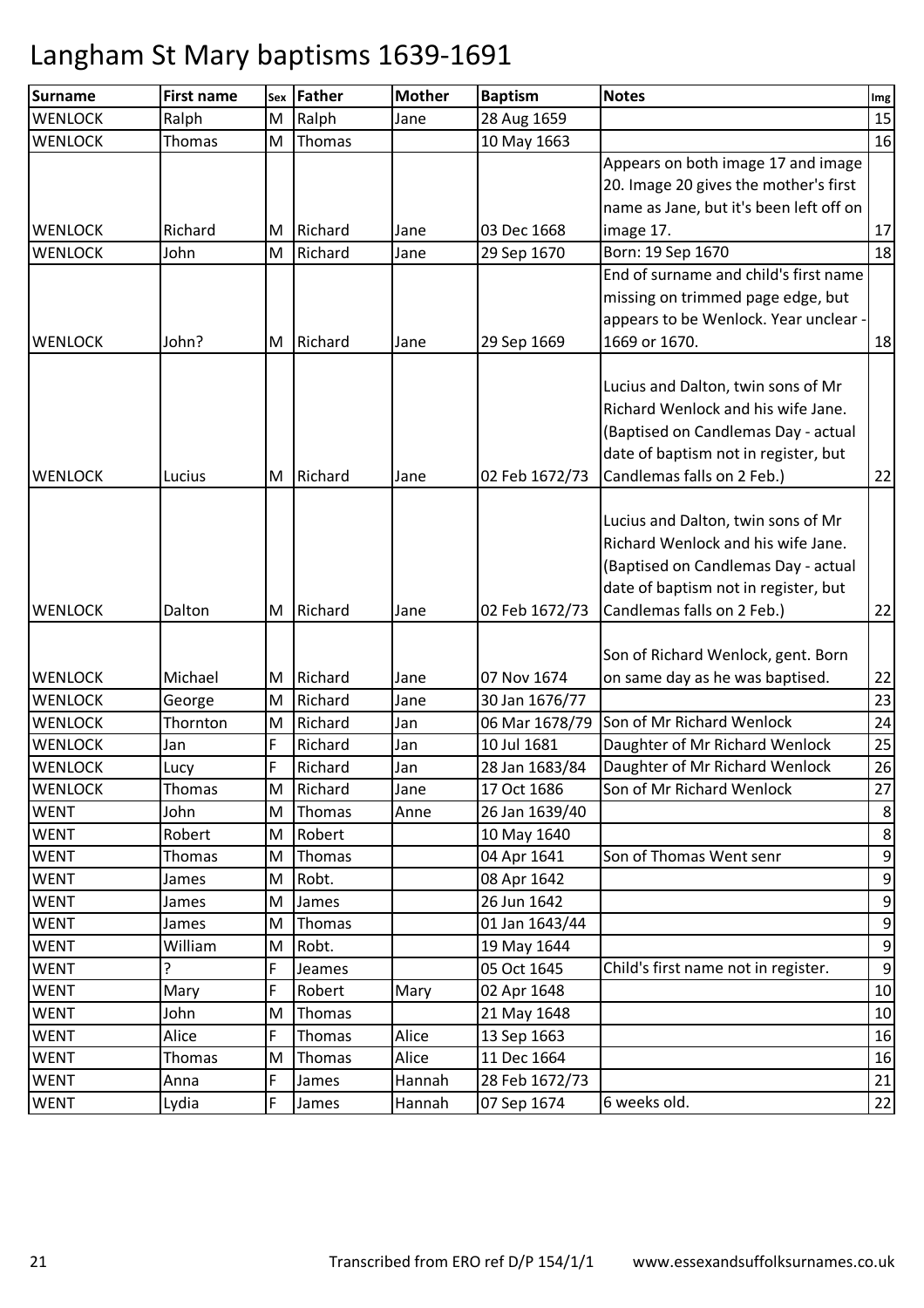| <b>Surname</b> | <b>First name</b> | Sex | Father  | <b>Mother</b> | <b>Baptism</b> | <b>Notes</b>                            | Img              |
|----------------|-------------------|-----|---------|---------------|----------------|-----------------------------------------|------------------|
| <b>WENLOCK</b> | Ralph             | M   | Ralph   | Jane          | 28 Aug 1659    |                                         | 15               |
| <b>WENLOCK</b> | Thomas            | M   | Thomas  |               | 10 May 1663    |                                         | 16               |
|                |                   |     |         |               |                | Appears on both image 17 and image      |                  |
|                |                   |     |         |               |                | 20. Image 20 gives the mother's first   |                  |
|                |                   |     |         |               |                | name as Jane, but it's been left off on |                  |
| <b>WENLOCK</b> | Richard           | ΙM  | Richard | Jane          | 03 Dec 1668    | image 17.                               | 17               |
| <b>WENLOCK</b> | John              | M   | Richard | Jane          | 29 Sep 1670    | Born: 19 Sep 1670                       | 18               |
|                |                   |     |         |               |                | End of surname and child's first name   |                  |
|                |                   |     |         |               |                | missing on trimmed page edge, but       |                  |
|                |                   |     |         |               |                | appears to be Wenlock. Year unclear -   |                  |
| <b>WENLOCK</b> | John?             | ΙM  | Richard | Jane          | 29 Sep 1669    | 1669 or 1670.                           | 18               |
|                |                   |     |         |               |                |                                         |                  |
|                |                   |     |         |               |                | Lucius and Dalton, twin sons of Mr      |                  |
|                |                   |     |         |               |                | Richard Wenlock and his wife Jane.      |                  |
|                |                   |     |         |               |                | (Baptised on Candlemas Day - actual     |                  |
|                |                   |     |         |               |                | date of baptism not in register, but    |                  |
| <b>WENLOCK</b> | Lucius            | M   | Richard | Jane          | 02 Feb 1672/73 | Candlemas falls on 2 Feb.)              | 22               |
|                |                   |     |         |               |                |                                         |                  |
|                |                   |     |         |               |                | Lucius and Dalton, twin sons of Mr      |                  |
|                |                   |     |         |               |                | Richard Wenlock and his wife Jane.      |                  |
|                |                   |     |         |               |                | (Baptised on Candlemas Day - actual     |                  |
|                |                   |     |         |               |                | date of baptism not in register, but    |                  |
| <b>WENLOCK</b> | Dalton            | ΙM  | Richard | Jane          | 02 Feb 1672/73 | Candlemas falls on 2 Feb.)              | 22               |
|                |                   |     |         |               |                |                                         |                  |
|                |                   |     |         |               |                | Son of Richard Wenlock, gent. Born      |                  |
| <b>WENLOCK</b> | Michael           | M   | Richard | Jane          | 07 Nov 1674    | on same day as he was baptised.         | 22               |
| <b>WENLOCK</b> | George            | M   | Richard | Jane          | 30 Jan 1676/77 |                                         | 23               |
| <b>WENLOCK</b> | Thornton          | M   | Richard | Jan           | 06 Mar 1678/79 | Son of Mr Richard Wenlock               | 24               |
| <b>WENLOCK</b> | Jan               | F   | Richard | Jan           | 10 Jul 1681    | Daughter of Mr Richard Wenlock          | 25               |
| <b>WENLOCK</b> | Lucy              | F   | Richard | Jan           | 28 Jan 1683/84 | Daughter of Mr Richard Wenlock          | 26               |
| <b>WENLOCK</b> | Thomas            | M   | Richard | Jane          | 17 Oct 1686    | Son of Mr Richard Wenlock               | 27               |
| <b>WENT</b>    | John              | M   | Thomas  | Anne          | 26 Jan 1639/40 |                                         | $\bf 8$          |
| <b>WENT</b>    | Robert            | M   | Robert  |               | 10 May 1640    |                                         | $\bf 8$          |
| <b>WENT</b>    | Thomas            | M   | Thomas  |               | 04 Apr 1641    | Son of Thomas Went senr                 | $\boldsymbol{9}$ |
| <b>WENT</b>    | James             | M   | Robt.   |               | 08 Apr 1642    |                                         | $\boldsymbol{9}$ |
| <b>WENT</b>    | James             | M   | James   |               | 26 Jun 1642    |                                         | 9                |
| <b>WENT</b>    | James             | M   | Thomas  |               | 01 Jan 1643/44 |                                         | $\boldsymbol{9}$ |
| <b>WENT</b>    | William           | M   | Robt.   |               | 19 May 1644    |                                         | $\boldsymbol{9}$ |
| <b>WENT</b>    | ?                 | F   | Jeames  |               | 05 Oct 1645    | Child's first name not in register.     | 9                |
| <b>WENT</b>    | Mary              | F   | Robert  | Mary          | 02 Apr 1648    |                                         | 10               |
| <b>WENT</b>    | John              | M   | Thomas  |               | 21 May 1648    |                                         | 10               |
| <b>WENT</b>    | Alice             | F   | Thomas  | Alice         | 13 Sep 1663    |                                         | 16               |
| <b>WENT</b>    | Thomas            | M   | Thomas  | Alice         | 11 Dec 1664    |                                         | 16               |
| <b>WENT</b>    | Anna              | F   | James   | Hannah        | 28 Feb 1672/73 |                                         | 21               |
| <b>WENT</b>    | Lydia             | F   | James   | Hannah        | 07 Sep 1674    | 6 weeks old.                            | 22               |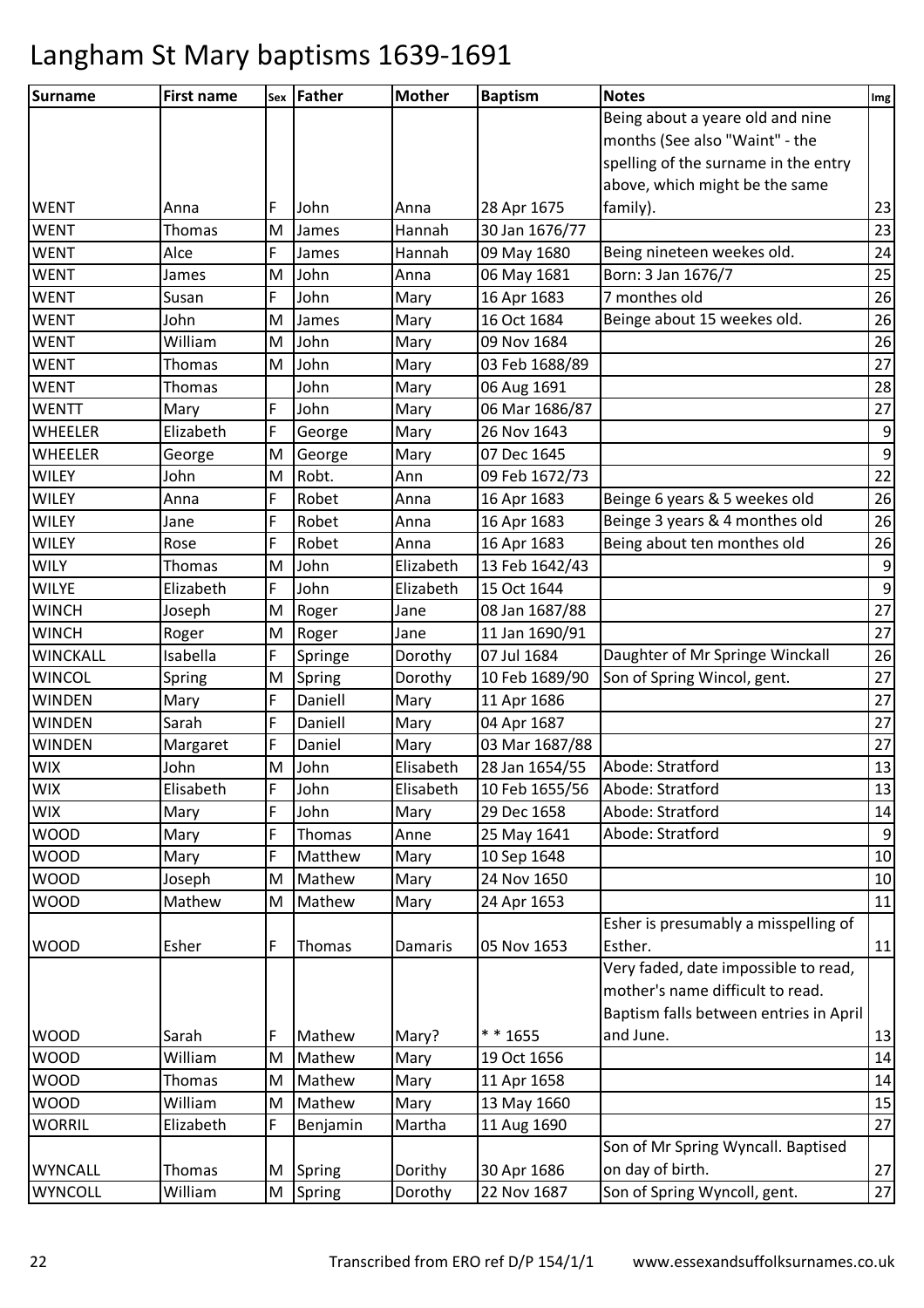| <b>Surname</b>  | <b>First name</b> |   | sex Father | <b>Mother</b> | <b>Baptism</b> | <b>Notes</b>                           | Img              |
|-----------------|-------------------|---|------------|---------------|----------------|----------------------------------------|------------------|
|                 |                   |   |            |               |                | Being about a yeare old and nine       |                  |
|                 |                   |   |            |               |                | months (See also "Waint" - the         |                  |
|                 |                   |   |            |               |                | spelling of the surname in the entry   |                  |
|                 |                   |   |            |               |                | above, which might be the same         |                  |
| <b>WENT</b>     | Anna              | F | John       | Anna          | 28 Apr 1675    | family).                               | 23               |
| <b>WENT</b>     | Thomas            | M | James      | Hannah        | 30 Jan 1676/77 |                                        | 23               |
| <b>WENT</b>     | Alce              | F | James      | Hannah        | 09 May 1680    | Being nineteen weekes old.             | 24               |
| <b>WENT</b>     | James             | M | John       | Anna          | 06 May 1681    | Born: 3 Jan 1676/7                     | 25               |
| <b>WENT</b>     | Susan             | F | John       | Mary          | 16 Apr 1683    | 7 monthes old                          | 26               |
| <b>WENT</b>     | John              | M | James      | Mary          | 16 Oct 1684    | Beinge about 15 weekes old.            | 26               |
| <b>WENT</b>     | William           | M | John       | Mary          | 09 Nov 1684    |                                        | 26               |
| <b>WENT</b>     | Thomas            | M | John       | Mary          | 03 Feb 1688/89 |                                        | 27               |
| <b>WENT</b>     | Thomas            |   | John       | Mary          | 06 Aug 1691    |                                        | 28               |
| <b>WENTT</b>    | Mary              | F | John       | Mary          | 06 Mar 1686/87 |                                        | 27               |
| <b>WHEELER</b>  | Elizabeth         | F | George     | Mary          | 26 Nov 1643    |                                        | $\boldsymbol{9}$ |
| <b>WHEELER</b>  | George            | M | George     | Mary          | 07 Dec 1645    |                                        | $\boldsymbol{9}$ |
| <b>WILEY</b>    | John              | M | Robt.      | Ann           | 09 Feb 1672/73 |                                        | 22               |
| <b>WILEY</b>    | Anna              | F | Robet      | Anna          | 16 Apr 1683    | Beinge 6 years & 5 weekes old          | 26               |
| <b>WILEY</b>    | Jane              | F | Robet      | Anna          | 16 Apr 1683    | Beinge 3 years & 4 monthes old         | 26               |
| <b>WILEY</b>    | Rose              | F | Robet      | Anna          | 16 Apr 1683    | Being about ten monthes old            | 26               |
| <b>WILY</b>     | Thomas            | M | John       | Elizabeth     | 13 Feb 1642/43 |                                        | $\boldsymbol{9}$ |
| <b>WILYE</b>    | Elizabeth         | F | John       | Elizabeth     | 15 Oct 1644    |                                        | $\mathsf 9$      |
| <b>WINCH</b>    | Joseph            | M | Roger      | Jane          | 08 Jan 1687/88 |                                        | 27               |
| <b>WINCH</b>    | Roger             | M | Roger      | Jane          | 11 Jan 1690/91 |                                        | 27               |
| <b>WINCKALL</b> | Isabella          | F | Springe    | Dorothy       | 07 Jul 1684    | Daughter of Mr Springe Winckall        | 26               |
| <b>WINCOL</b>   | Spring            | M | Spring     | Dorothy       | 10 Feb 1689/90 | Son of Spring Wincol, gent.            | 27               |
| <b>WINDEN</b>   | Mary              | F | Daniell    | Mary          | 11 Apr 1686    |                                        | 27               |
| <b>WINDEN</b>   | Sarah             | F | Daniell    | Mary          | 04 Apr 1687    |                                        | 27               |
| <b>WINDEN</b>   | Margaret          | F | Daniel     | Mary          | 03 Mar 1687/88 |                                        | 27               |
| <b>WIX</b>      | John              | M | John       | Elisabeth     | 28 Jan 1654/55 | Abode: Stratford                       | 13               |
| <b>WIX</b>      | Elisabeth         | F | John       | Elisabeth     | 10 Feb 1655/56 | Abode: Stratford                       | 13               |
| <b>WIX</b>      | Mary              | F | John       | Mary          | 29 Dec 1658    | Abode: Stratford                       | 14               |
| <b>WOOD</b>     | Mary              | F | Thomas     | Anne          | 25 May 1641    | Abode: Stratford                       | 9                |
| <b>WOOD</b>     | Mary              | F | Matthew    | Mary          | 10 Sep 1648    |                                        | 10               |
| <b>WOOD</b>     | Joseph            | M | Mathew     | Mary          | 24 Nov 1650    |                                        | 10               |
| <b>WOOD</b>     | Mathew            | M | Mathew     | Mary          | 24 Apr 1653    |                                        | 11               |
|                 |                   |   |            |               |                | Esher is presumably a misspelling of   |                  |
| <b>WOOD</b>     | Esher             | F | Thomas     | Damaris       | 05 Nov 1653    | Esther.                                | 11               |
|                 |                   |   |            |               |                | Very faded, date impossible to read,   |                  |
|                 |                   |   |            |               |                | mother's name difficult to read.       |                  |
|                 |                   |   |            |               |                | Baptism falls between entries in April |                  |
| <b>WOOD</b>     | Sarah             | F | Mathew     | Mary?         | * * 1655       | and June.                              | 13               |
| <b>WOOD</b>     | William           | M | Mathew     | Mary          | 19 Oct 1656    |                                        | 14               |
| <b>WOOD</b>     | Thomas            | M | Mathew     | Mary          | 11 Apr 1658    |                                        | 14               |
| <b>WOOD</b>     | William           | M | Mathew     | Mary          | 13 May 1660    |                                        | 15               |
| <b>WORRIL</b>   | Elizabeth         | F | Benjamin   | Martha        | 11 Aug 1690    |                                        | 27               |
|                 |                   |   |            |               |                | Son of Mr Spring Wyncall. Baptised     |                  |
| <b>WYNCALL</b>  | Thomas            | M | Spring     | Dorithy       | 30 Apr 1686    | on day of birth.                       | 27               |
| <b>WYNCOLL</b>  | William           | M | Spring     | Dorothy       | 22 Nov 1687    | Son of Spring Wyncoll, gent.           | 27               |